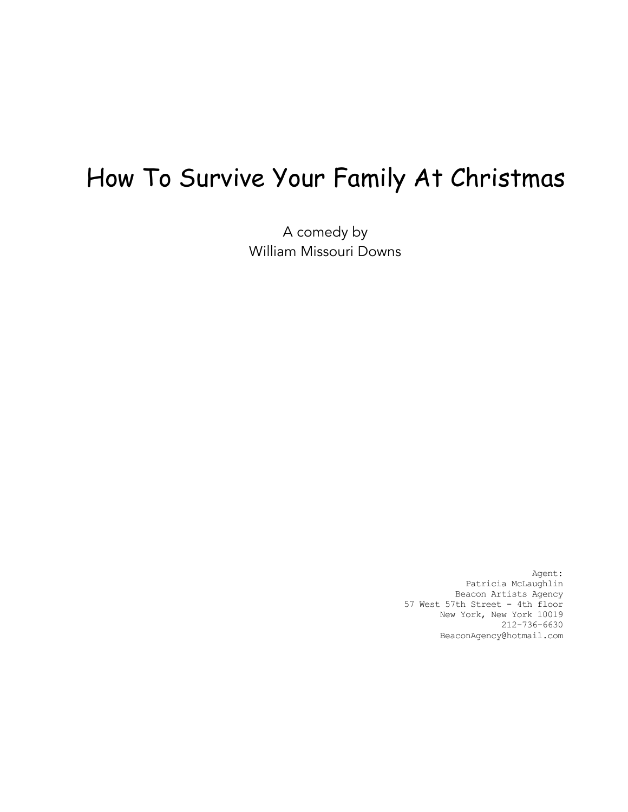# How To Survive Your Family At Christmas

A comedy by William Missouri Downs

> Agent: Patricia McLaughlin Beacon Artists Agency 57 West 57th Street - 4th floor New York, New York 10019 212-736-6630 BeaconAgency@hotmail.com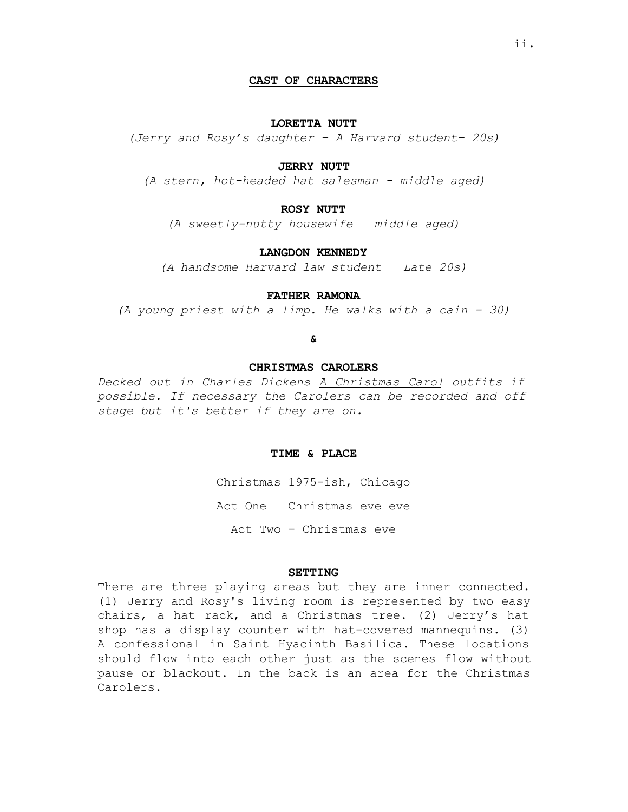## **CAST OF CHARACTERS**

## **LORETTA NUTT**

*(Jerry and Rosy's daughter – A Harvard student– 20s)*

#### **JERRY NUTT**

*(A stern, hot-headed hat salesman - middle aged)*

## **ROSY NUTT**

*(A sweetly-nutty housewife – middle aged)*

#### **LANGDON KENNEDY**

*(A handsome Harvard law student – Late 20s)*

#### **FATHER RAMONA**

*(A young priest with a limp. He walks with a cain - 30)*

**&**

## **CHRISTMAS CAROLERS**

*Decked out in Charles Dickens A Christmas Carol outfits if possible. If necessary the Carolers can be recorded and off stage but it's better if they are on.*

**TIME & PLACE**

Christmas 1975-ish, Chicago Act One – Christmas eve eve Act Two - Christmas eve

#### **SETTING**

There are three playing areas but they are inner connected. (1) Jerry and Rosy's living room is represented by two easy chairs, a hat rack, and a Christmas tree. (2) Jerry's hat shop has a display counter with hat-covered mannequins. (3) A confessional in Saint Hyacinth Basilica. These locations should flow into each other just as the scenes flow without pause or blackout. In the back is an area for the Christmas Carolers.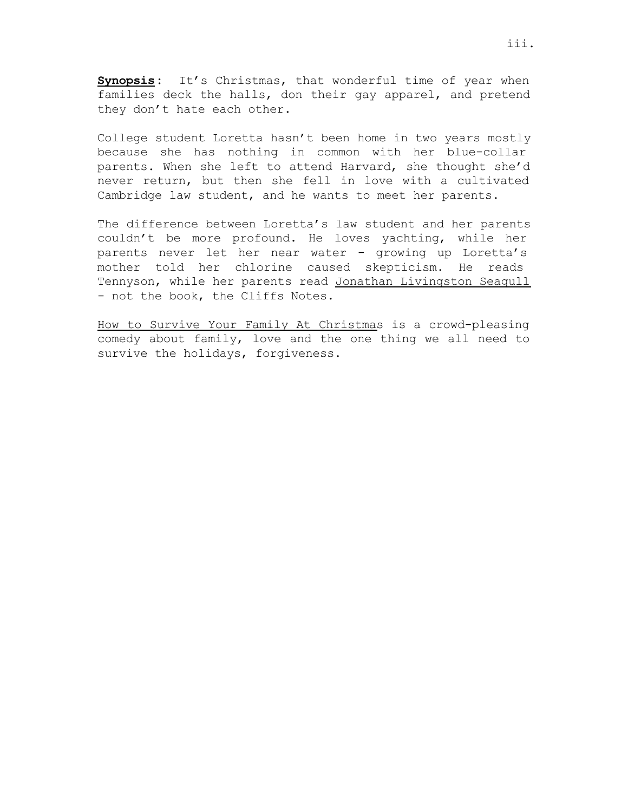**Synopsis:** It's Christmas, that wonderful time of year when families deck the halls, don their gay apparel, and pretend they don't hate each other.

College student Loretta hasn't been home in two years mostly because she has nothing in common with her blue-collar parents. When she left to attend Harvard, she thought she'd never return, but then she fell in love with a cultivated Cambridge law student, and he wants to meet her parents.

The difference between Loretta's law student and her parents couldn't be more profound. He loves yachting, while her parents never let her near water - growing up Loretta's mother told her chlorine caused skepticism. He reads Tennyson, while her parents read Jonathan Livingston Seagull - not the book, the Cliffs Notes.

How to Survive Your Family At Christmas is a crowd-pleasing comedy about family, love and the one thing we all need to survive the holidays, forgiveness.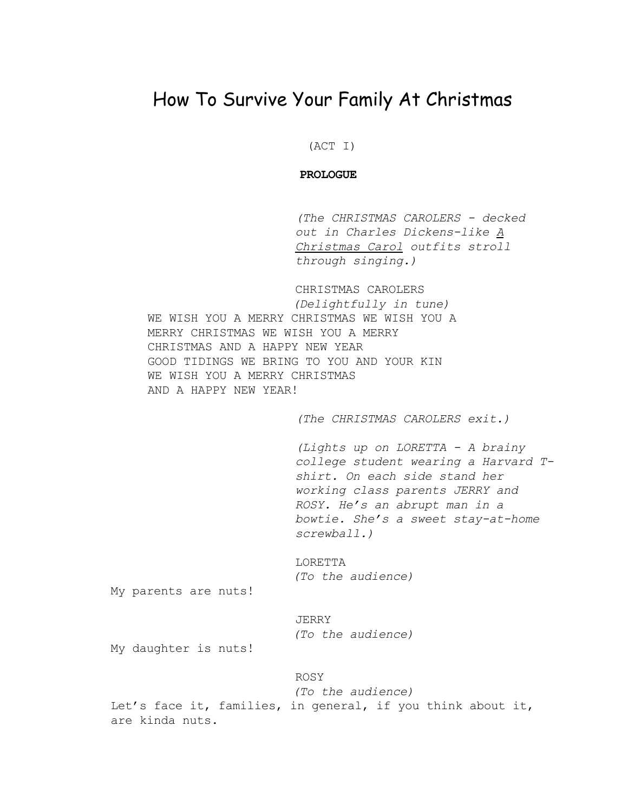## How To Survive Your Family At Christmas

(ACT I)

**PROLOGUE**

*(The CHRISTMAS CAROLERS - decked out in Charles Dickens-like A Christmas Carol outfits stroll through singing.)*

CHRISTMAS CAROLERS *(Delightfully in tune)* WE WISH YOU A MERRY CHRISTMAS WE WISH YOU A MERRY CHRISTMAS WE WISH YOU A MERRY CHRISTMAS AND A HAPPY NEW YEAR GOOD TIDINGS WE BRING TO YOU AND YOUR KIN WE WISH YOU A MERRY CHRISTMAS AND A HAPPY NEW YEAR!

*(The CHRISTMAS CAROLERS exit.)*

*(Lights up on LORETTA - A brainy college student wearing a Harvard Tshirt. On each side stand her working class parents JERRY and ROSY. He's an abrupt man in a bowtie. She's a sweet stay-at-home screwball.)*

LORETTA *(To the audience)*

My parents are nuts!

JERRY *(To the audience)*

My daughter is nuts!

## ROSY

*(To the audience)* Let's face it, families, in general, if you think about it, are kinda nuts.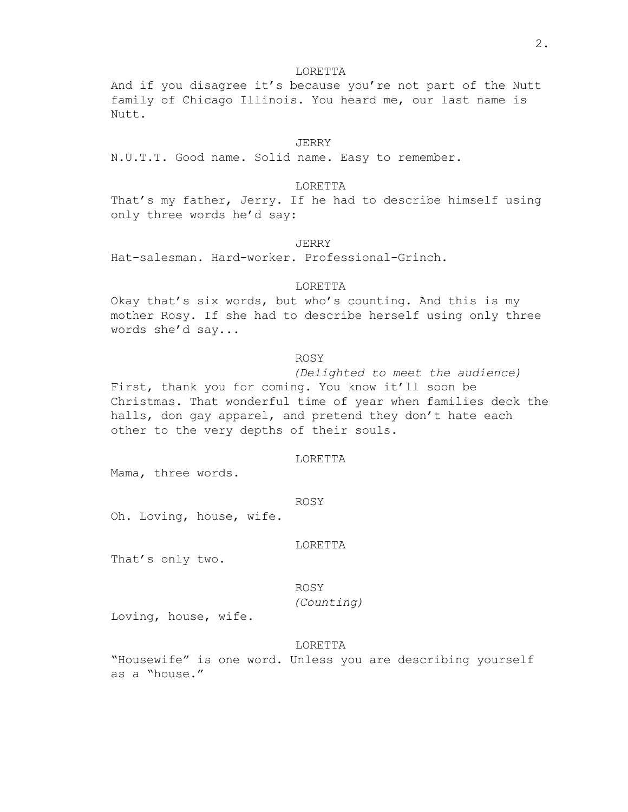#### LORETTA

And if you disagree it's because you're not part of the Nutt family of Chicago Illinois. You heard me, our last name is Nutt.

#### JERRY

N.U.T.T. Good name. Solid name. Easy to remember.

## LORETTA

That's my father, Jerry. If he had to describe himself using only three words he'd say:

## JERRY

Hat-salesman. Hard-worker. Professional-Grinch.

#### LORETTA

Okay that's six words, but who's counting. And this is my mother Rosy. If she had to describe herself using only three words she'd say...

## ROSY

*(Delighted to meet the audience)* First, thank you for coming. You know it'll soon be Christmas. That wonderful time of year when families deck the halls, don gay apparel, and pretend they don't hate each other to the very depths of their souls.

## LORETTA

Mama, three words.

#### ROSY

Oh. Loving, house, wife.

#### LORETTA

That's only two.

## ROSY

*(Counting)*

Loving, house, wife.

## LORETTA

"Housewife" is one word. Unless you are describing yourself as a "house."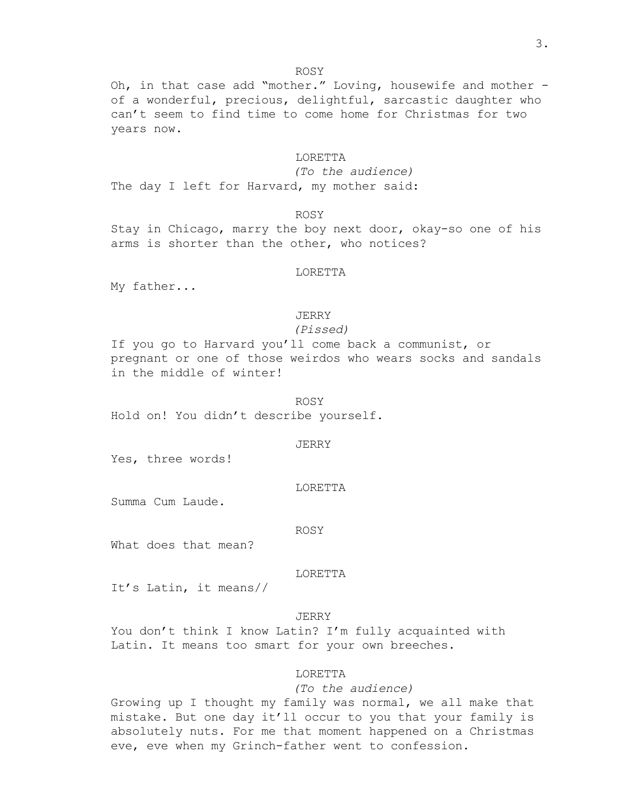Oh, in that case add "mother." Loving, housewife and mother of a wonderful, precious, delightful, sarcastic daughter who can't seem to find time to come home for Christmas for two years now.

#### LORETTA

ROSY

*(To the audience)* The day I left for Harvard, my mother said:

ROSY

Stay in Chicago, marry the boy next door, okay-so one of his arms is shorter than the other, who notices?

LORETTA

My father...

## JERRY

*(Pissed)*

If you go to Harvard you'll come back a communist, or pregnant or one of those weirdos who wears socks and sandals in the middle of winter!

ROSY Hold on! You didn't describe yourself.

## JERRY

Yes, three words!

#### LORETTA

Summa Cum Laude.

#### ROSY

What does that mean?

## LORETTA

It's Latin, it means//

#### JERRY

You don't think I know Latin? I'm fully acquainted with Latin. It means too smart for your own breeches.

## LORETTA

## *(To the audience)*

Growing up I thought my family was normal, we all make that mistake. But one day it'll occur to you that your family is absolutely nuts. For me that moment happened on a Christmas eve, eve when my Grinch-father went to confession.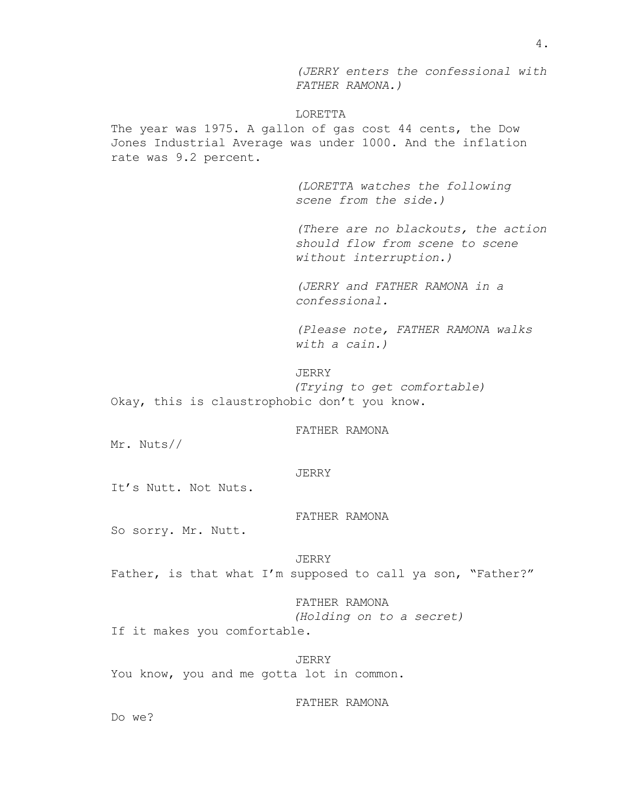*(JERRY enters the confessional with FATHER RAMONA.)*

LORETTA

The year was 1975. A gallon of gas cost 44 cents, the Dow Jones Industrial Average was under 1000. And the inflation rate was 9.2 percent.

> *(LORETTA watches the following scene from the side.)*

*(There are no blackouts, the action should flow from scene to scene without interruption.)*

*(JERRY and FATHER RAMONA in a confessional.*

*(Please note, FATHER RAMONA walks with a cain.)*

JERRY *(Trying to get comfortable)* Okay, this is claustrophobic don't you know.

### FATHER RAMONA

Mr. Nuts//

## JERRY

It's Nutt. Not Nuts.

#### FATHER RAMONA

So sorry. Mr. Nutt.

JERRY Father, is that what I'm supposed to call ya son, "Father?"

FATHER RAMONA

*(Holding on to a secret)*

If it makes you comfortable.

JERRY You know, you and me gotta lot in common.

FATHER RAMONA

Do we?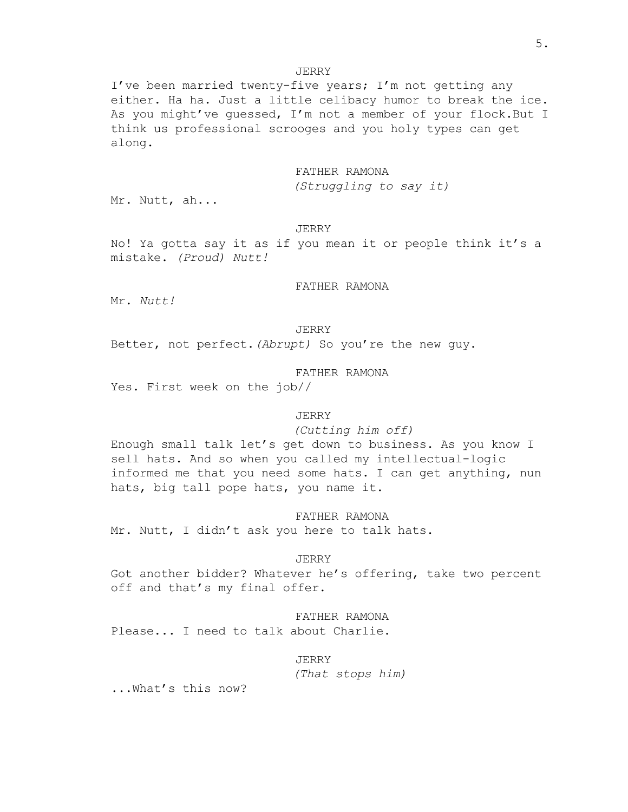I've been married twenty-five years; I'm not getting any either. Ha ha. Just a little celibacy humor to break the ice. As you might've guessed, I'm not a member of your flock.But I think us professional scrooges and you holy types can get along.

## FATHER RAMONA

*(Struggling to say it)*

Mr. Nutt, ah...

#### JERRY

No! Ya gotta say it as if you mean it or people think it's a mistake. *(Proud) Nutt!*

## FATHER RAMONA

Mr. *Nutt!*

#### JERRY

Better, not perfect.*(Abrupt)* So you're the new guy.

## FATHER RAMONA

Yes. First week on the job//

## JERRY

### *(Cutting him off)*

Enough small talk let's get down to business. As you know I sell hats. And so when you called my intellectual-logic informed me that you need some hats. I can get anything, nun hats, big tall pope hats, you name it.

#### FATHER RAMONA

Mr. Nutt, I didn't ask you here to talk hats.

#### JERRY

Got another bidder? Whatever he's offering, take two percent off and that's my final offer.

## FATHER RAMONA

Please... I need to talk about Charlie.

## JERRY

*(That stops him)*

...What's this now?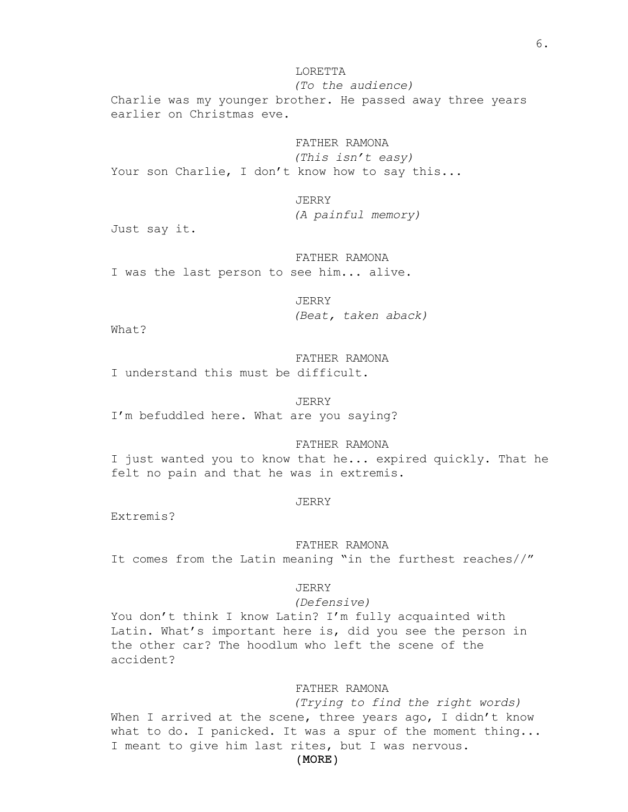*(To the audience)* Charlie was my younger brother. He passed away three years earlier on Christmas eve. FATHER RAMONA *(This isn't easy)* Your son Charlie, I don't know how to say this... JERRY *(A painful memory)* Just say it. FATHER RAMONA I was the last person to see him... alive. JERRY *(Beat, taken aback)* What? FATHER RAMONA I understand this must be difficult. JERRY

LORETTA

I'm befuddled here. What are you saying?

FATHER RAMONA

I just wanted you to know that he... expired quickly. That he felt no pain and that he was in extremis.

## JERRY

Extremis?

FATHER RAMONA

It comes from the Latin meaning "in the furthest reaches//"

## JERRY

## *(Defensive)*

You don't think I know Latin? I'm fully acquainted with Latin. What's important here is, did you see the person in the other car? The hoodlum who left the scene of the accident?

## FATHER RAMONA

*(Trying to find the right words)* When I arrived at the scene, three years ago, I didn't know what to do. I panicked. It was a spur of the moment thing... I meant to give him last rites, but I was nervous.

(MORE)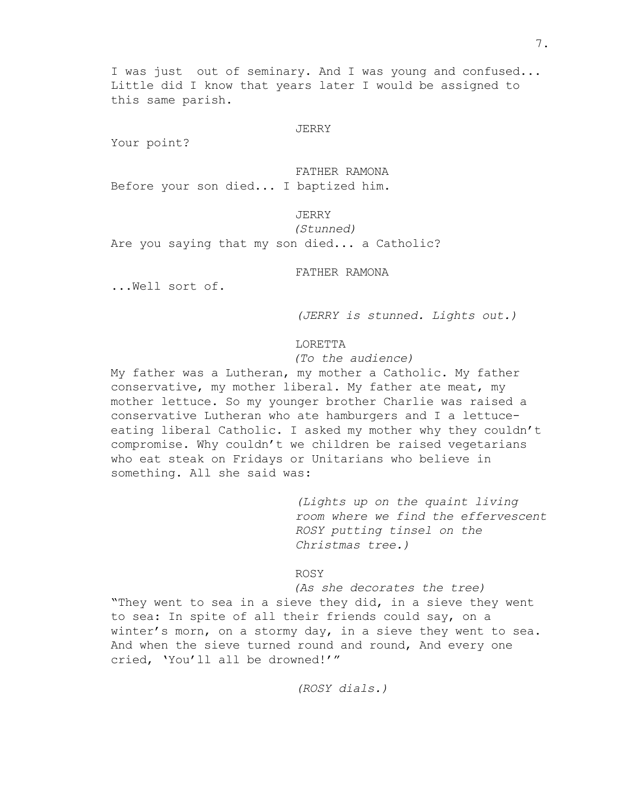I was just out of seminary. And I was young and confused... Little did I know that years later I would be assigned to this same parish.

JERRY

Your point?

FATHER RAMONA

Before your son died... I baptized him.

JERRY

*(Stunned)* Are you saying that my son died... a Catholic?

FATHER RAMONA

...Well sort of.

*(JERRY is stunned. Lights out.)*

## LORETTA

*(To the audience)*

My father was a Lutheran, my mother a Catholic. My father conservative, my mother liberal. My father ate meat, my mother lettuce. So my younger brother Charlie was raised a conservative Lutheran who ate hamburgers and I a lettuceeating liberal Catholic. I asked my mother why they couldn't compromise. Why couldn't we children be raised vegetarians who eat steak on Fridays or Unitarians who believe in something. All she said was:

> *(Lights up on the quaint living room where we find the effervescent ROSY putting tinsel on the Christmas tree.)*

## ROSY

*(As she decorates the tree)* "They went to sea in a sieve they did, in a sieve they went to sea: In spite of all their friends could say, on a winter's morn, on a stormy day, in a sieve they went to sea. And when the sieve turned round and round, And every one cried, 'You'll all be drowned!'"

*(ROSY dials.)*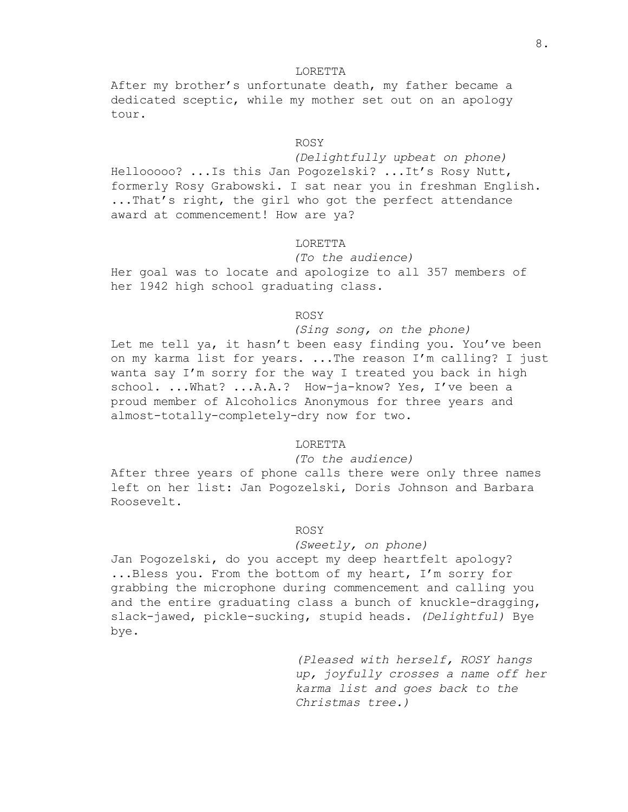## LORETTA

After my brother's unfortunate death, my father became a dedicated sceptic, while my mother set out on an apology tour.

## ROSY

*(Delightfully upbeat on phone)* Hellooooo? ...Is this Jan Pogozelski? ...It's Rosy Nutt, formerly Rosy Grabowski. I sat near you in freshman English. ...That's right, the girl who got the perfect attendance award at commencement! How are ya?

## LORETTA

*(To the audience)* Her goal was to locate and apologize to all 357 members of her 1942 high school graduating class.

## ROSY

*(Sing song, on the phone)* Let me tell ya, it hasn't been easy finding you. You've been on my karma list for years. ...The reason I'm calling? I just wanta say I'm sorry for the way I treated you back in high school. ...What? ...A.A.? How-ja-know? Yes, I've been a proud member of Alcoholics Anonymous for three years and almost-totally-completely-dry now for two.

## LORETTA

## *(To the audience)*

After three years of phone calls there were only three names left on her list: Jan Pogozelski, Doris Johnson and Barbara Roosevelt.

## ROSY

## *(Sweetly, on phone)*

Jan Pogozelski, do you accept my deep heartfelt apology? ...Bless you. From the bottom of my heart, I'm sorry for grabbing the microphone during commencement and calling you and the entire graduating class a bunch of knuckle-dragging, slack-jawed, pickle-sucking, stupid heads. *(Delightful)* Bye bye.

> *(Pleased with herself, ROSY hangs up, joyfully crosses a name off her karma list and goes back to the Christmas tree.)*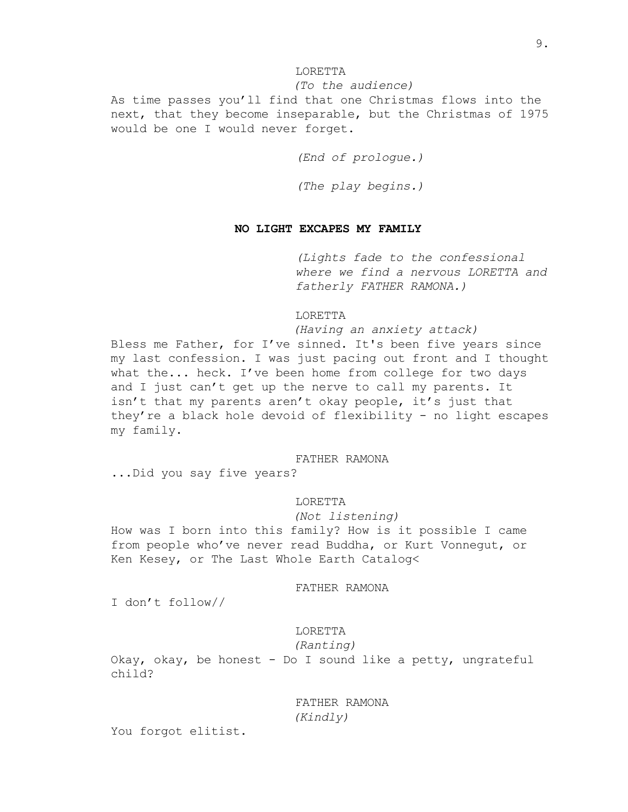## LORETTA

## *(To the audience)*

As time passes you'll find that one Christmas flows into the next, that they become inseparable, but the Christmas of 1975 would be one I would never forget.

*(End of prologue.)*

*(The play begins.)*

## **NO LIGHT EXCAPES MY FAMILY**

*(Lights fade to the confessional where we find a nervous LORETTA and fatherly FATHER RAMONA.)*

## LORETTA

*(Having an anxiety attack)* Bless me Father, for I've sinned. It's been five years since my last confession. I was just pacing out front and I thought what the... heck. I've been home from college for two days and I just can't get up the nerve to call my parents. It isn't that my parents aren't okay people, it's just that they're a black hole devoid of flexibility - no light escapes my family.

## FATHER RAMONA

...Did you say five years?

## LORETTA

## *(Not listening)*

How was I born into this family? How is it possible I came from people who've never read Buddha, or Kurt Vonnegut, or Ken Kesey, or The Last Whole Earth Catalog<

## FATHER RAMONA

I don't follow//

## LORETTA

*(Ranting)*

Okay, okay, be honest - Do I sound like a petty, ungrateful child?

> FATHER RAMONA *(Kindly)*

You forgot elitist.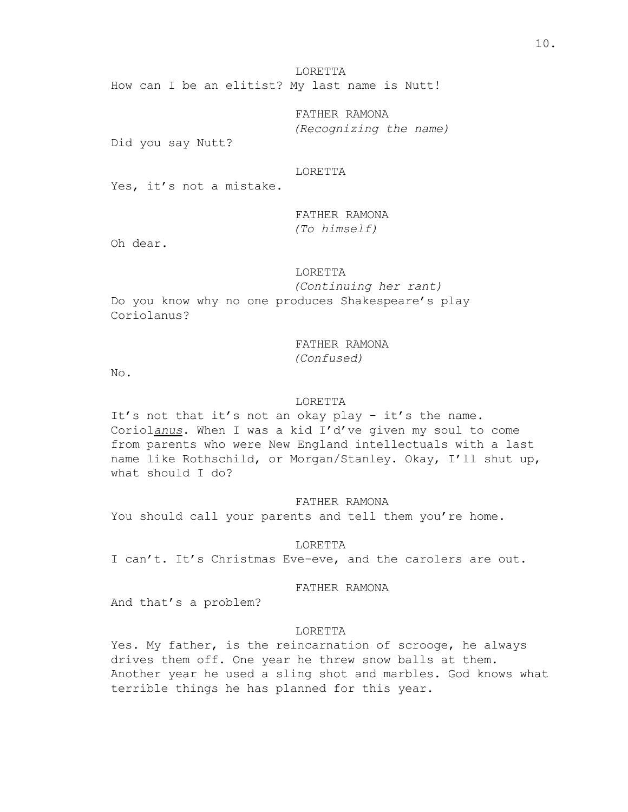LORETTA How can I be an elitist? My last name is Nutt!

> FATHER RAMONA *(Recognizing the name)*

Did you say Nutt?

## LORETTA

Yes, it's not a mistake.

## FATHER RAMONA *(To himself)*

Oh dear.

## LORETTA

*(Continuing her rant)* Do you know why no one produces Shakespeare's play Coriolanus?

## FATHER RAMONA *(Confused)*

No.

## LORETTA

It's not that it's not an okay play - it's the name. Coriol*anus*. When I was a kid I'd've given my soul to come from parents who were New England intellectuals with a last name like Rothschild, or Morgan/Stanley. Okay, I'll shut up, what should I do?

## FATHER RAMONA

You should call your parents and tell them you're home.

#### LORETTA

I can't. It's Christmas Eve-eve, and the carolers are out.

## FATHER RAMONA

And that's a problem?

#### LORETTA

Yes. My father, is the reincarnation of scrooge, he always drives them off. One year he threw snow balls at them. Another year he used a sling shot and marbles. God knows what terrible things he has planned for this year.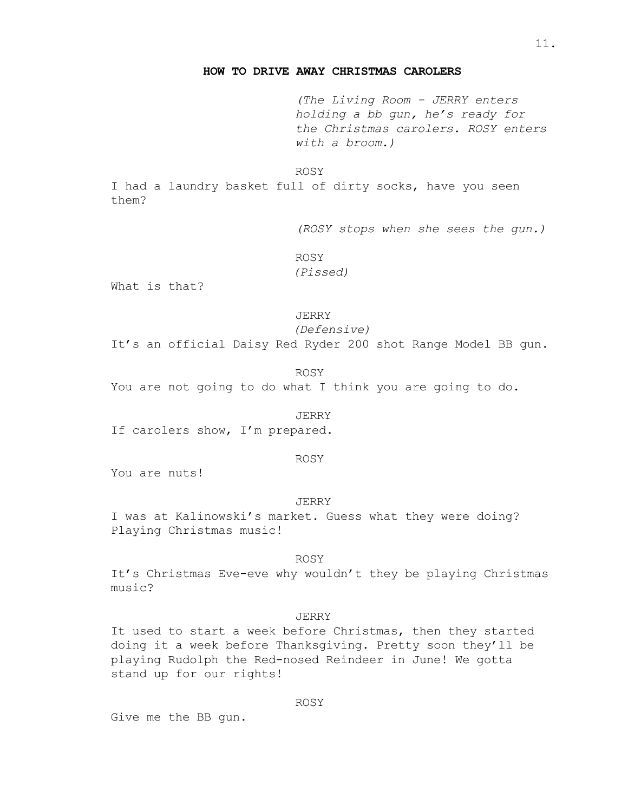#### **HOW TO DRIVE AWAY CHRISTMAS CAROLERS**

*(The Living Room - JERRY enters holding a bb gun, he's ready for the Christmas carolers. ROSY enters with a broom.)*

ROSY

I had a laundry basket full of dirty socks, have you seen them?

*(ROSY stops when she sees the gun.)*

ROSY

*(Pissed)*

What is that?

## JERRY

*(Defensive)*

It's an official Daisy Red Ryder 200 shot Range Model BB gun.

ROSY

You are not going to do what I think you are going to do.

#### JERRY

If carolers show, I'm prepared.

## ROSY

You are nuts!

#### JERRY

I was at Kalinowski's market. Guess what they were doing? Playing Christmas music!

## ROSY

It's Christmas Eve-eve why wouldn't they be playing Christmas music?

## JERRY

It used to start a week before Christmas, then they started doing it a week before Thanksgiving. Pretty soon they'll be playing Rudolph the Red-nosed Reindeer in June! We gotta stand up for our rights!

#### ROSY

Give me the BB gun.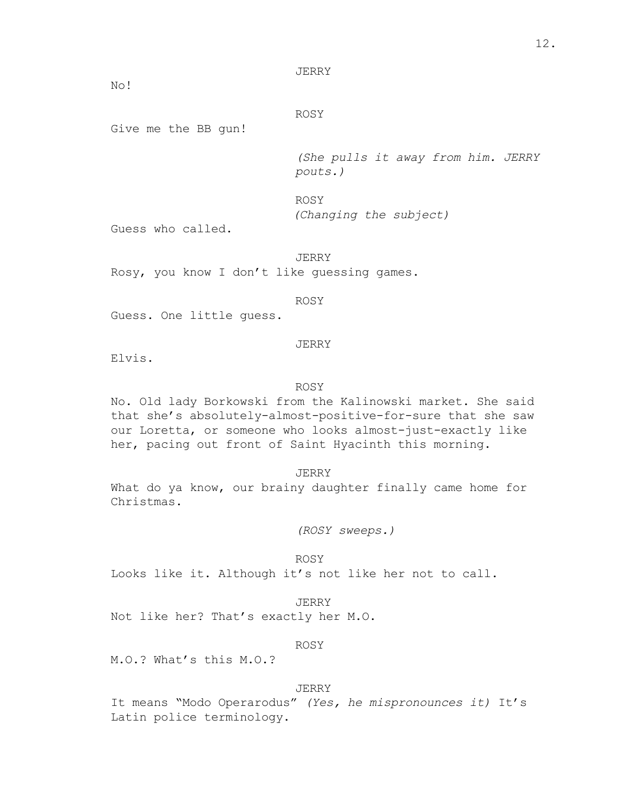JERRY

No!

## ROSY

Give me the BB gun!

*(She pulls it away from him. JERRY pouts.)*

ROSY *(Changing the subject)*

Guess who called.

JERRY Rosy, you know I don't like guessing games.

ROSY

Guess. One little guess.

## JERRY

Elvis.

## ROSY

No. Old lady Borkowski from the Kalinowski market. She said that she's absolutely-almost-positive-for-sure that she saw our Loretta, or someone who looks almost-just-exactly like her, pacing out front of Saint Hyacinth this morning.

JERRY

What do ya know, our brainy daughter finally came home for Christmas.

*(ROSY sweeps.)*

ROSY Looks like it. Although it's not like her not to call.

JERRY

Not like her? That's exactly her M.O.

## ROSY

M.O.? What's this M.O.?

## JERRY

It means "Modo Operarodus" *(Yes, he mispronounces it)* It's Latin police terminology.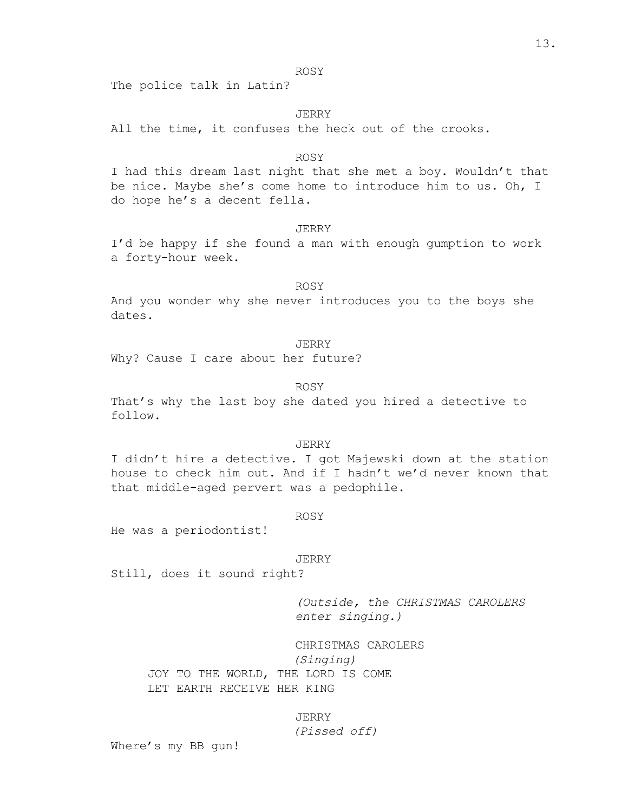#### ROSY

The police talk in Latin?

## JERRY

All the time, it confuses the heck out of the crooks.

## ROSY

I had this dream last night that she met a boy. Wouldn't that be nice. Maybe she's come home to introduce him to us. Oh, I do hope he's a decent fella.

#### JERRY

I'd be happy if she found a man with enough gumption to work a forty-hour week.

## ROSY

And you wonder why she never introduces you to the boys she dates.

## JERRY

Why? Cause I care about her future?

#### ROSY

That's why the last boy she dated you hired a detective to follow.

## JERRY

I didn't hire a detective. I got Majewski down at the station house to check him out. And if I hadn't we'd never known that that middle-aged pervert was a pedophile.

#### ROSY

He was a periodontist!

#### JERRY

Still, does it sound right?

*(Outside, the CHRISTMAS CAROLERS enter singing.)*

#### CHRISTMAS CAROLERS

*(Singing)* JOY TO THE WORLD, THE LORD IS COME LET EARTH RECEIVE HER KING

## JERRY

## *(Pissed off)*

Where's my BB gun!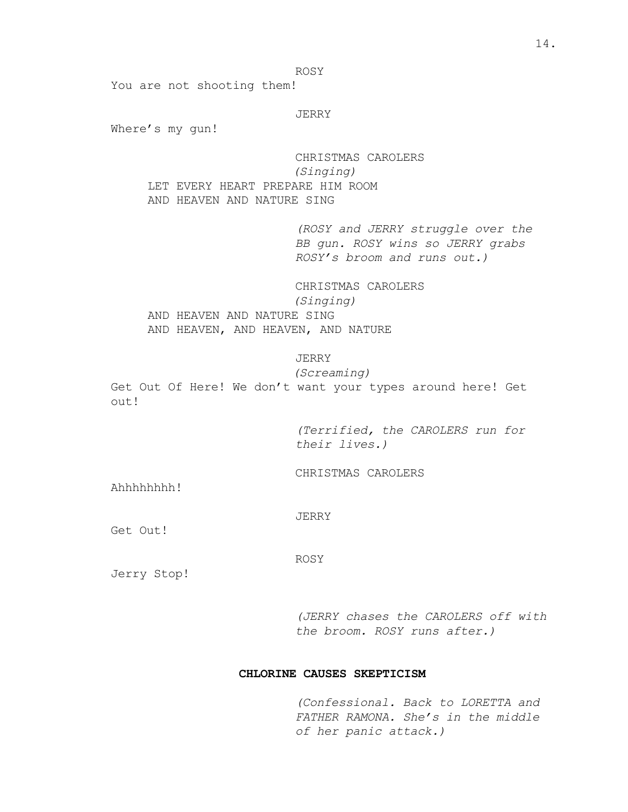## ROSY

You are not shooting them!

## JERRY

Where's my gun!

CHRISTMAS CAROLERS *(Singing)* LET EVERY HEART PREPARE HIM ROOM AND HEAVEN AND NATURE SING

> *(ROSY and JERRY struggle over the BB gun. ROSY wins so JERRY grabs ROSY's broom and runs out.)*

CHRISTMAS CAROLERS *(Singing)* AND HEAVEN AND NATURE SING AND HEAVEN, AND HEAVEN, AND NATURE

## JERRY

*(Screaming)*

Get Out Of Here! We don't want your types around here! Get out!

> *(Terrified, the CAROLERS run for their lives.)*

CHRISTMAS CAROLERS

Ahhhhhhhh!

JERRY

Get Out!

ROSY

Jerry Stop!

*(JERRY chases the CAROLERS off with the broom. ROSY runs after.)*

## **CHLORINE CAUSES SKEPTICISM**

*(Confessional. Back to LORETTA and FATHER RAMONA. She's in the middle of her panic attack.)*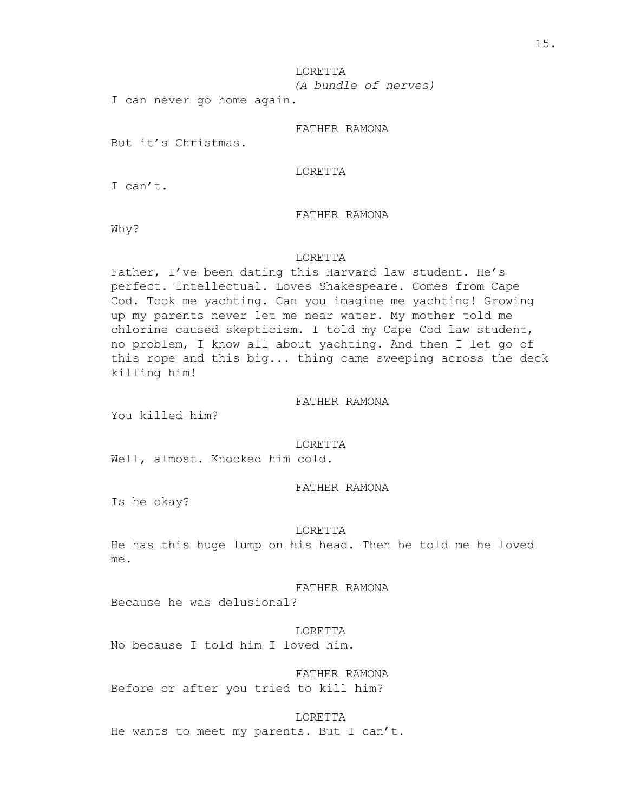I can never go home again.

## FATHER RAMONA

But it's Christmas.

## LORETTA

I can't.

## FATHER RAMONA

Why?

#### LORETTA

Father, I've been dating this Harvard law student. He's perfect. Intellectual. Loves Shakespeare. Comes from Cape Cod. Took me yachting. Can you imagine me yachting! Growing up my parents never let me near water. My mother told me chlorine caused skepticism. I told my Cape Cod law student, no problem, I know all about yachting. And then I let go of this rope and this big... thing came sweeping across the deck killing him!

## FATHER RAMONA

You killed him?

#### LORETTA

Well, almost. Knocked him cold.

#### FATHER RAMONA

Is he okay?

#### LORETTA

He has this huge lump on his head. Then he told me he loved me.

#### FATHER RAMONA

Because he was delusional?

## LORETTA No because I told him I loved him.

FATHER RAMONA Before or after you tried to kill him?

#### LORETTA

He wants to meet my parents. But I can't.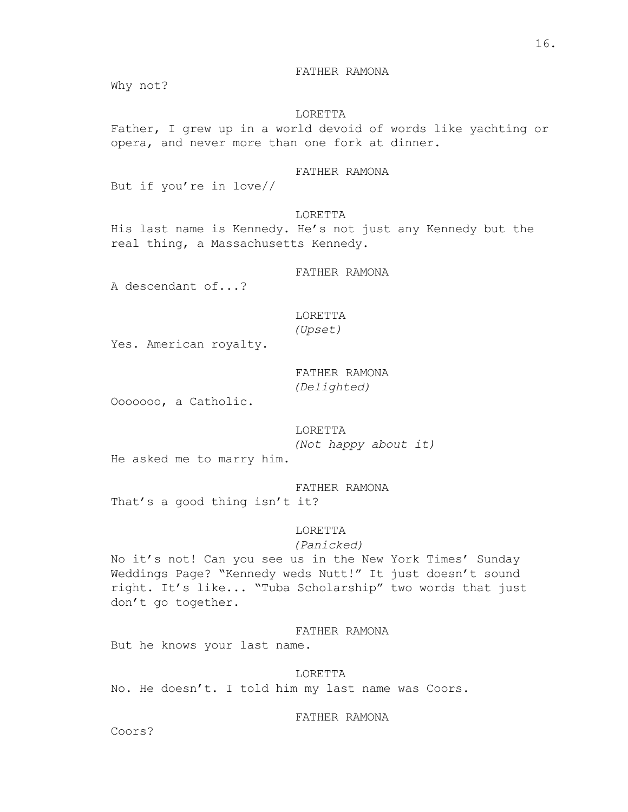FATHER RAMONA

Why not?

## LORETTA

Father, I grew up in a world devoid of words like yachting or opera, and never more than one fork at dinner.

## FATHER RAMONA

But if you're in love//

## LORETTA

His last name is Kennedy. He's not just any Kennedy but the real thing, a Massachusetts Kennedy.

FATHER RAMONA

A descendant of...?

## LORETTA *(Upset)*

Yes. American royalty.

FATHER RAMONA *(Delighted)*

Ooooooo, a Catholic.

LORETTA *(Not happy about it)*

He asked me to marry him.

#### FATHER RAMONA

That's a good thing isn't it?

## LORETTA

## *(Panicked)*

No it's not! Can you see us in the New York Times' Sunday Weddings Page? "Kennedy weds Nutt!" It just doesn't sound right. It's like... "Tuba Scholarship" two words that just don't go together.

#### FATHER RAMONA

But he knows your last name.

#### LORETTA

No. He doesn't. I told him my last name was Coors.

FATHER RAMONA

Coors?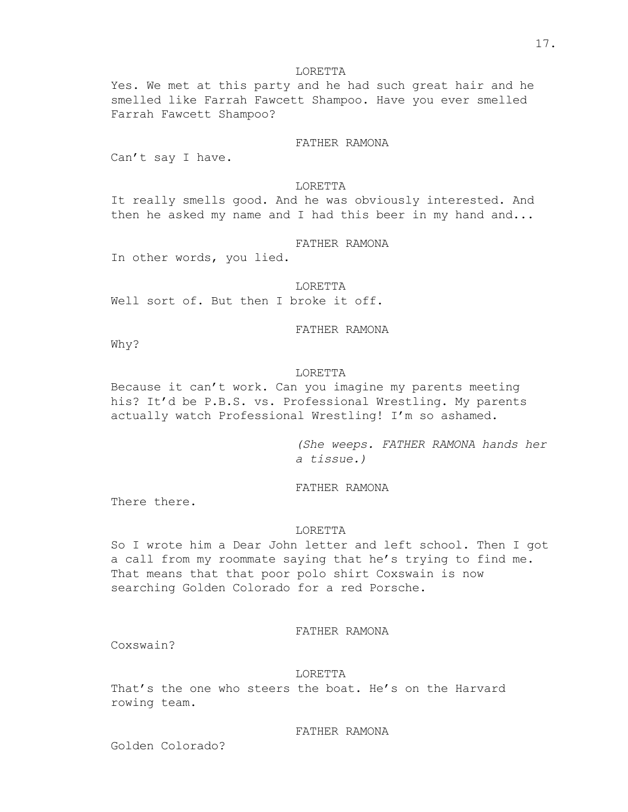## LORETTA

Yes. We met at this party and he had such great hair and he smelled like Farrah Fawcett Shampoo. Have you ever smelled Farrah Fawcett Shampoo?

## FATHER RAMONA

Can't say I have.

## LORETTA

It really smells good. And he was obviously interested. And then he asked my name and I had this beer in my hand and...

## FATHER RAMONA

In other words, you lied.

## LORETTA

Well sort of. But then I broke it off.

## FATHER RAMONA

Why?

## LORETTA

Because it can't work. Can you imagine my parents meeting his? It'd be P.B.S. vs. Professional Wrestling. My parents actually watch Professional Wrestling! I'm so ashamed.

> *(She weeps. FATHER RAMONA hands her a tissue.)*

## FATHER RAMONA

There there.

#### LORETTA

So I wrote him a Dear John letter and left school. Then I got a call from my roommate saying that he's trying to find me. That means that that poor polo shirt Coxswain is now searching Golden Colorado for a red Porsche.

## FATHER RAMONA

Coxswain?

#### LORETTA

That's the one who steers the boat. He's on the Harvard rowing team.

FATHER RAMONA

Golden Colorado?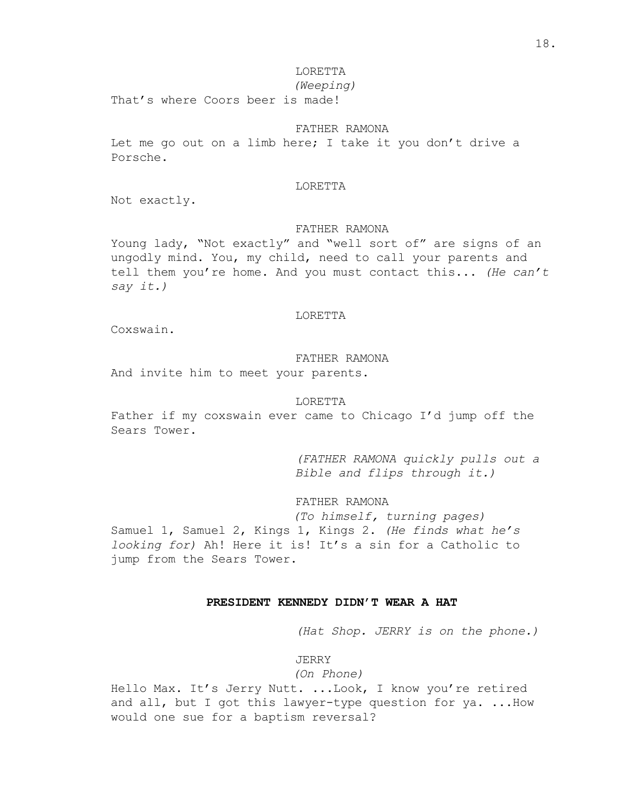## LORETTA

## *(Weeping)*

That's where Coors beer is made!

## FATHER RAMONA

Let me go out on a limb here; I take it you don't drive a Porsche.

## LORETTA

Not exactly.

## FATHER RAMONA

Young lady, "Not exactly" and "well sort of" are signs of an ungodly mind. You, my child, need to call your parents and tell them you're home. And you must contact this... *(He can't say it.)*

#### LORETTA

Coxswain.

## FATHER RAMONA

And invite him to meet your parents.

#### LORETTA

Father if my coxswain ever came to Chicago I'd jump off the Sears Tower.

> *(FATHER RAMONA quickly pulls out a Bible and flips through it.)*

FATHER RAMONA

*(To himself, turning pages)* Samuel 1, Samuel 2, Kings 1, Kings 2. *(He finds what he's looking for)* Ah! Here it is! It's a sin for a Catholic to jump from the Sears Tower.

#### **PRESIDENT KENNEDY DIDN'T WEAR A HAT**

*(Hat Shop. JERRY is on the phone.)*

## JERRY

*(On Phone)*

Hello Max. It's Jerry Nutt. ...Look, I know you're retired and all, but I got this lawyer-type question for ya. ...How would one sue for a baptism reversal?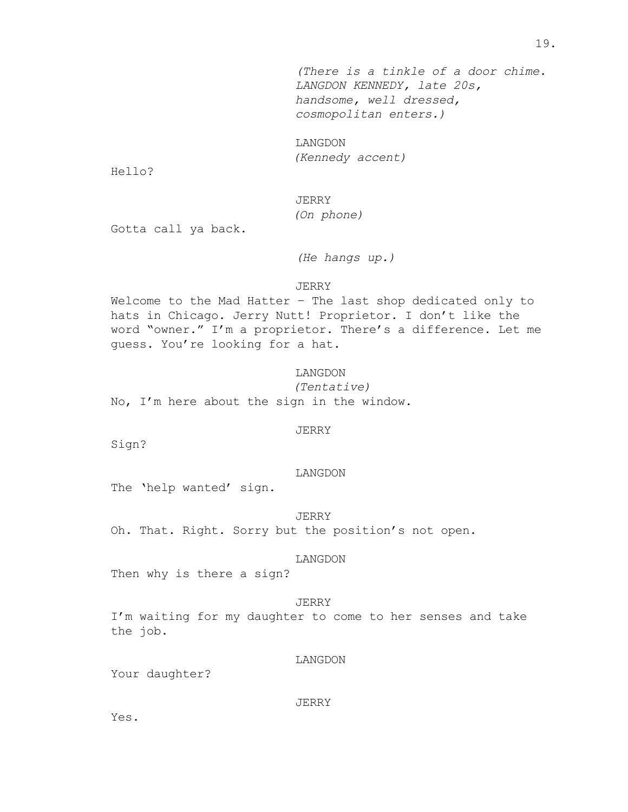*(There is a tinkle of a door chime. LANGDON KENNEDY, late 20s, handsome, well dressed, cosmopolitan enters.)*

LANGDON *(Kennedy accent)*

Hello?

## JERRY *(On phone)*

Gotta call ya back.

## *(He hangs up.)*

## JERRY

Welcome to the Mad Hatter – The last shop dedicated only to hats in Chicago. Jerry Nutt! Proprietor. I don't like the word "owner." I'm a proprietor. There's a difference. Let me guess. You're looking for a hat.

#### LANGDON

*(Tentative)* No, I'm here about the sign in the window.

#### JERRY

Sign?

#### LANGDON

The 'help wanted' sign.

## JERRY

Oh. That. Right. Sorry but the position's not open.

## LANGDON

Then why is there a sign?

#### JERRY

I'm waiting for my daughter to come to her senses and take the job.

## LANGDON

Your daughter?

JERRY

Yes.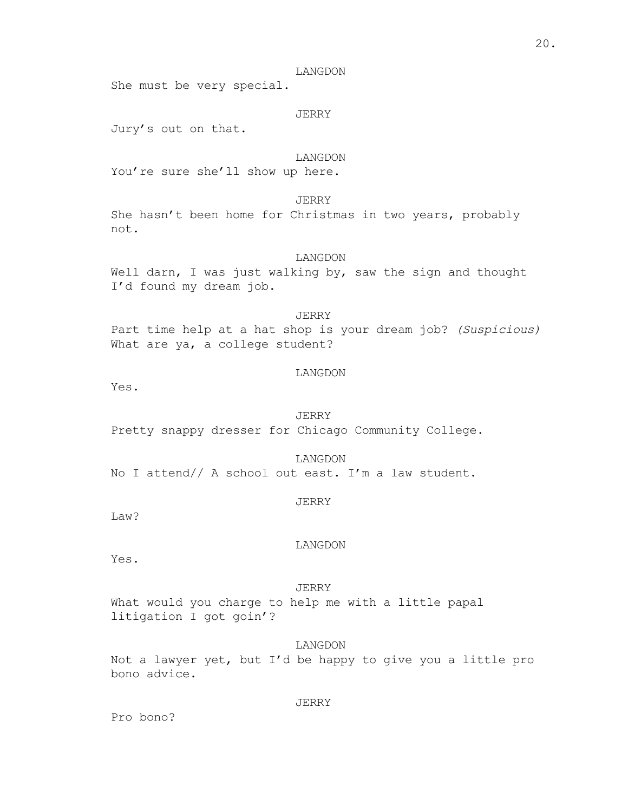## LANGDON

She must be very special.

## JERRY

Jury's out on that.

## LANGDON

You're sure she'll show up here.

## JERRY

She hasn't been home for Christmas in two years, probably not.

## LANGDON

Well darn, I was just walking by, saw the sign and thought I'd found my dream job.

#### JERRY

Part time help at a hat shop is your dream job? *(Suspicious)* What are ya, a college student?

## LANGDON

Yes.

#### JERRY

Pretty snappy dresser for Chicago Community College.

LANGDON No I attend// A school out east. I'm a law student.

## JERRY

Law?

## LANGDON

Yes.

#### JERRY

What would you charge to help me with a little papal litigation I got goin'?

## LANGDON

Not a lawyer yet, but I'd be happy to give you a little pro bono advice.

#### JERRY

Pro bono?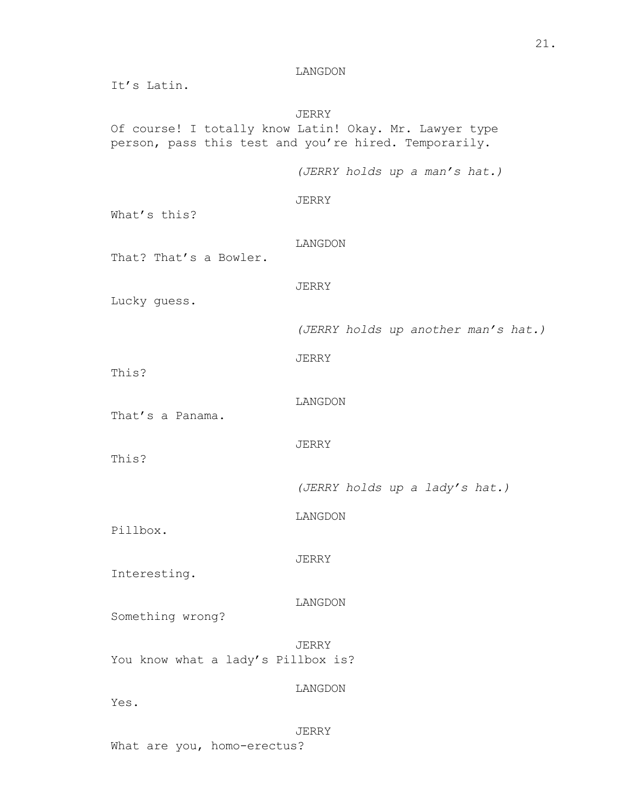LANGDON It's Latin. JERRY Of course! I totally know Latin! Okay. Mr. Lawyer type person, pass this test and you're hired. Temporarily. *(JERRY holds up a man's hat.)* JERRY What's this? LANGDON That? That's a Bowler. JERRY Lucky guess. *(JERRY holds up another man's hat.)* JERRY This? LANGDON That's a Panama. JERRY This? *(JERRY holds up a lady's hat.)* LANGDON Pillbox. JERRY Interesting. LANGDON Something wrong? JERRY You know what a lady's Pillbox is? LANGDON Yes. JERRY What are you, homo-erectus?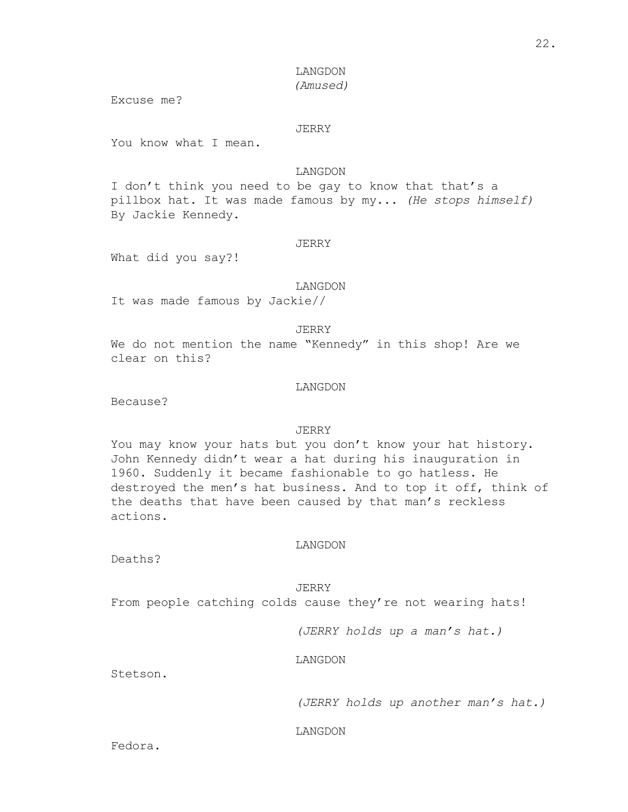## LANGDON

## *(Amused)*

Excuse me?

## JERRY

You know what I mean.

## LANGDON

I don't think you need to be gay to know that that's a pillbox hat. It was made famous by my... *(He stops himself)* By Jackie Kennedy.

## JERRY

What did you say?!

## LANGDON

It was made famous by Jackie//

## JERRY

We do not mention the name "Kennedy" in this shop! Are we clear on this?

## LANGDON

Because?

## JERRY

You may know your hats but you don't know your hat history. John Kennedy didn't wear a hat during his inauguration in 1960. Suddenly it became fashionable to go hatless. He destroyed the men's hat business. And to top it off, think of the deaths that have been caused by that man's reckless actions.

## LANGDON

Deaths?

JERRY

From people catching colds cause they're not wearing hats!

*(JERRY holds up a man's hat.)*

## LANGDON

Stetson.

*(JERRY holds up another man's hat.)*

## LANGDON

Fedora.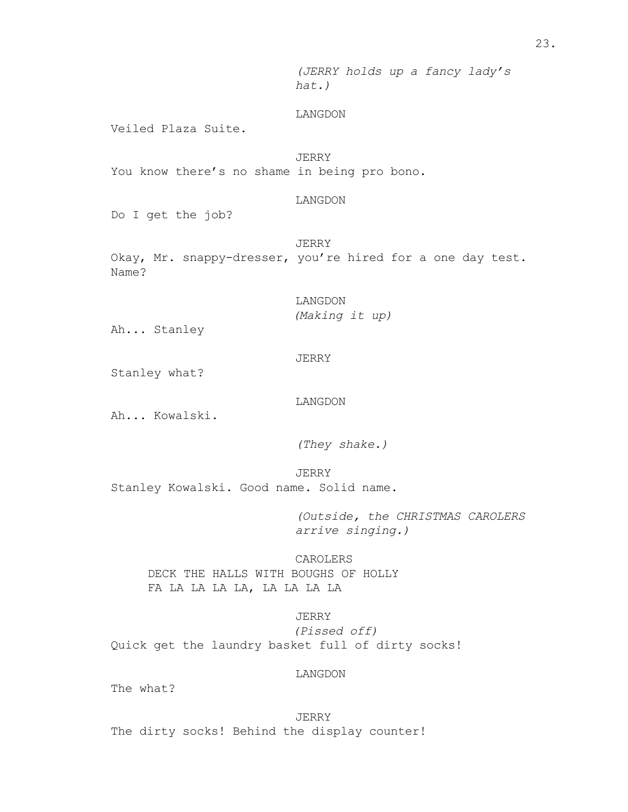*(JERRY holds up a fancy lady's hat.)*

## LANGDON

Veiled Plaza Suite.

JERRY You know there's no shame in being pro bono.

LANGDON

Do I get the job?

JERRY Okay, Mr. snappy-dresser, you're hired for a one day test. Name?

> LANGDON *(Making it up)*

Ah... Stanley

## JERRY

Stanley what?

LANGDON

Ah... Kowalski.

*(They shake.)*

JERRY Stanley Kowalski. Good name. Solid name.

> *(Outside, the CHRISTMAS CAROLERS arrive singing.)*

CAROLERS DECK THE HALLS WITH BOUGHS OF HOLLY FA LA LA LA LA, LA LA LA LA

JERRY *(Pissed off)* Quick get the laundry basket full of dirty socks!

## LANGDON

The what?

JERRY The dirty socks! Behind the display counter!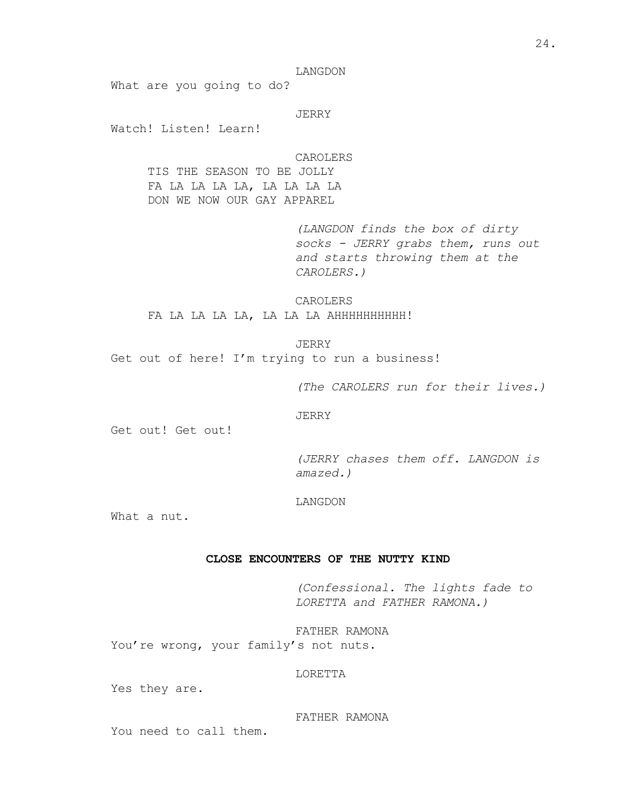LANGDON

What are you going to do?

JERRY

Watch! Listen! Learn!

CAROLERS

TIS THE SEASON TO BE JOLLY FA LA LA LA LA, LA LA LA LA DON WE NOW OUR GAY APPAREL

> *(LANGDON finds the box of dirty socks - JERRY grabs them, runs out and starts throwing them at the CAROLERS.)*

CAROLERS FA LA LA LA LA, LA LA LA AHHHHHHHHHH!

JERRY

Get out of here! I'm trying to run a business!

*(The CAROLERS run for their lives.)*

JERRY

Get out! Get out!

*(JERRY chases them off. LANGDON is amazed.)*

## LANGDON

What a nut.

## **CLOSE ENCOUNTERS OF THE NUTTY KIND**

*(Confessional. The lights fade to LORETTA and FATHER RAMONA.)*

FATHER RAMONA You're wrong, your family's not nuts.

#### LORETTA

Yes they are.

FATHER RAMONA

You need to call them.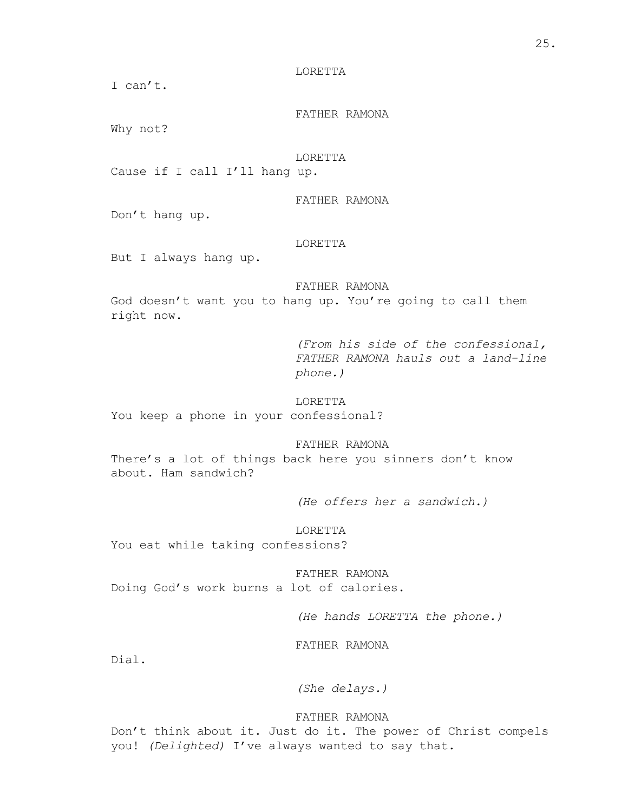#### LORETTA

I can't.

FATHER RAMONA

Why not?

## LORETTA

Cause if I call I'll hang up.

FATHER RAMONA

Don't hang up.

## LORETTA

But I always hang up.

## FATHER RAMONA

God doesn't want you to hang up. You're going to call them right now.

> *(From his side of the confessional, FATHER RAMONA hauls out a land-line phone.)*

## LORETTA

You keep a phone in your confessional?

#### FATHER RAMONA

There's a lot of things back here you sinners don't know about. Ham sandwich?

*(He offers her a sandwich.)*

LORETTA You eat while taking confessions?

FATHER RAMONA Doing God's work burns a lot of calories.

*(He hands LORETTA the phone.)*

FATHER RAMONA

Dial.

*(She delays.)*

#### FATHER RAMONA

Don't think about it. Just do it. The power of Christ compels you! *(Delighted)* I've always wanted to say that.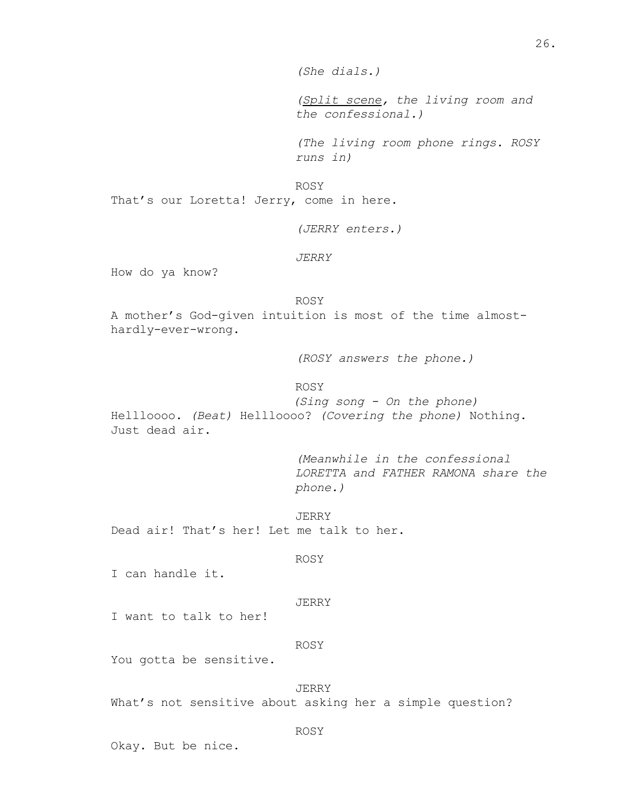*(She dials.)*

*(Split scene, the living room and the confessional.)*

*(The living room phone rings. ROSY runs in)*

ROSY That's our Loretta! Jerry, come in here.

*(JERRY enters.)*

*JERRY*

How do ya know?

ROSY

A mother's God-given intuition is most of the time almosthardly-ever-wrong.

*(ROSY answers the phone.)*

ROSY

*(Sing song - On the phone)* Hellloooo. *(Beat)* Hellloooo? *(Covering the phone)* Nothing. Just dead air.

> *(Meanwhile in the confessional LORETTA and FATHER RAMONA share the phone.)*

JERRY Dead air! That's her! Let me talk to her.

ROSY

I can handle it.

JERRY

I want to talk to her!

ROSY

You gotta be sensitive.

JERRY

What's not sensitive about asking her a simple question?

ROSY

Okay. But be nice.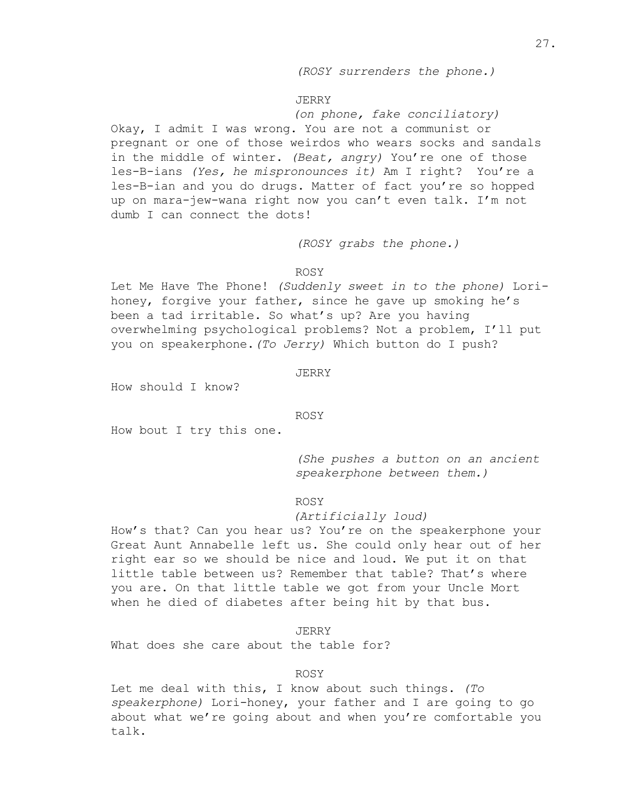## *(ROSY surrenders the phone.)*

## JERRY

## *(on phone, fake conciliatory)*

Okay, I admit I was wrong. You are not a communist or pregnant or one of those weirdos who wears socks and sandals in the middle of winter. *(Beat, angry)* You're one of those les-B-ians *(Yes, he mispronounces it)* Am I right? You're a les-B-ian and you do drugs. Matter of fact you're so hopped up on mara-jew-wana right now you can't even talk. I'm not dumb I can connect the dots!

*(ROSY grabs the phone.)*

## ROSY

Let Me Have The Phone! *(Suddenly sweet in to the phone)* Lorihoney, forgive your father, since he gave up smoking he's been a tad irritable. So what's up? Are you having overwhelming psychological problems? Not a problem, I'll put you on speakerphone.*(To Jerry)* Which button do I push?

## JERRY

How should I know?

#### ROSY

How bout I try this one.

*(She pushes a button on an ancient speakerphone between them.)*

#### ROSY

#### *(Artificially loud)*

How's that? Can you hear us? You're on the speakerphone your Great Aunt Annabelle left us. She could only hear out of her right ear so we should be nice and loud. We put it on that little table between us? Remember that table? That's where you are. On that little table we got from your Uncle Mort when he died of diabetes after being hit by that bus.

## JERRY

What does she care about the table for?

#### ROSY

Let me deal with this, I know about such things. *(To speakerphone)* Lori-honey, your father and I are going to go about what we're going about and when you're comfortable you talk.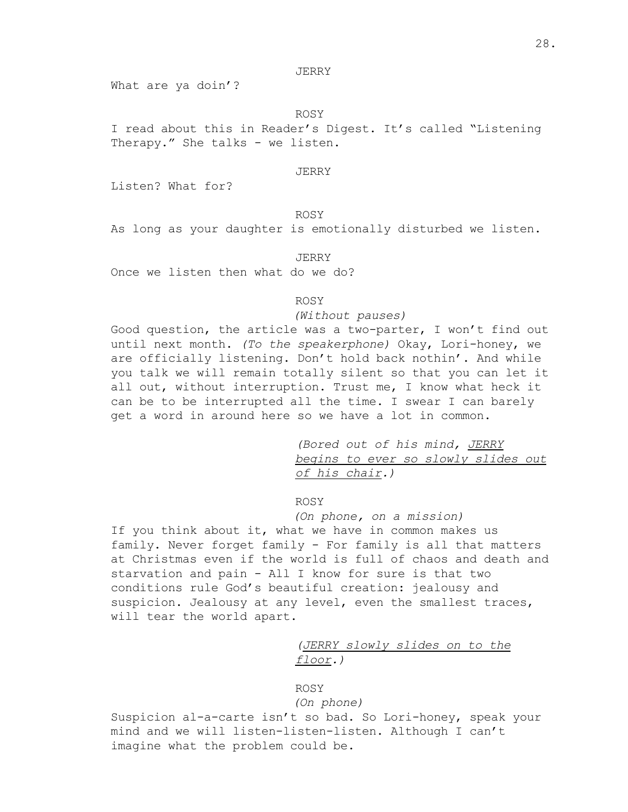#### JERRY

What are ya doin'?

ROSY

I read about this in Reader's Digest. It's called "Listening Therapy." She talks - we listen.

#### JERRY

Listen? What for?

## ROSY

As long as your daughter is emotionally disturbed we listen.

## **JERRY**

Once we listen then what do we do?

#### ROSY

*(Without pauses)*

Good question, the article was a two-parter, I won't find out until next month. *(To the speakerphone)* Okay, Lori-honey, we are officially listening. Don't hold back nothin'. And while you talk we will remain totally silent so that you can let it all out, without interruption. Trust me, I know what heck it can be to be interrupted all the time. I swear I can barely get a word in around here so we have a lot in common.

> *(Bored out of his mind, JERRY begins to ever so slowly slides out of his chair.)*

## ROSY

*(On phone, on a mission)*

If you think about it, what we have in common makes us family. Never forget family - For family is all that matters at Christmas even if the world is full of chaos and death and starvation and pain - All I know for sure is that two conditions rule God's beautiful creation: jealousy and suspicion. Jealousy at any level, even the smallest traces, will tear the world apart.

## *(JERRY slowly slides on to the floor.)*

## ROSY

*(On phone)*

Suspicion al-a-carte isn't so bad. So Lori-honey, speak your mind and we will listen-listen-listen. Although I can't imagine what the problem could be.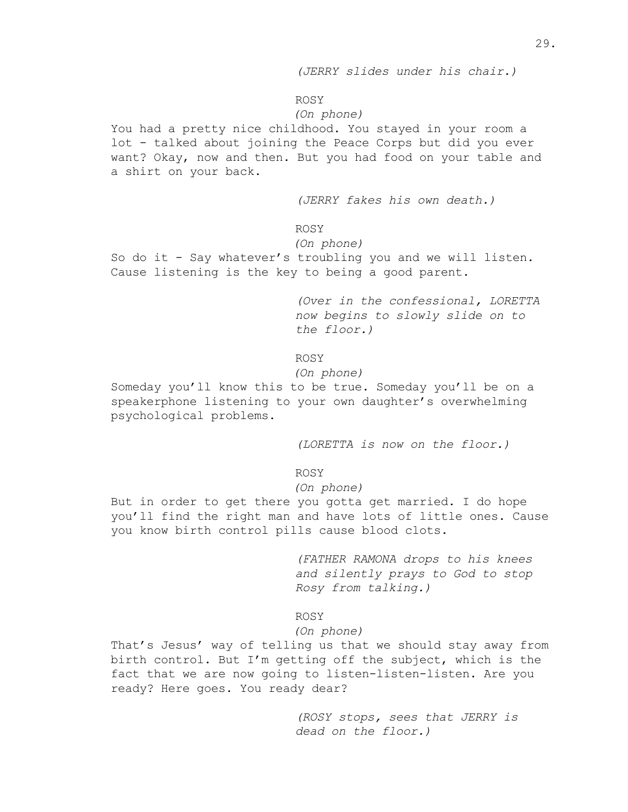*(JERRY slides under his chair.)*

## ROSY

## *(On phone)*

You had a pretty nice childhood. You stayed in your room a lot - talked about joining the Peace Corps but did you ever want? Okay, now and then. But you had food on your table and a shirt on your back.

*(JERRY fakes his own death.)*

#### ROSY

## *(On phone)*

So do it - Say whatever's troubling you and we will listen. Cause listening is the key to being a good parent.

> *(Over in the confessional, LORETTA now begins to slowly slide on to the floor.)*

## ROSY

## *(On phone)*

Someday you'll know this to be true. Someday you'll be on a speakerphone listening to your own daughter's overwhelming psychological problems.

*(LORETTA is now on the floor.)*

## ROSY

## *(On phone)*

But in order to get there you gotta get married. I do hope you'll find the right man and have lots of little ones. Cause you know birth control pills cause blood clots.

> *(FATHER RAMONA drops to his knees and silently prays to God to stop Rosy from talking.)*

#### ROSY

## *(On phone)*

That's Jesus' way of telling us that we should stay away from birth control. But I'm getting off the subject, which is the fact that we are now going to listen-listen-listen. Are you ready? Here goes. You ready dear?

> *(ROSY stops, sees that JERRY is dead on the floor.)*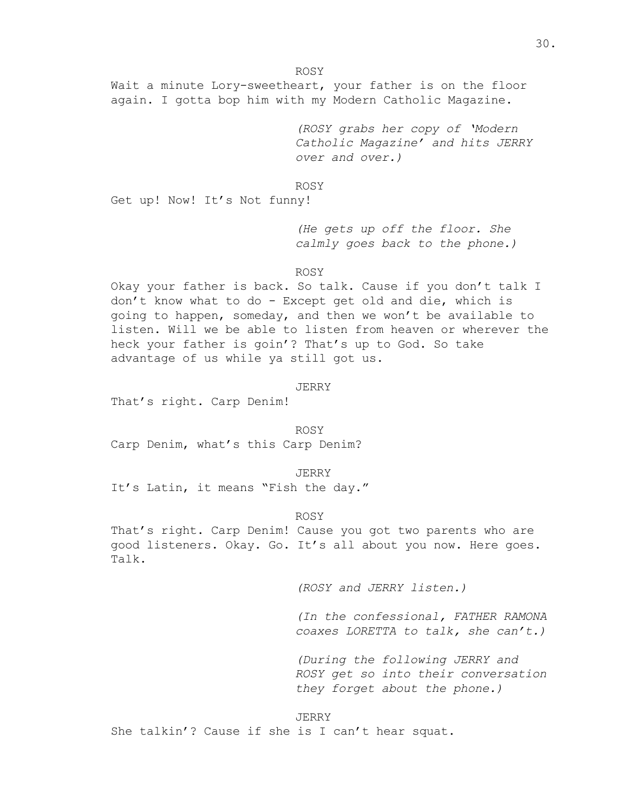ROSY

Wait a minute Lory-sweetheart, your father is on the floor again. I gotta bop him with my Modern Catholic Magazine.

> *(ROSY grabs her copy of 'Modern Catholic Magazine' and hits JERRY over and over.)*

ROSY

Get up! Now! It's Not funny!

*(He gets up off the floor. She calmly goes back to the phone.)*

## ROSY

Okay your father is back. So talk. Cause if you don't talk I don't know what to do - Except get old and die, which is going to happen, someday, and then we won't be available to listen. Will we be able to listen from heaven or wherever the heck your father is goin'? That's up to God. So take advantage of us while ya still got us.

JERRY

That's right. Carp Denim!

ROSY

Carp Denim, what's this Carp Denim?

JERRY

It's Latin, it means "Fish the day."

#### ROSY

That's right. Carp Denim! Cause you got two parents who are good listeners. Okay. Go. It's all about you now. Here goes. Talk.

*(ROSY and JERRY listen.)*

*(In the confessional, FATHER RAMONA coaxes LORETTA to talk, she can't.)*

*(During the following JERRY and ROSY get so into their conversation they forget about the phone.)*

#### JERRY

She talkin'? Cause if she is I can't hear squat.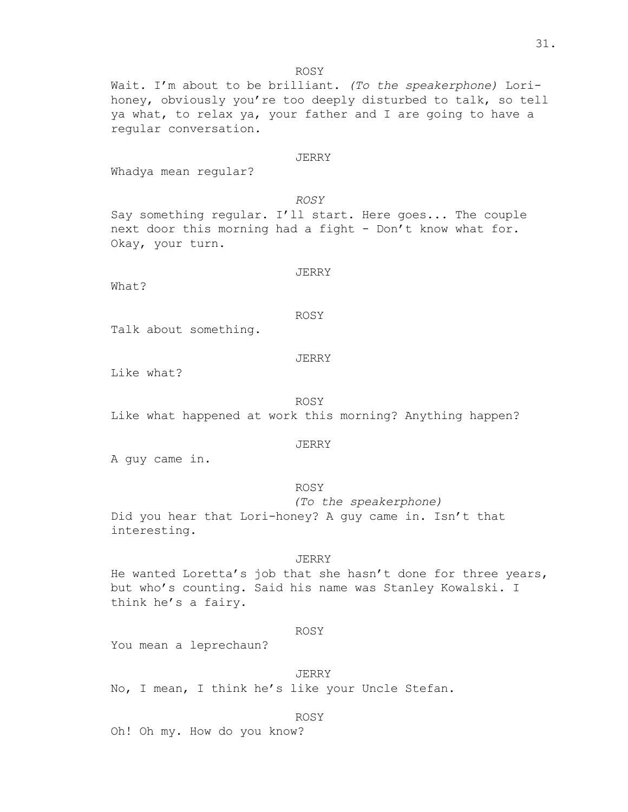ROSY

Wait. I'm about to be brilliant. *(To the speakerphone)* Lorihoney, obviously you're too deeply disturbed to talk, so tell ya what, to relax ya, your father and I are going to have a regular conversation.

#### JERRY

Whadya mean regular?

*ROSY* Say something regular. I'll start. Here goes... The couple next door this morning had a fight - Don't know what for. Okay, your turn.

JERRY

What?

ROSY

Talk about something.

#### JERRY

Like what?

ROSY

Like what happened at work this morning? Anything happen?

## JERRY

A guy came in.

## ROSY

*(To the speakerphone)* Did you hear that Lori-honey? A guy came in. Isn't that interesting.

## JERRY

He wanted Loretta's job that she hasn't done for three years, but who's counting. Said his name was Stanley Kowalski. I think he's a fairy.

#### ROSY

You mean a leprechaun?

JERRY

No, I mean, I think he's like your Uncle Stefan.

#### ROSY

Oh! Oh my. How do you know?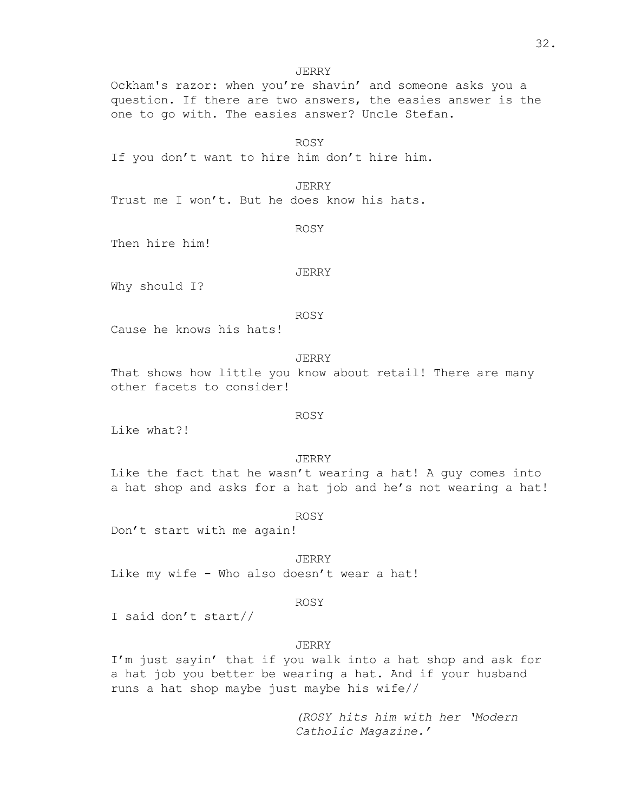## JERRY

Ockham's razor: when you're shavin' and someone asks you a question. If there are two answers, the easies answer is the one to go with. The easies answer? Uncle Stefan.

ROSY

If you don't want to hire him don't hire him.

JERRY

Trust me I won't. But he does know his hats.

#### ROSY

Then hire him!

JERRY

Why should I?

#### ROSY

Cause he knows his hats!

JERRY

That shows how little you know about retail! There are many other facets to consider!

#### ROSY

Like what?!

JERRY

Like the fact that he wasn't wearing a hat! A guy comes into a hat shop and asks for a hat job and he's not wearing a hat!

#### ROSY

Don't start with me again!

JERRY Like my wife - Who also doesn't wear a hat!

#### ROSY

I said don't start//

## JERRY

I'm just sayin' that if you walk into a hat shop and ask for a hat job you better be wearing a hat. And if your husband runs a hat shop maybe just maybe his wife//

> *(ROSY hits him with her 'Modern Catholic Magazine.'*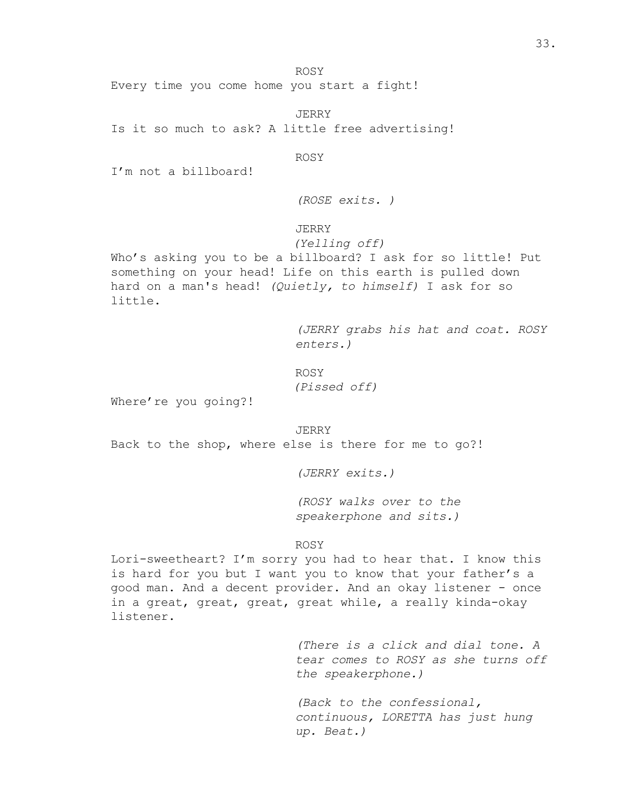ROSY

Every time you come home you start a fight!

JERRY Is it so much to ask? A little free advertising!

ROSY

I'm not a billboard!

*(ROSE exits. )*

## JERRY

## *(Yelling off)*

Who's asking you to be a billboard? I ask for so little! Put something on your head! Life on this earth is pulled down hard on a man's head! *(Quietly, to himself)* I ask for so little.

> *(JERRY grabs his hat and coat. ROSY enters.)*

ROSY *(Pissed off)*

Where're you going?!

JERRY

Back to the shop, where else is there for me to go?!

*(JERRY exits.)*

*(ROSY walks over to the speakerphone and sits.)*

#### ROSY

Lori-sweetheart? I'm sorry you had to hear that. I know this is hard for you but I want you to know that your father's a good man. And a decent provider. And an okay listener - once in a great, great, great, great while, a really kinda-okay listener.

> *(There is a click and dial tone. A tear comes to ROSY as she turns off the speakerphone.)*

*(Back to the confessional, continuous, LORETTA has just hung up. Beat.)*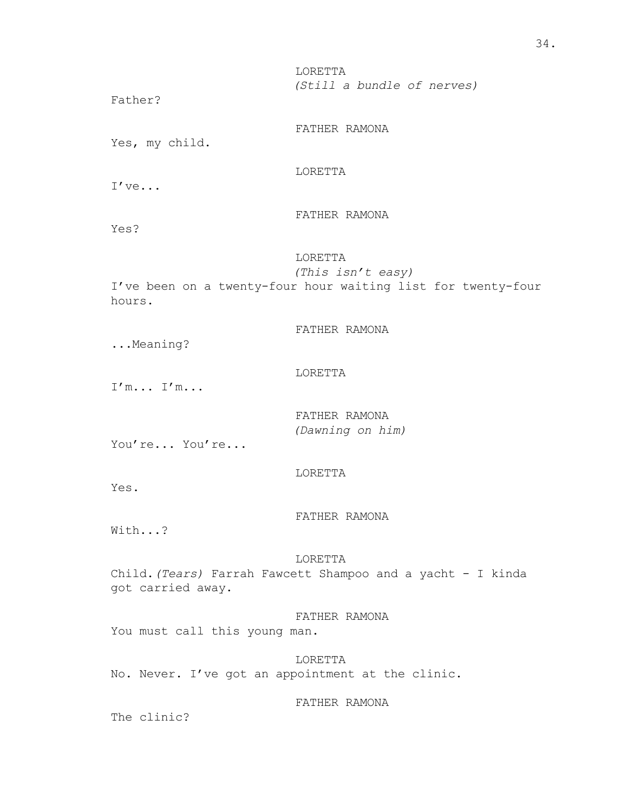LORETTA *(Still a bundle of nerves)*

Father?

FATHER RAMONA

Yes, my child.

LORETTA

I've...

FATHER RAMONA

Yes?

LORETTA

*(This isn't easy)* I've been on a twenty-four hour waiting list for twenty-four hours.

FATHER RAMONA

...Meaning?

# LORETTA

I'm... I'm...

FATHER RAMONA *(Dawning on him)*

You're... You're...

### LORETTA

Yes.

### FATHER RAMONA

With...?

### LORETTA

Child.*(Tears)* Farrah Fawcett Shampoo and a yacht - I kinda got carried away.

FATHER RAMONA

You must call this young man.

LORETTA No. Never. I've got an appointment at the clinic.

FATHER RAMONA

The clinic?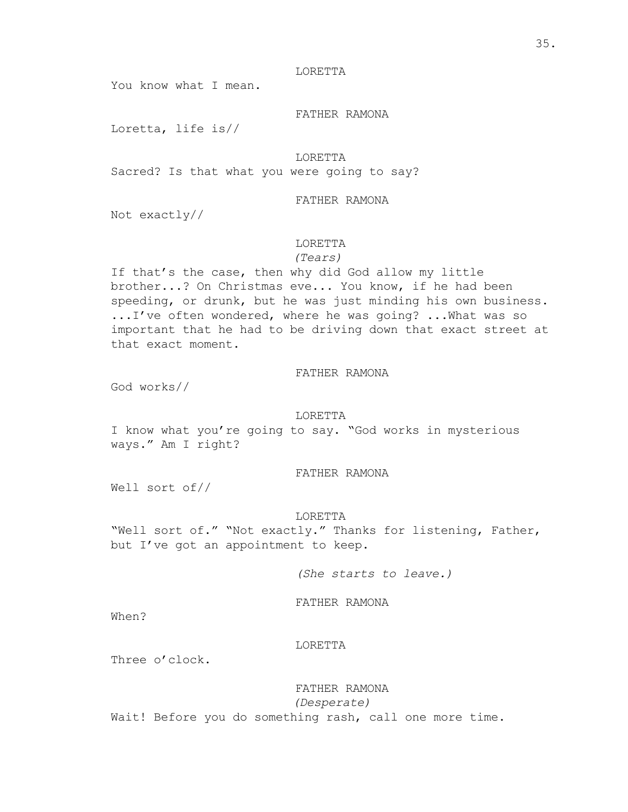#### LORETTA

You know what I mean.

FATHER RAMONA

Loretta, life is//

LORETTA

Sacred? Is that what you were going to say?

### FATHER RAMONA

Not exactly//

# LORETTA

*(Tears)*

If that's the case, then why did God allow my little brother...? On Christmas eve... You know, if he had been speeding, or drunk, but he was just minding his own business. ...I've often wondered, where he was going? ...What was so important that he had to be driving down that exact street at that exact moment.

### FATHER RAMONA

God works//

### LORETTA

I know what you're going to say. "God works in mysterious ways." Am I right?

### FATHER RAMONA

Well sort of//

### LORETTA

"Well sort of." "Not exactly." Thanks for listening, Father, but I've got an appointment to keep.

*(She starts to leave.)*

FATHER RAMONA

When?

### LORETTA

Three o'clock.

# FATHER RAMONA

*(Desperate)*

Wait! Before you do something rash, call one more time.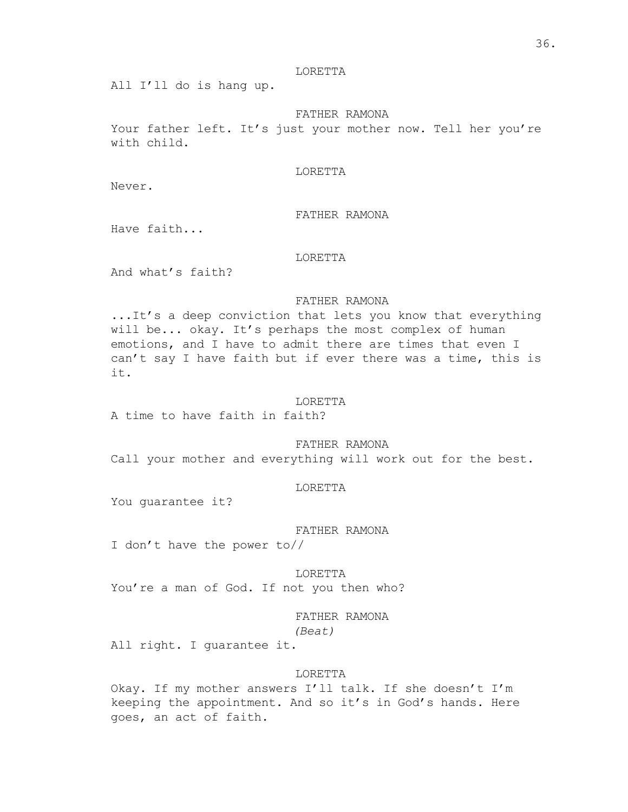#### LORETTA

All I'll do is hang up.

#### FATHER RAMONA

Your father left. It's just your mother now. Tell her you're with child.

### LORETTA

Never.

## FATHER RAMONA

Have faith...

#### LORETTA

And what's faith?

### FATHER RAMONA

...It's a deep conviction that lets you know that everything will be... okay. It's perhaps the most complex of human emotions, and I have to admit there are times that even I can't say I have faith but if ever there was a time, this is it.

#### LORETTA

A time to have faith in faith?

### FATHER RAMONA

Call your mother and everything will work out for the best.

### LORETTA

You guarantee it?

### FATHER RAMONA

I don't have the power to//

LORETTA You're a man of God. If not you then who?

# FATHER RAMONA

*(Beat)*

All right. I guarantee it.

#### LORETTA

Okay. If my mother answers I'll talk. If she doesn't I'm keeping the appointment. And so it's in God's hands. Here goes, an act of faith.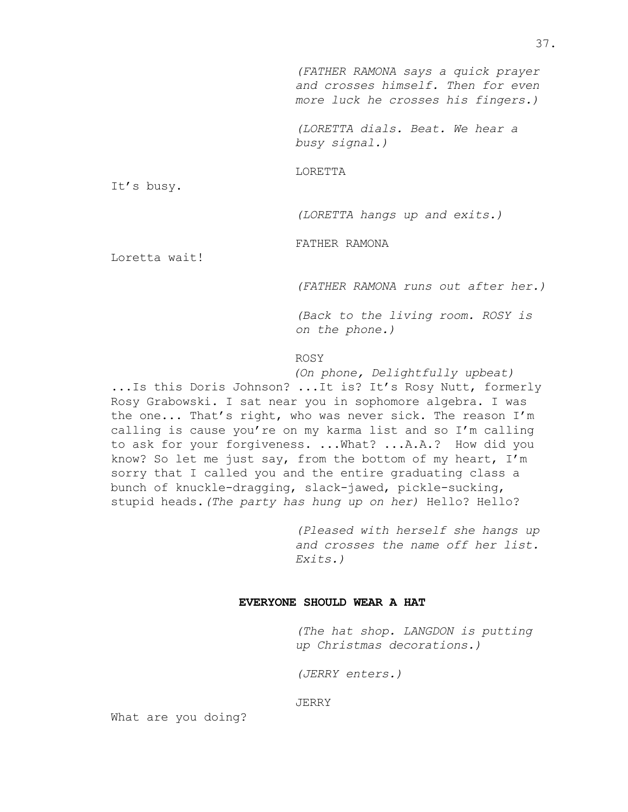*(LORETTA dials. Beat. We hear a busy signal.)*

LORETTA

It's busy.

*(LORETTA hangs up and exits.)*

FATHER RAMONA

Loretta wait!

*(FATHER RAMONA runs out after her.)*

*(Back to the living room. ROSY is on the phone.)*

# ROSY

*(On phone, Delightfully upbeat)*

...Is this Doris Johnson? ...It is? It's Rosy Nutt, formerly Rosy Grabowski. I sat near you in sophomore algebra. I was the one... That's right, who was never sick. The reason I'm calling is cause you're on my karma list and so I'm calling to ask for your forgiveness. ...What? ...A.A.? How did you know? So let me just say, from the bottom of my heart, I'm sorry that I called you and the entire graduating class a bunch of knuckle-dragging, slack-jawed, pickle-sucking, stupid heads.*(The party has hung up on her)* Hello? Hello?

> *(Pleased with herself she hangs up and crosses the name off her list. Exits.)*

### **EVERYONE SHOULD WEAR A HAT**

*(The hat shop. LANGDON is putting up Christmas decorations.)*

*(JERRY enters.)*

JERRY

What are you doing?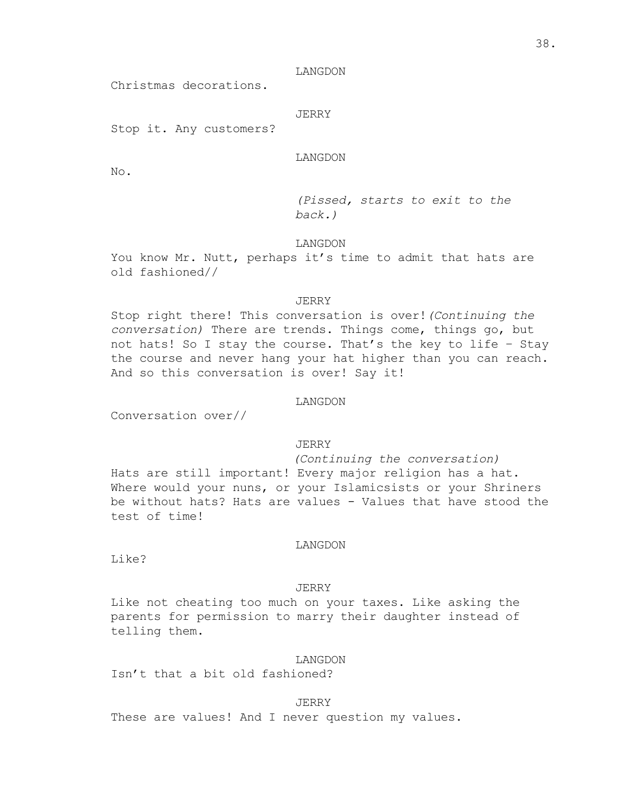#### LANGDON

Christmas decorations.

### JERRY

Stop it. Any customers?

### LANGDON

No.

*(Pissed, starts to exit to the back.)*

### LANGDON

You know Mr. Nutt, perhaps it's time to admit that hats are old fashioned//

#### JERRY

Stop right there! This conversation is over!*(Continuing the conversation)* There are trends. Things come, things go, but not hats! So I stay the course. That's the key to life – Stay the course and never hang your hat higher than you can reach. And so this conversation is over! Say it!

### LANGDON

Conversation over//

### JERRY

*(Continuing the conversation)* Hats are still important! Every major religion has a hat. Where would your nuns, or your Islamicsists or your Shriners be without hats? Hats are values - Values that have stood the test of time!

### LANGDON

Like?

#### JERRY

Like not cheating too much on your taxes. Like asking the parents for permission to marry their daughter instead of telling them.

### LANGDON

Isn't that a bit old fashioned?

#### JERRY

These are values! And I never question my values.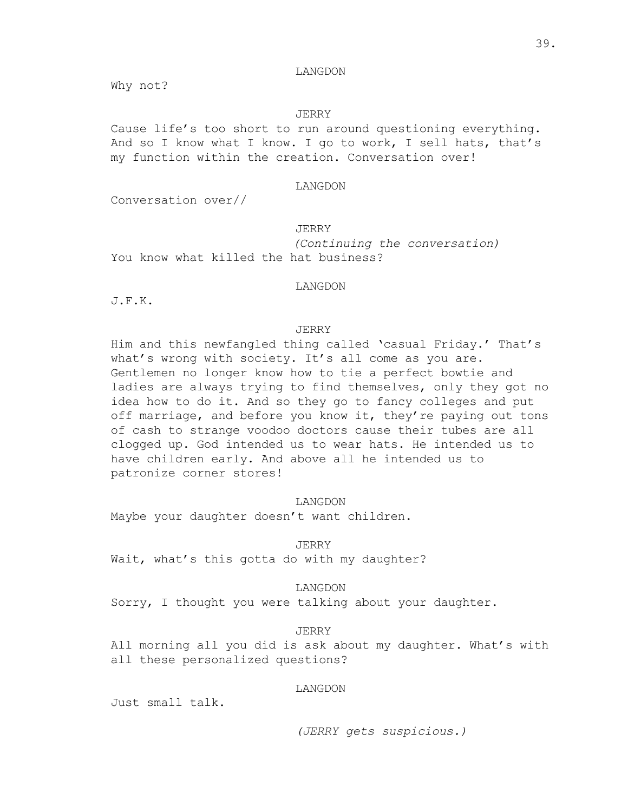### LANGDON

Why not?

### JERRY

Cause life's too short to run around questioning everything. And so I know what I know. I go to work, I sell hats, that's my function within the creation. Conversation over!

#### LANGDON

Conversation over//

### JERRY

*(Continuing the conversation)* You know what killed the hat business?

### LANGDON

J.F.K.

### JERRY

Him and this newfangled thing called 'casual Friday.' That's what's wrong with society. It's all come as you are. Gentlemen no longer know how to tie a perfect bowtie and ladies are always trying to find themselves, only they got no idea how to do it. And so they go to fancy colleges and put off marriage, and before you know it, they're paying out tons of cash to strange voodoo doctors cause their tubes are all clogged up. God intended us to wear hats. He intended us to have children early. And above all he intended us to patronize corner stores!

### LANGDON

Maybe your daughter doesn't want children.

### JERRY

Wait, what's this gotta do with my daughter?

#### LANGDON

Sorry, I thought you were talking about your daughter.

#### JERRY

All morning all you did is ask about my daughter. What's with all these personalized questions?

### LANGDON

Just small talk.

*(JERRY gets suspicious.)*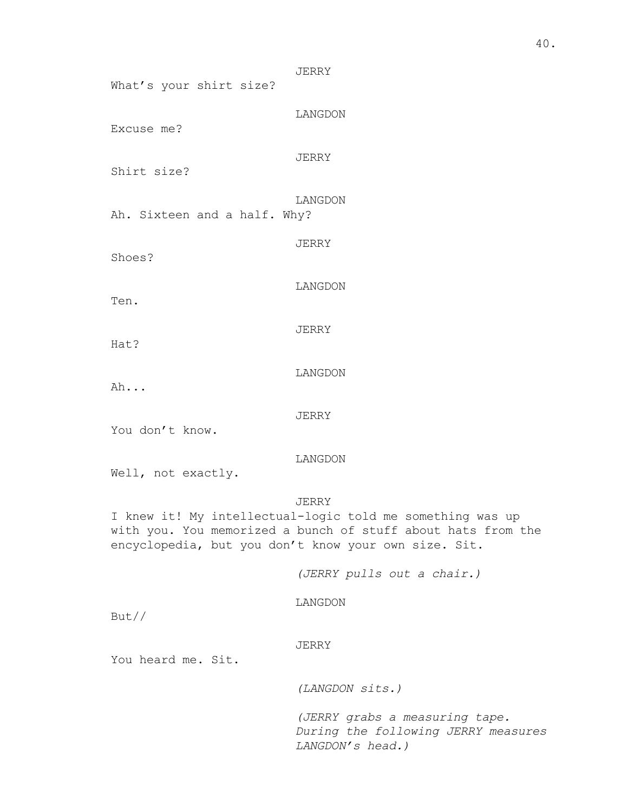JERRY What's your shirt size? LANGDON Excuse me? JERRY Shirt size? LANGDON Ah. Sixteen and a half. Why? JERRY Shoes? LANGDON Ten. JERRY Hat? LANGDON Ah... JERRY You don't know. LANGDON Well, not exactly. JERRY I knew it! My intellectual-logic told me something was up with you. You memorized a bunch of stuff about hats from the encyclopedia, but you don't know your own size. Sit. *(JERRY pulls out a chair.)* LANGDON But//

### JERRY

You heard me. Sit.

*(LANGDON sits.)*

*(JERRY grabs a measuring tape. During the following JERRY measures LANGDON's head.)*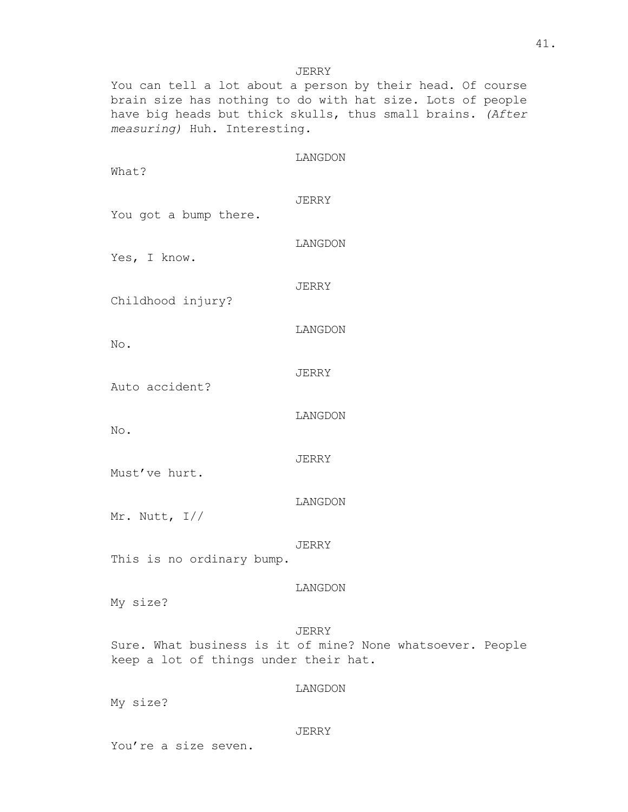# JERRY

You can tell a lot about a person by their head. Of course brain size has nothing to do with hat size. Lots of people have big heads but thick skulls, thus small brains. *(After measuring)* Huh. Interesting.

| What?                                 | LANGDON                                                             |
|---------------------------------------|---------------------------------------------------------------------|
| You got a bump there.                 | JERRY                                                               |
| Yes, I know.                          | LANGDON                                                             |
| Childhood injury?                     | JERRY                                                               |
| No.                                   | LANGDON                                                             |
| Auto accident?                        | JERRY                                                               |
| No.                                   | LANGDON                                                             |
| Must've hurt.                         | JERRY                                                               |
| Mr. Nutt, $I//$                       | LANGDON                                                             |
| This is no ordinary bump.             | JERRY                                                               |
| My size?                              | LANGDON                                                             |
| keep a lot of things under their hat. | JERRY<br>Sure. What business is it of mine? None whatsoever. People |
|                                       | LANGDON                                                             |

My size?

### JERRY

You're a size seven.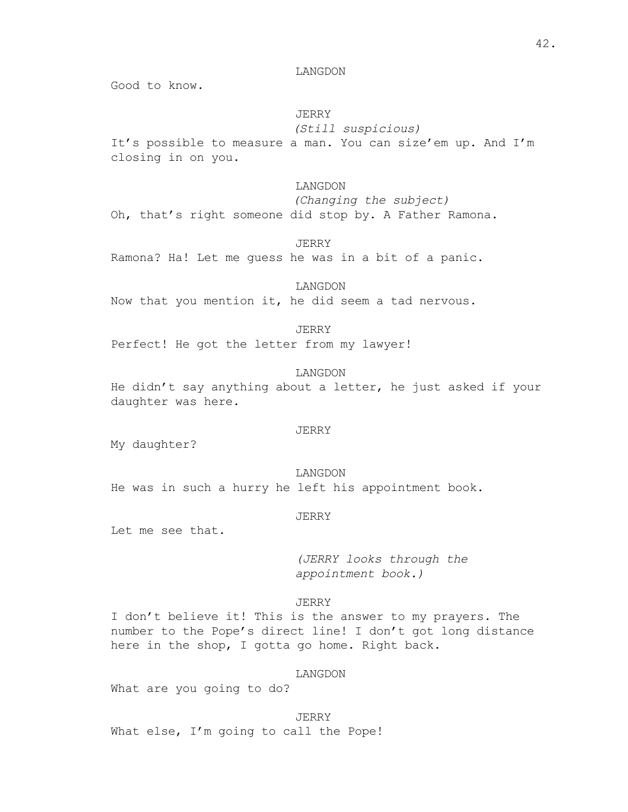### LANGDON

Good to know.

# JERRY

*(Still suspicious)* It's possible to measure a man. You can size'em up. And I'm closing in on you.

# LANGDON

*(Changing the subject)* Oh, that's right someone did stop by. A Father Ramona.

JERRY

Ramona? Ha! Let me guess he was in a bit of a panic.

### LANGDON

Now that you mention it, he did seem a tad nervous.

### JERRY

Perfect! He got the letter from my lawyer!

# LANGDON

He didn't say anything about a letter, he just asked if your daughter was here.

### JERRY

My daughter?

LANGDON He was in such a hurry he left his appointment book.

#### JERRY

Let me see that.

*(JERRY looks through the appointment book.)*

### JERRY

I don't believe it! This is the answer to my prayers. The number to the Pope's direct line! I don't got long distance here in the shop, I gotta go home. Right back.

#### LANGDON

What are you going to do?

### JERRY

What else, I'm going to call the Pope!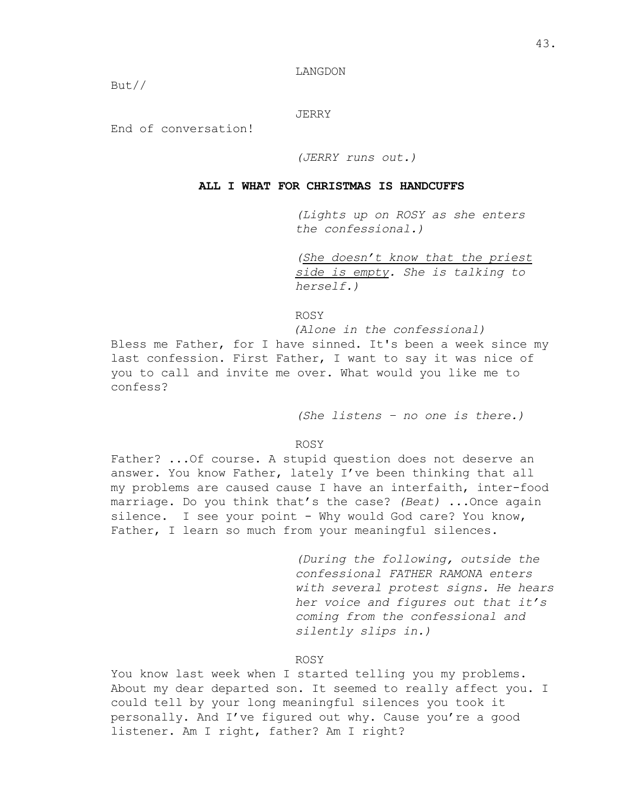#### LANGDON

But//

JERRY

End of conversation!

### *(JERRY runs out.)*

### **ALL I WHAT FOR CHRISTMAS IS HANDCUFFS**

*(Lights up on ROSY as she enters the confessional.)*

*(She doesn't know that the priest side is empty. She is talking to herself.)*

ROSY

*(Alone in the confessional)* Bless me Father, for I have sinned. It's been a week since my last confession. First Father, I want to say it was nice of you to call and invite me over. What would you like me to confess?

*(She listens – no one is there.)*

ROSY

Father? ...Of course. A stupid question does not deserve an answer. You know Father, lately I've been thinking that all my problems are caused cause I have an interfaith, inter-food marriage. Do you think that's the case? *(Beat)* ...Once again silence. I see your point - Why would God care? You know, Father, I learn so much from your meaningful silences.

> *(During the following, outside the confessional FATHER RAMONA enters with several protest signs. He hears her voice and figures out that it's coming from the confessional and silently slips in.)*

### ROSY

You know last week when I started telling you my problems. About my dear departed son. It seemed to really affect you. I could tell by your long meaningful silences you took it personally. And I've figured out why. Cause you're a good listener. Am I right, father? Am I right?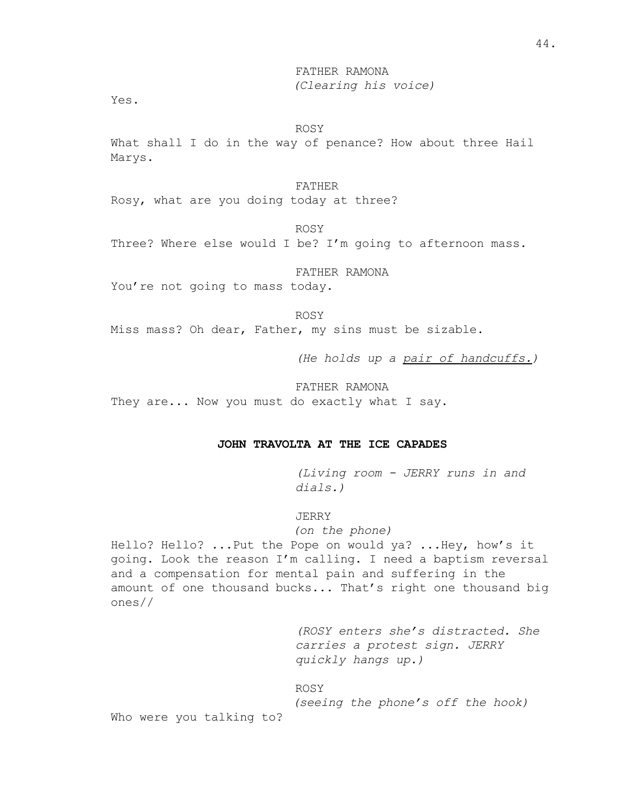FATHER RAMONA *(Clearing his voice)*

Yes.

#### ROSY

What shall I do in the way of penance? How about three Hail Marys.

### FATHER

Rosy, what are you doing today at three?

ROSY

Three? Where else would I be? I'm going to afternoon mass.

FATHER RAMONA

You're not going to mass today.

ROSY

Miss mass? Oh dear, Father, my sins must be sizable.

*(He holds up a pair of handcuffs.)*

FATHER RAMONA They are... Now you must do exactly what I say.

### **JOHN TRAVOLTA AT THE ICE CAPADES**

*(Living room - JERRY runs in and dials.)*

#### JERRY

*(on the phone)*

Hello? Hello? ...Put the Pope on would ya? ...Hey, how's it going. Look the reason I'm calling. I need a baptism reversal and a compensation for mental pain and suffering in the amount of one thousand bucks... That's right one thousand big ones//

> *(ROSY enters she's distracted. She carries a protest sign. JERRY quickly hangs up.)*

#### ROSY

*(seeing the phone's off the hook)*

Who were you talking to?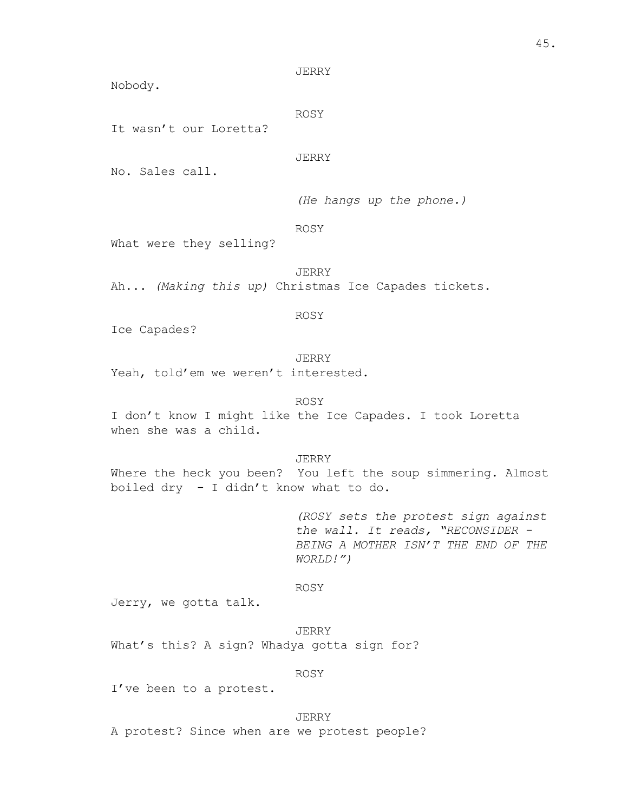JERRY

Nobody.

ROSY

It wasn't our Loretta?

### JERRY

No. Sales call.

*(He hangs up the phone.)*

### ROSY

What were they selling?

# JERRY

Ah... *(Making this up)* Christmas Ice Capades tickets.

#### ROSY

Ice Capades?

# JERRY

Yeah, told'em we weren't interested.

#### ROSY

I don't know I might like the Ice Capades. I took Loretta when she was a child.

### JERRY

Where the heck you been? You left the soup simmering. Almost boiled dry - I didn't know what to do.

> *(ROSY sets the protest sign against the wall. It reads, "RECONSIDER - BEING A MOTHER ISN'T THE END OF THE WORLD!")*

### ROSY

Jerry, we gotta talk.

JERRY What's this? A sign? Whadya gotta sign for?

### ROSY

I've been to a protest.

### JERRY

A protest? Since when are we protest people?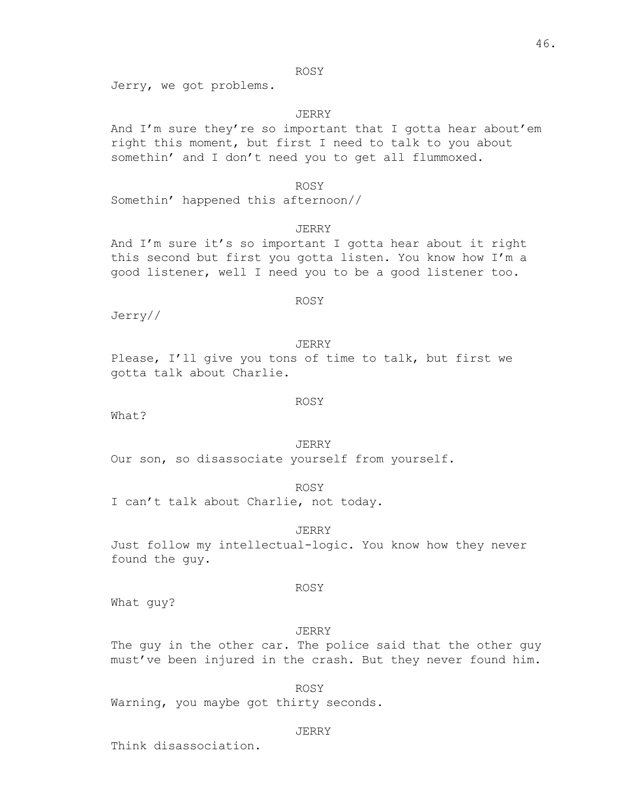### ROSY

Jerry, we got problems.

### JERRY

And I'm sure they're so important that I gotta hear about'em right this moment, but first I need to talk to you about somethin' and I don't need you to get all flummoxed.

#### ROSY

Somethin' happened this afternoon//

#### JERRY

And I'm sure it's so important I gotta hear about it right this second but first you gotta listen. You know how I'm a good listener, well I need you to be a good listener too.

### ROSY

Jerry//

# JERRY

Please, I'll give you tons of time to talk, but first we gotta talk about Charlie.

### ROSY

What?

# JERRY

Our son, so disassociate yourself from yourself.

ROSY

I can't talk about Charlie, not today.

JERRY Just follow my intellectual-logic. You know how they never found the guy.

### ROSY

What guy?

#### JERRY

The guy in the other car. The police said that the other guy must've been injured in the crash. But they never found him.

ROSY Warning, you maybe got thirty seconds.

#### **JERRY**

Think disassociation.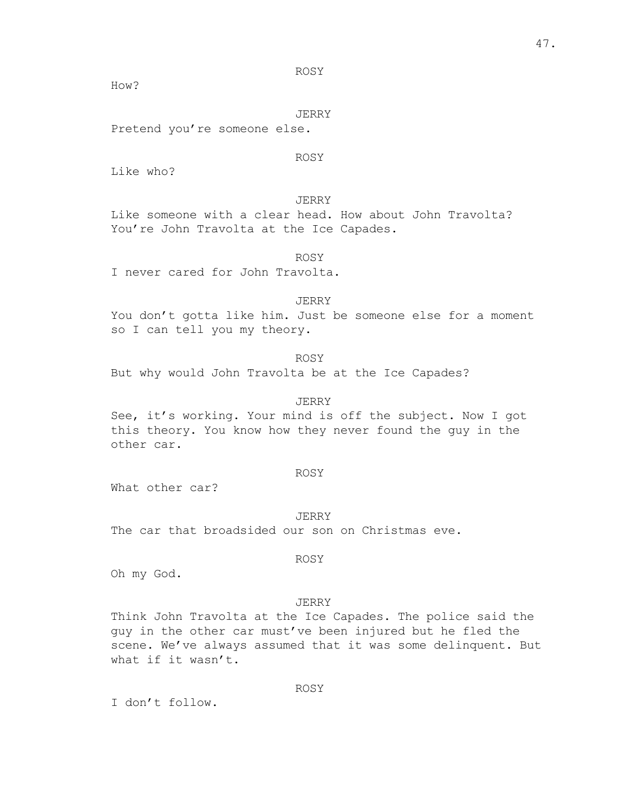How?

### JERRY

Pretend you're someone else.

### ROSY

Like who?

# JERRY

Like someone with a clear head. How about John Travolta? You're John Travolta at the Ice Capades.

# ROSY

I never cared for John Travolta.

#### JERRY

You don't gotta like him. Just be someone else for a moment so I can tell you my theory.

ROSY

But why would John Travolta be at the Ice Capades?

#### JERRY

See, it's working. Your mind is off the subject. Now I got this theory. You know how they never found the guy in the other car.

#### ROSY

What other car?

#### JERRY

The car that broadsided our son on Christmas eve.

### ROSY

Oh my God.

#### JERRY

Think John Travolta at the Ice Capades. The police said the guy in the other car must've been injured but he fled the scene. We've always assumed that it was some delinquent. But what if it wasn't.

### ROSY

I don't follow.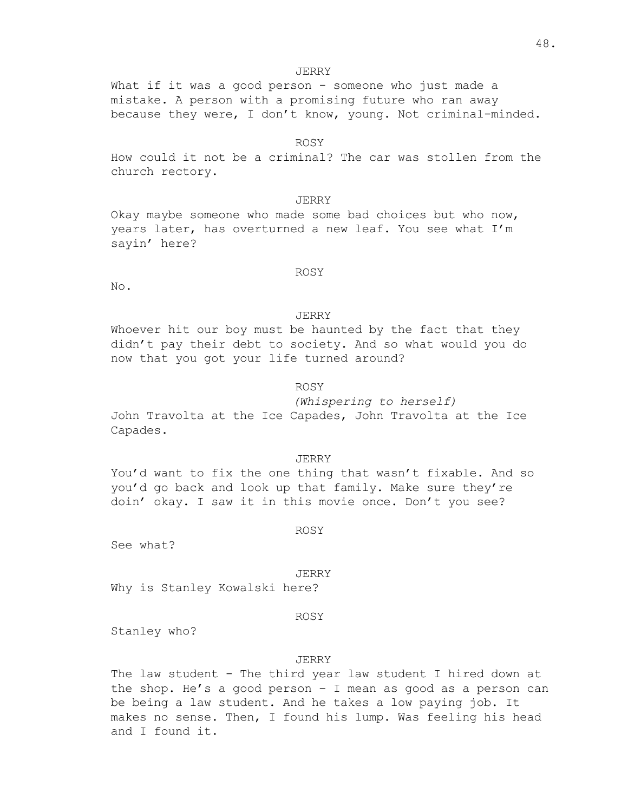#### JERRY

What if it was a good person - someone who just made a mistake. A person with a promising future who ran away because they were, I don't know, young. Not criminal-minded.

#### ROSY

How could it not be a criminal? The car was stollen from the church rectory.

#### JERRY

Okay maybe someone who made some bad choices but who now, years later, has overturned a new leaf. You see what I'm sayin' here?

#### ROSY

No.

### JERRY

Whoever hit our boy must be haunted by the fact that they didn't pay their debt to society. And so what would you do now that you got your life turned around?

### ROSY

*(Whispering to herself)*

John Travolta at the Ice Capades, John Travolta at the Ice Capades.

### JERRY

You'd want to fix the one thing that wasn't fixable. And so you'd go back and look up that family. Make sure they're doin' okay. I saw it in this movie once. Don't you see?

### ROSY

See what?

JERRY

Why is Stanley Kowalski here?

#### ROSY

Stanley who?

### JERRY

The law student - The third year law student I hired down at the shop. He's a good person – I mean as good as a person can be being a law student. And he takes a low paying job. It makes no sense. Then, I found his lump. Was feeling his head and I found it.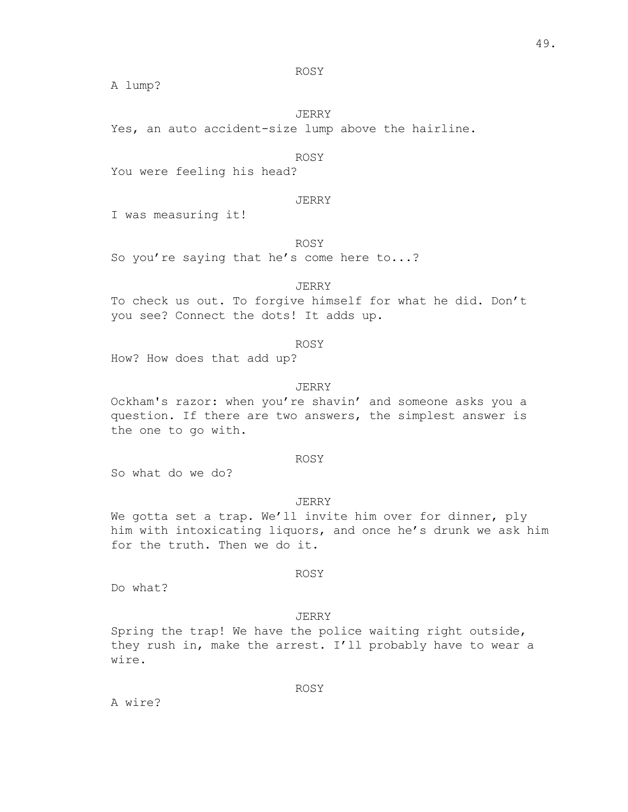### ROSY

A lump?

JERRY Yes, an auto accident-size lump above the hairline.

### ROSY

You were feeling his head?

### JERRY

I was measuring it!

ROSY

So you're saying that he's come here to...?

JERRY

To check us out. To forgive himself for what he did. Don't you see? Connect the dots! It adds up.

### ROSY

How? How does that add up?

#### JERRY

Ockham's razor: when you're shavin' and someone asks you a question. If there are two answers, the simplest answer is the one to go with.

#### ROSY

So what do we do?

# JERRY

We gotta set a trap. We'll invite him over for dinner, ply him with intoxicating liquors, and once he's drunk we ask him for the truth. Then we do it.

### ROSY

Do what?

#### JERRY

Spring the trap! We have the police waiting right outside, they rush in, make the arrest. I'll probably have to wear a wire.

### ROSY

A wire?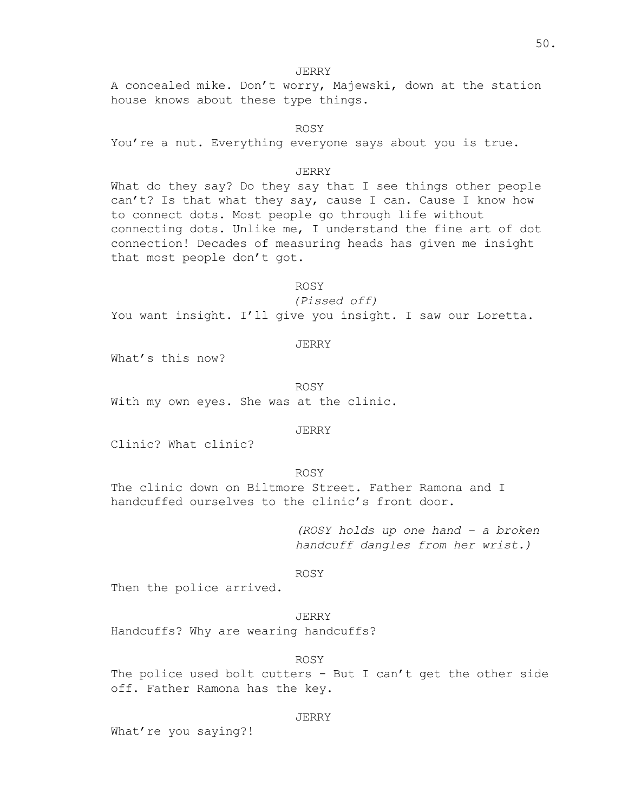JERRY

A concealed mike. Don't worry, Majewski, down at the station house knows about these type things.

ROSY

You're a nut. Everything everyone says about you is true.

### JERRY

What do they say? Do they say that I see things other people can't? Is that what they say, cause I can. Cause I know how to connect dots. Most people go through life without connecting dots. Unlike me, I understand the fine art of dot connection! Decades of measuring heads has given me insight that most people don't got.

### ROSY

*(Pissed off)*

You want insight. I'll give you insight. I saw our Loretta.

### JERRY

What's this now?

ROSY

With my own eyes. She was at the clinic.

#### JERRY

Clinic? What clinic?

### ROSY

The clinic down on Biltmore Street. Father Ramona and I handcuffed ourselves to the clinic's front door.

> *(ROSY holds up one hand – a broken handcuff dangles from her wrist.)*

ROSY

Then the police arrived.

#### JERRY

Handcuffs? Why are wearing handcuffs?

### ROSY

The police used bolt cutters - But I can't get the other side off. Father Ramona has the key.

#### JERRY

What're you saying?!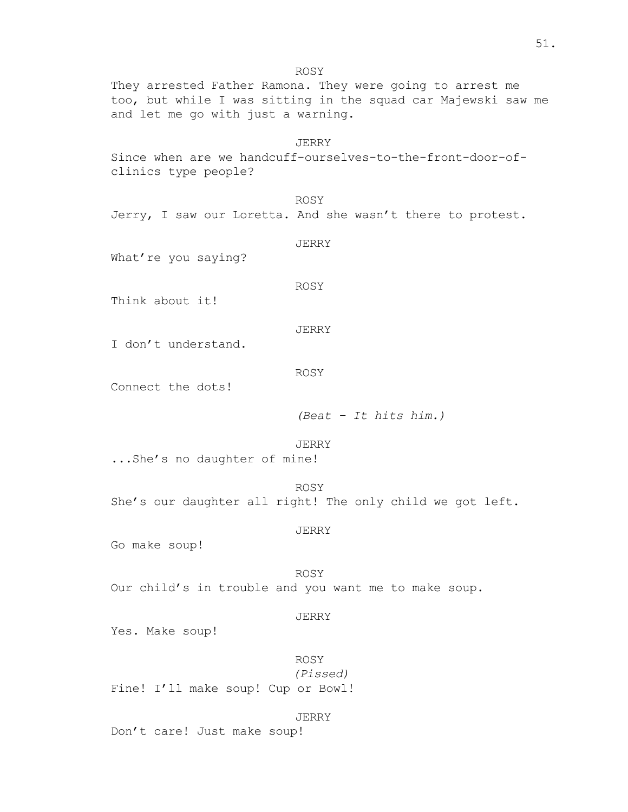They arrested Father Ramona. They were going to arrest me too, but while I was sitting in the squad car Majewski saw me and let me go with just a warning.

ROSY

# JERRY Since when are we handcuff-ourselves-to-the-front-door-ofclinics type people?

ROSY Jerry, I saw our Loretta. And she wasn't there to protest.

JERRY

What're you saying?

ROSY

Think about it!

JERRY

I don't understand.

ROSY

Connect the dots!

### *(Beat – It hits him.)*

JERRY

...She's no daughter of mine!

ROSY

She's our daughter all right! The only child we got left.

### JERRY

Go make soup!

ROSY Our child's in trouble and you want me to make soup.

### JERRY

Yes. Make soup!

ROSY *(Pissed)* Fine! I'll make soup! Cup or Bowl!

### JERRY

Don't care! Just make soup!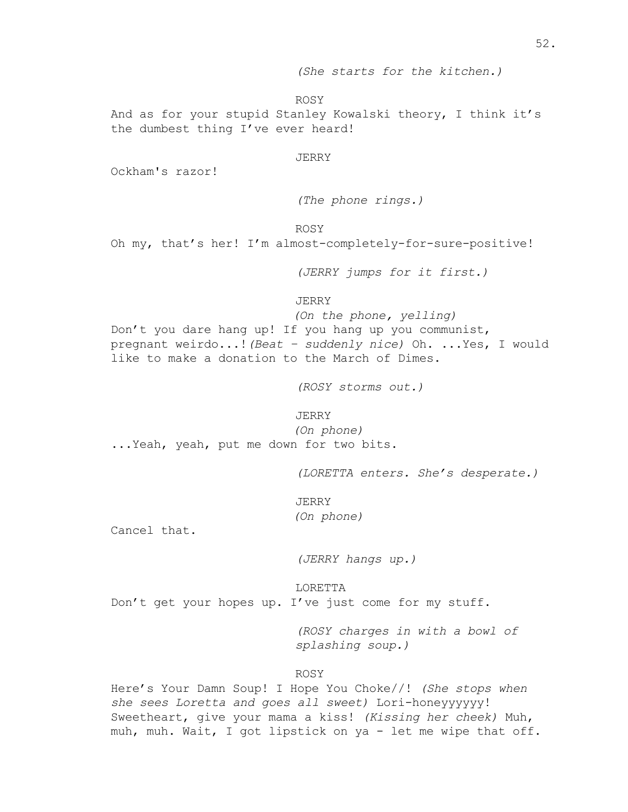*(She starts for the kitchen.)*

ROSY

And as for your stupid Stanley Kowalski theory, I think it's the dumbest thing I've ever heard!

JERRY

Ockham's razor!

*(The phone rings.)*

ROSY

Oh my, that's her! I'm almost-completely-for-sure-positive!

*(JERRY jumps for it first.)*

JERRY

*(On the phone, yelling)* Don't you dare hang up! If you hang up you communist, pregnant weirdo...!*(Beat – suddenly nice)* Oh. ...Yes, I would like to make a donation to the March of Dimes.

*(ROSY storms out.)*

JERRY

*(On phone)* ...Yeah, yeah, put me down for two bits.

*(LORETTA enters. She's desperate.)*

JERRY *(On phone)*

Cancel that.

*(JERRY hangs up.)*

LORETTA

Don't get your hopes up. I've just come for my stuff.

*(ROSY charges in with a bowl of splashing soup.)*

#### ROSY

Here's Your Damn Soup! I Hope You Choke//! *(She stops when she sees Loretta and goes all sweet)* Lori-honeyyyyyy! Sweetheart, give your mama a kiss! *(Kissing her cheek)* Muh, muh, muh. Wait, I got lipstick on ya - let me wipe that off.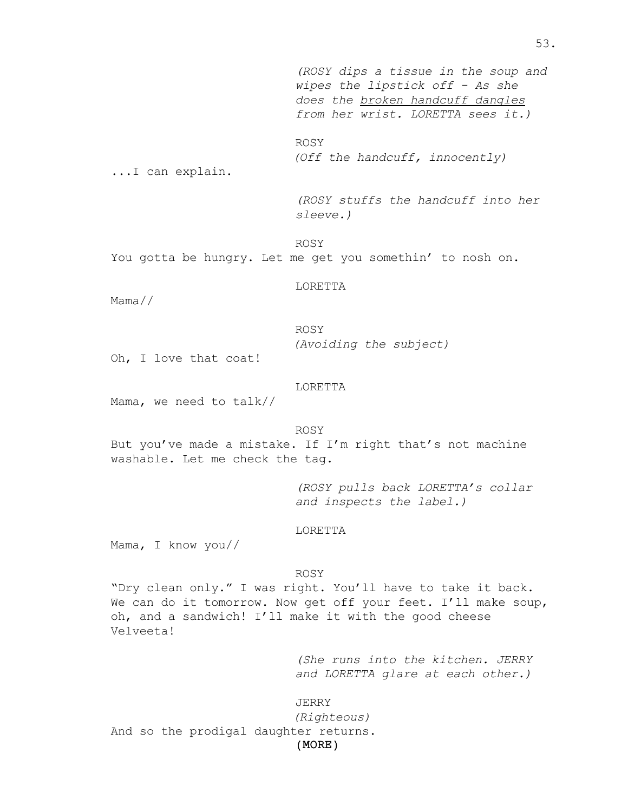*(ROSY dips a tissue in the soup and wipes the lipstick off - As she does the broken handcuff dangles from her wrist. LORETTA sees it.)*

ROSY *(Off the handcuff, innocently)*

...I can explain.

*(ROSY stuffs the handcuff into her sleeve.)*

ROSY

You gotta be hungry. Let me get you somethin' to nosh on.

LORETTA

Mama//

ROSY *(Avoiding the subject)*

Oh, I love that coat!

#### LORETTA

Mama, we need to talk//

### ROSY

But you've made a mistake. If I'm right that's not machine washable. Let me check the tag.

> *(ROSY pulls back LORETTA's collar and inspects the label.)*

### LORETTA

Mama, I know you//

#### ROSY

"Dry clean only." I was right. You'll have to take it back. We can do it tomorrow. Now get off your feet. I'll make soup, oh, and a sandwich! I'll make it with the good cheese Velveeta!

> *(She runs into the kitchen. JERRY and LORETTA glare at each other.)*

(MORE) JERRY *(Righteous)* And so the prodigal daughter returns.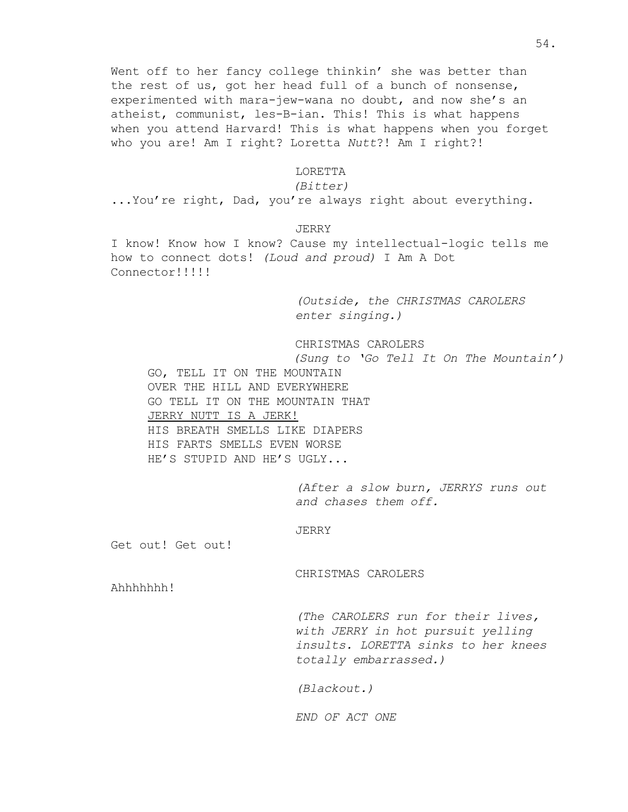Went off to her fancy college thinkin' she was better than the rest of us, got her head full of a bunch of nonsense, experimented with mara-jew-wana no doubt, and now she's an atheist, communist, les-B-ian. This! This is what happens when you attend Harvard! This is what happens when you forget who you are! Am I right? Loretta *Nutt*?! Am I right?!

### LORETTA

### *(Bitter)*

...You're right, Dad, you're always right about everything.

JERRY

I know! Know how I know? Cause my intellectual-logic tells me how to connect dots! *(Loud and proud)* I Am A Dot Connector!!!!!

> *(Outside, the CHRISTMAS CAROLERS enter singing.)*

CHRISTMAS CAROLERS *(Sung to 'Go Tell It On The Mountain')* GO, TELL IT ON THE MOUNTAIN OVER THE HILL AND EVERYWHERE GO TELL IT ON THE MOUNTAIN THAT JERRY NUTT IS A JERK! HIS BREATH SMELLS LIKE DIAPERS HIS FARTS SMELLS EVEN WORSE HE'S STUPID AND HE'S UGLY...

> *(After a slow burn, JERRYS runs out and chases them off.*

### JERRY

Get out! Get out!

CHRISTMAS CAROLERS

Ahhhhhhh!

*(The CAROLERS run for their lives, with JERRY in hot pursuit yelling insults. LORETTA sinks to her knees totally embarrassed.)*

*(Blackout.)*

*END OF ACT ONE*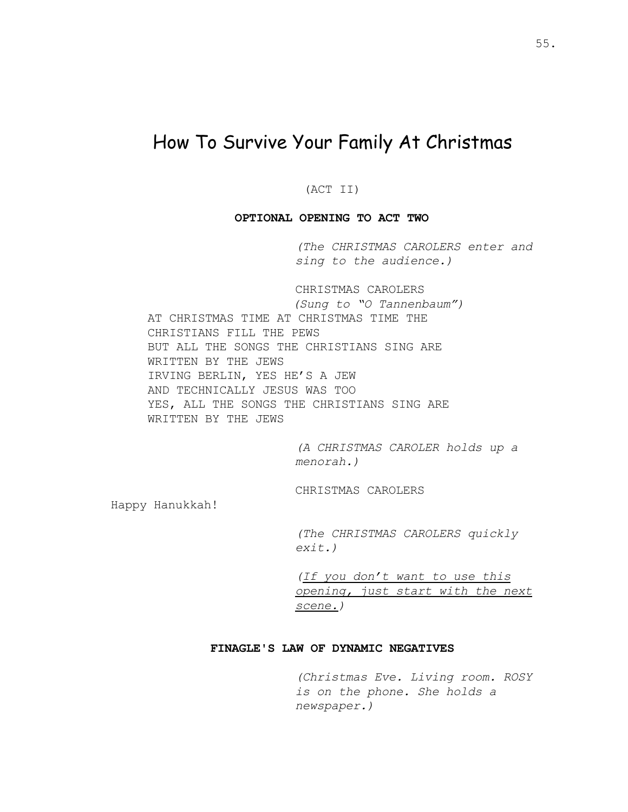# How To Survive Your Family At Christmas

(ACT II)

**OPTIONAL OPENING TO ACT TWO**

*(The CHRISTMAS CAROLERS enter and sing to the audience.)*

CHRISTMAS CAROLERS *(Sung to "O Tannenbaum")* AT CHRISTMAS TIME AT CHRISTMAS TIME THE CHRISTIANS FILL THE PEWS BUT ALL THE SONGS THE CHRISTIANS SING ARE WRITTEN BY THE JEWS IRVING BERLIN, YES HE'S A JEW AND TECHNICALLY JESUS WAS TOO YES, ALL THE SONGS THE CHRISTIANS SING ARE WRITTEN BY THE JEWS

> *(A CHRISTMAS CAROLER holds up a menorah.)*

CHRISTMAS CAROLERS

Happy Hanukkah!

*(The CHRISTMAS CAROLERS quickly exit.)*

*(If you don't want to use this opening, just start with the next scene.)*

# **FINAGLE'S LAW OF DYNAMIC NEGATIVES**

*(Christmas Eve. Living room. ROSY is on the phone. She holds a newspaper.)*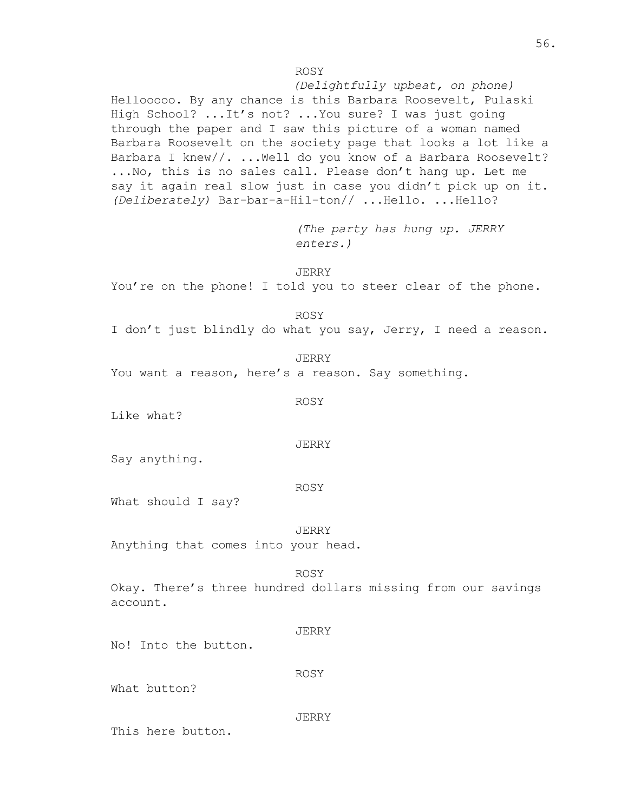ROSY

*(Delightfully upbeat, on phone)* Hellooooo. By any chance is this Barbara Roosevelt, Pulaski High School? ...It's not? ...You sure? I was just going through the paper and I saw this picture of a woman named Barbara Roosevelt on the society page that looks a lot like a Barbara I knew//. ...Well do you know of a Barbara Roosevelt? ...No, this is no sales call. Please don't hang up. Let me say it again real slow just in case you didn't pick up on it. *(Deliberately)* Bar-bar-a-Hil-ton// ...Hello. ...Hello?

> *(The party has hung up. JERRY enters.)*

JERRY

You're on the phone! I told you to steer clear of the phone.

ROSY

I don't just blindly do what you say, Jerry, I need a reason.

JERRY You want a reason, here's a reason. Say something.

ROSY

Like what?

JERRY

Say anything.

ROSY

What should I say?

JERRY Anything that comes into your head.

ROSY

Okay. There's three hundred dollars missing from our savings account.

JERRY

No! Into the button.

ROSY

What button?

JERRY

This here button.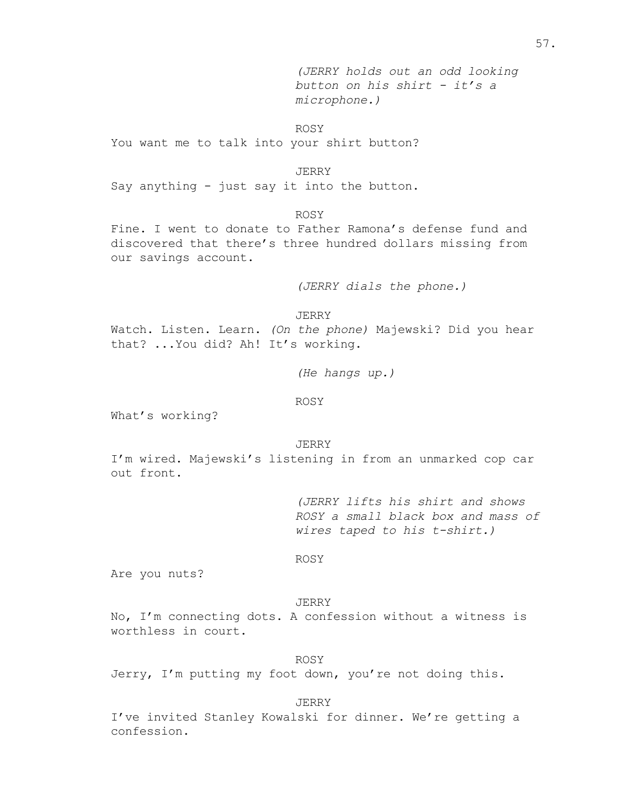*(JERRY holds out an odd looking button on his shirt - it's a microphone.)*

ROSY You want me to talk into your shirt button?

JERRY

Say anything - just say it into the button.

ROSY

Fine. I went to donate to Father Ramona's defense fund and discovered that there's three hundred dollars missing from our savings account.

*(JERRY dials the phone.)*

JERRY

Watch. Listen. Learn. *(On the phone)* Majewski? Did you hear that? ...You did? Ah! It's working.

*(He hangs up.)*

ROSY

What's working?

JERRY

I'm wired. Majewski's listening in from an unmarked cop car out front.

> *(JERRY lifts his shirt and shows ROSY a small black box and mass of wires taped to his t-shirt.)*

ROSY

Are you nuts?

JERRY

No, I'm connecting dots. A confession without a witness is worthless in court.

ROSY

Jerry, I'm putting my foot down, you're not doing this.

JERRY

I've invited Stanley Kowalski for dinner. We're getting a confession.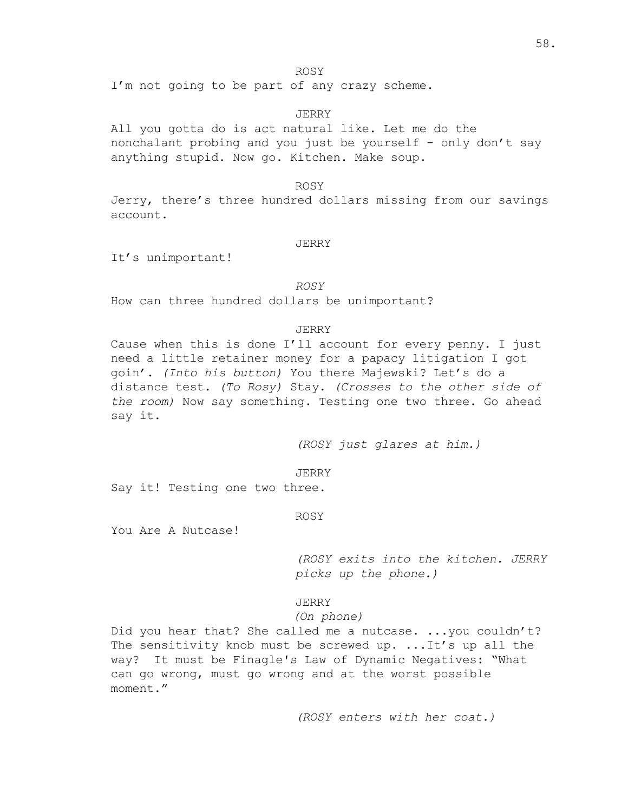ROSY

I'm not going to be part of any crazy scheme.

### JERRY

All you gotta do is act natural like. Let me do the nonchalant probing and you just be yourself - only don't say anything stupid. Now go. Kitchen. Make soup.

#### ROSY

Jerry, there's three hundred dollars missing from our savings account.

#### JERRY

It's unimportant!

### *ROSY*

How can three hundred dollars be unimportant?

### JERRY

Cause when this is done I'll account for every penny. I just need a little retainer money for a papacy litigation I got goin'. *(Into his button)* You there Majewski? Let's do a distance test. *(To Rosy)* Stay. *(Crosses to the other side of the room)* Now say something. Testing one two three. Go ahead say it.

*(ROSY just glares at him.)*

#### JERRY

Say it! Testing one two three.

#### ROSY

You Are A Nutcase!

*(ROSY exits into the kitchen. JERRY picks up the phone.)*

#### JERRY

### *(On phone)*

Did you hear that? She called me a nutcase. ... you couldn't? The sensitivity knob must be screwed up. ...It's up all the way? It must be Finagle's Law of Dynamic Negatives: "What can go wrong, must go wrong and at the worst possible moment."

*(ROSY enters with her coat.)*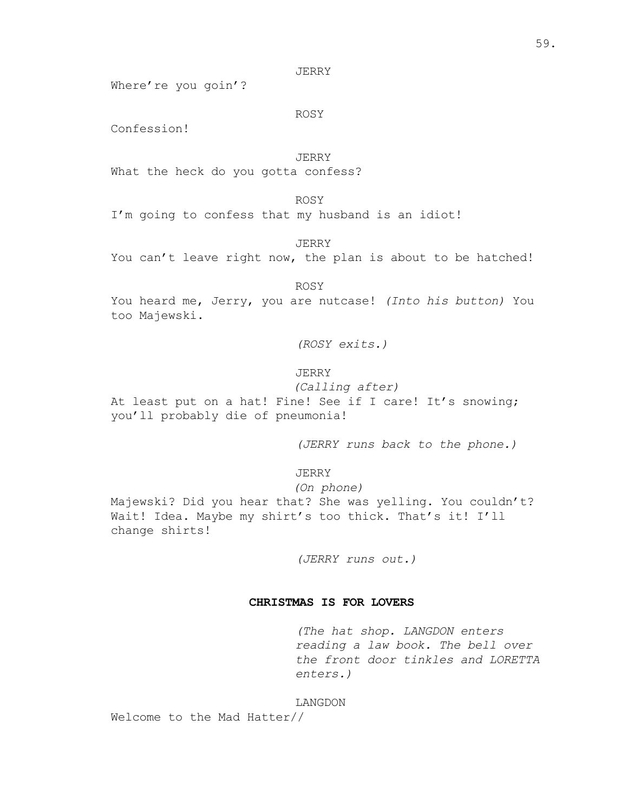JERRY

Where're you goin'?

ROSY

Confession!

JERRY

What the heck do you gotta confess?

ROSY

I'm going to confess that my husband is an idiot!

JERRY

You can't leave right now, the plan is about to be hatched!

ROSY

You heard me, Jerry, you are nutcase! *(Into his button)* You too Majewski.

*(ROSY exits.)*

# JERRY

*(Calling after)*

At least put on a hat! Fine! See if I care! It's snowing; you'll probably die of pneumonia!

*(JERRY runs back to the phone.)*

JERRY

*(On phone)*

Majewski? Did you hear that? She was yelling. You couldn't? Wait! Idea. Maybe my shirt's too thick. That's it! I'll change shirts!

*(JERRY runs out.)*

### **CHRISTMAS IS FOR LOVERS**

*(The hat shop. LANGDON enters reading a law book. The bell over the front door tinkles and LORETTA enters.)*

LANGDON

Welcome to the Mad Hatter//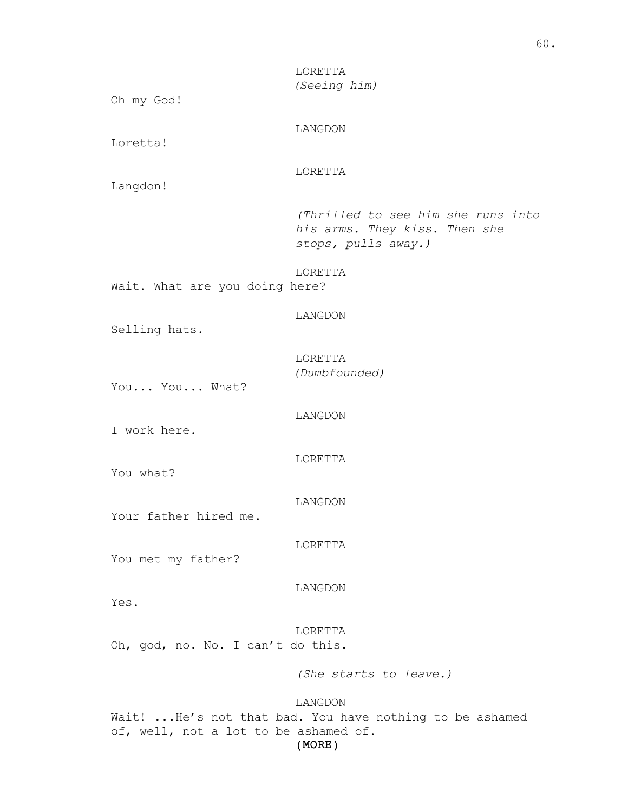LORETTA *(Seeing him)*

Oh my God!

LANGDON

Loretta!

LORETTA

Langdon!

*(Thrilled to see him she runs into his arms. They kiss. Then she stops, pulls away.)*

LORETTA Wait. What are you doing here?

### LANGDON

Selling hats.

LORETTA *(Dumbfounded)*

You... You... What?

LANGDON

I work here.

LORETTA

You what?

LANGDON

Your father hired me.

LORETTA

You met my father?

LANGDON

Yes.

LORETTA Oh, god, no. No. I can't do this.

*(She starts to leave.)*

(MORE) LANGDON Wait! ...He's not that bad. You have nothing to be ashamed of, well, not a lot to be ashamed of.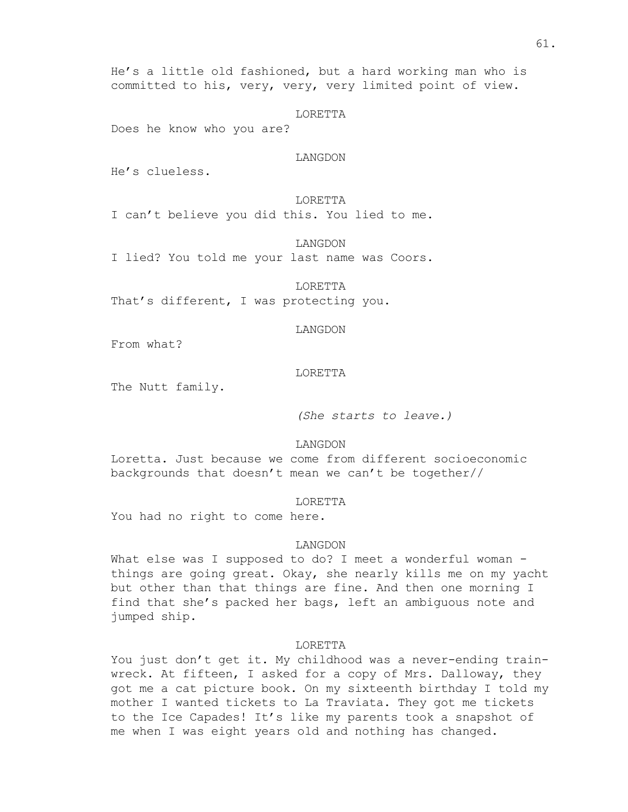He's a little old fashioned, but a hard working man who is committed to his, very, very, very limited point of view.

LORETTA

Does he know who you are?

#### LANGDON

He's clueless.

LORETTA

I can't believe you did this. You lied to me.

LANGDON

I lied? You told me your last name was Coors.

LORETTA

That's different, I was protecting you.

#### LANGDON

From what?

### LORETTA

The Nutt family.

*(She starts to leave.)*

LANGDON

Loretta. Just because we come from different socioeconomic backgrounds that doesn't mean we can't be together//

#### LORETTA

You had no right to come here.

### LANGDON

What else was I supposed to do? I meet a wonderful woman things are going great. Okay, she nearly kills me on my yacht but other than that things are fine. And then one morning I find that she's packed her bags, left an ambiguous note and jumped ship.

### LORETTA

You just don't get it. My childhood was a never-ending trainwreck. At fifteen, I asked for a copy of Mrs. Dalloway, they got me a cat picture book. On my sixteenth birthday I told my mother I wanted tickets to La Traviata. They got me tickets to the Ice Capades! It's like my parents took a snapshot of me when I was eight years old and nothing has changed.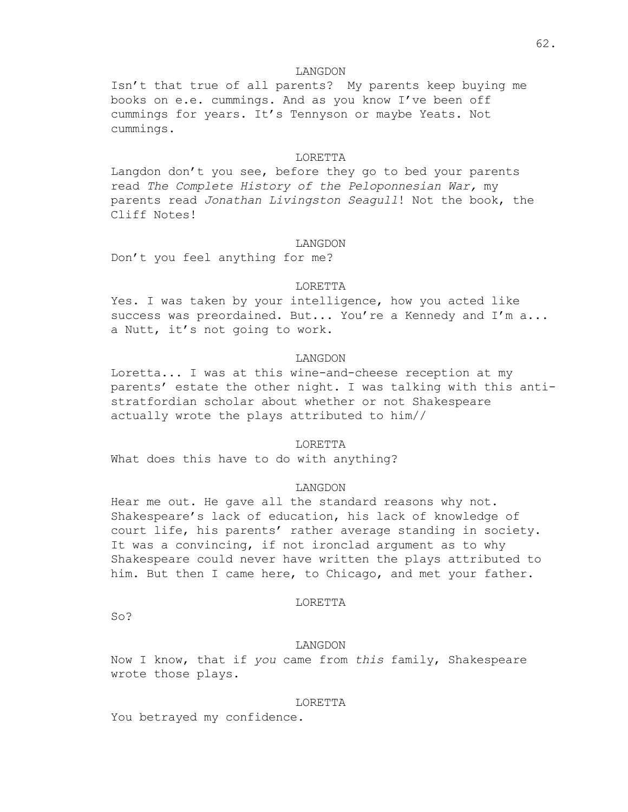#### LANGDON

Isn't that true of all parents? My parents keep buying me books on e.e. cummings. And as you know I've been off cummings for years. It's Tennyson or maybe Yeats. Not cummings.

### LORETTA

Langdon don't you see, before they go to bed your parents read *The Complete History of the Peloponnesian War,* my parents read *Jonathan Livingston Seagull*! Not the book, the Cliff Notes!

### LANGDON

Don't you feel anything for me?

#### LORETTA

Yes. I was taken by your intelligence, how you acted like success was preordained. But... You're a Kennedy and I'm a... a Nutt, it's not going to work.

### LANGDON

Loretta... I was at this wine-and-cheese reception at my parents' estate the other night. I was talking with this antistratfordian scholar about whether or not Shakespeare actually wrote the plays attributed to him//

### LORETTA

What does this have to do with anything?

#### LANGDON

Hear me out. He gave all the standard reasons why not. Shakespeare's lack of education, his lack of knowledge of court life, his parents' rather average standing in society. It was a convincing, if not ironclad argument as to why Shakespeare could never have written the plays attributed to him. But then I came here, to Chicago, and met your father.

#### LORETTA

So?

#### LANGDON

Now I know, that if *you* came from *this* family, Shakespeare wrote those plays.

#### LORETTA

You betrayed my confidence.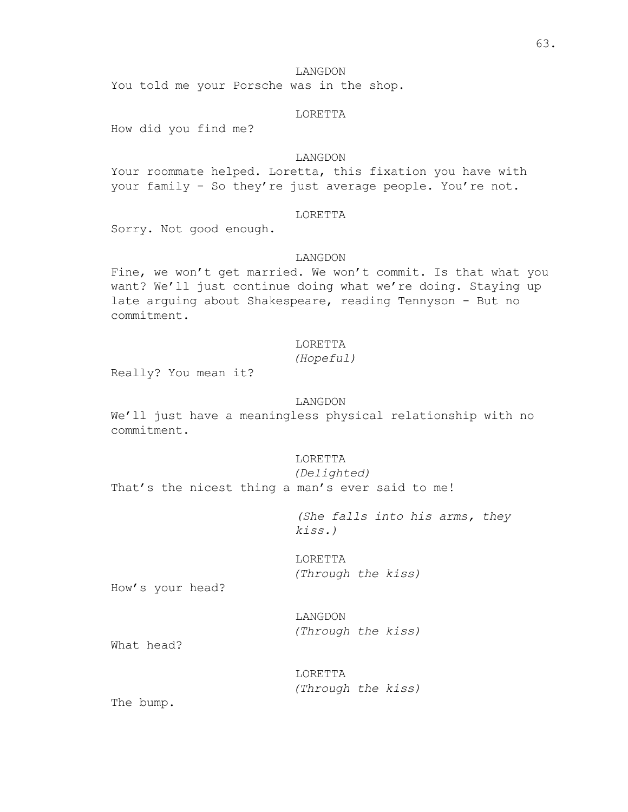### LANGDON

You told me your Porsche was in the shop.

### LORETTA

How did you find me?

### LANGDON

Your roommate helped. Loretta, this fixation you have with your family - So they're just average people. You're not.

### LORETTA

Sorry. Not good enough.

#### LANGDON

Fine, we won't get married. We won't commit. Is that what you want? We'll just continue doing what we're doing. Staying up late arguing about Shakespeare, reading Tennyson - But no commitment.

### LORETTA

*(Hopeful)*

Really? You mean it?

### LANGDON

We'll just have a meaningless physical relationship with no commitment.

### LORETTA

*(Delighted)* That's the nicest thing a man's ever said to me!

> *(She falls into his arms, they kiss.)*

LORETTA *(Through the kiss)*

How's your head?

LANGDON *(Through the kiss)*

What head?

LORETTA *(Through the kiss)*

The bump.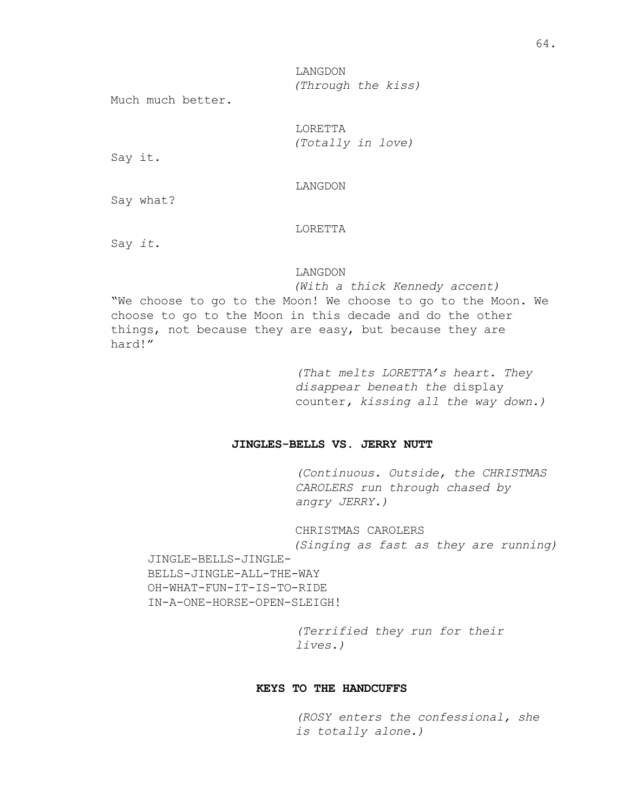Much much better.

LORETTA *(Totally in love)*

Say it.

### LANGDON

Say what?

#### LORETTA

Say *it*.

### LANGDON

*(With a thick Kennedy accent)* "We choose to go to the Moon! We choose to go to the Moon. We choose to go to the Moon in this decade and do the other things, not because they are easy, but because they are hard!"

> *(That melts LORETTA's heart. They disappear beneath the* display counter*, kissing all the way down.)*

#### **JINGLES-BELLS VS. JERRY NUTT**

*(Continuous. Outside, the CHRISTMAS CAROLERS run through chased by angry JERRY.)*

CHRISTMAS CAROLERS *(Singing as fast as they are running)*

JINGLE-BELLS-JINGLE-BELLS-JINGLE-ALL-THE-WAY OH-WHAT-FUN-IT-IS-TO-RIDE IN-A-ONE-HORSE-OPEN-SLEIGH!

> *(Terrified they run for their lives.)*

### **KEYS TO THE HANDCUFFS**

*(ROSY enters the confessional, she is totally alone.)*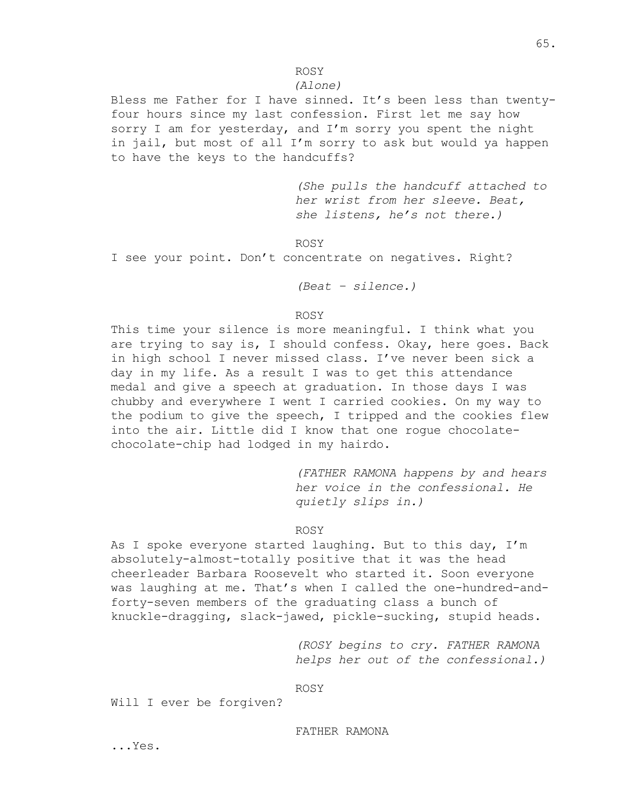### ROSY

# *(Alone)*

Bless me Father for I have sinned. It's been less than twentyfour hours since my last confession. First let me say how sorry I am for yesterday, and I'm sorry you spent the night in jail, but most of all I'm sorry to ask but would ya happen to have the keys to the handcuffs?

> *(She pulls the handcuff attached to her wrist from her sleeve. Beat, she listens, he's not there.)*

ROSY

I see your point. Don't concentrate on negatives. Right?

*(Beat – silence.)*

### ROSY

This time your silence is more meaningful. I think what you are trying to say is, I should confess. Okay, here goes. Back in high school I never missed class. I've never been sick a day in my life. As a result I was to get this attendance medal and give a speech at graduation. In those days I was chubby and everywhere I went I carried cookies. On my way to the podium to give the speech, I tripped and the cookies flew into the air. Little did I know that one rogue chocolatechocolate-chip had lodged in my hairdo.

> *(FATHER RAMONA happens by and hears her voice in the confessional. He quietly slips in.)*

### ROSY

As I spoke everyone started laughing. But to this day, I'm absolutely-almost-totally positive that it was the head cheerleader Barbara Roosevelt who started it. Soon everyone was laughing at me. That's when I called the one-hundred-andforty-seven members of the graduating class a bunch of knuckle-dragging, slack-jawed, pickle-sucking, stupid heads.

> *(ROSY begins to cry. FATHER RAMONA helps her out of the confessional.)*

### ROSY

Will I ever be forgiven?

FATHER RAMONA

...Yes.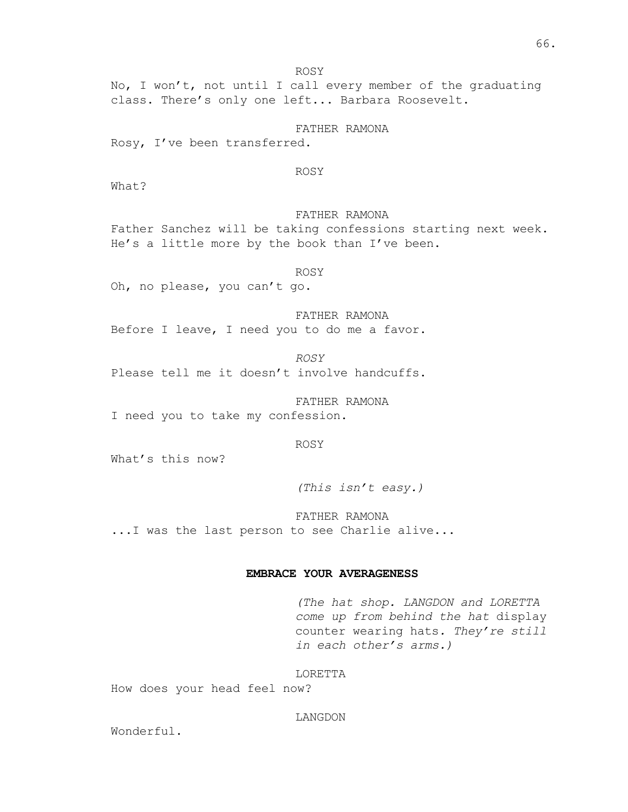ROSY No, I won't, not until I call every member of the graduating class. There's only one left... Barbara Roosevelt.

FATHER RAMONA

Rosy, I've been transferred.

### ROSY

What?

# FATHER RAMONA

Father Sanchez will be taking confessions starting next week. He's a little more by the book than I've been.

ROSY

Oh, no please, you can't go.

### FATHER RAMONA

Before I leave, I need you to do me a favor.

*ROSY* Please tell me it doesn't involve handcuffs.

FATHER RAMONA I need you to take my confession.

ROSY

What's this now?

*(This isn't easy.)*

FATHER RAMONA ...I was the last person to see Charlie alive...

### **EMBRACE YOUR AVERAGENESS**

*(The hat shop. LANGDON and LORETTA come up from behind the hat* display counter wearing hats*. They're still in each other's arms.)*

### LORETTA

How does your head feel now?

### LANGDON

Wonderful.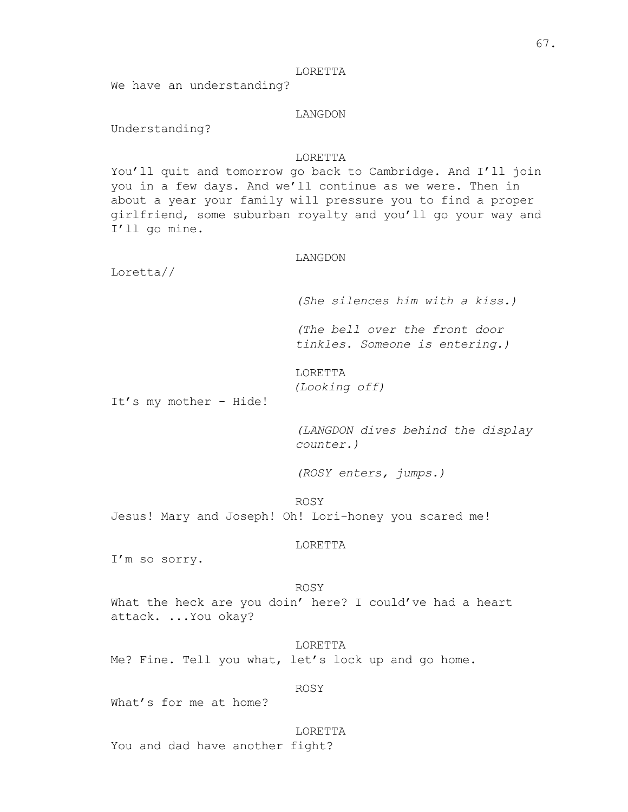#### LORETTA

We have an understanding?

### LANGDON

Understanding?

### LORETTA

You'll quit and tomorrow go back to Cambridge. And I'll join you in a few days. And we'll continue as we were. Then in about a year your family will pressure you to find a proper girlfriend, some suburban royalty and you'll go your way and I'll go mine.

#### LANGDON

Loretta//

*(She silences him with a kiss.)*

*(The bell over the front door tinkles. Someone is entering.)*

# LORETTA *(Looking off)*

It's my mother - Hide!

*(LANGDON dives behind the display counter.)*

*(ROSY enters, jumps.)*

ROSY

Jesus! Mary and Joseph! Oh! Lori-honey you scared me!

### LORETTA

I'm so sorry.

#### ROSY

What the heck are you doin' here? I could've had a heart attack. ...You okay?

LORETTA Me? Fine. Tell you what, let's lock up and go home.

#### ROSY

What's for me at home?

LORETTA You and dad have another fight?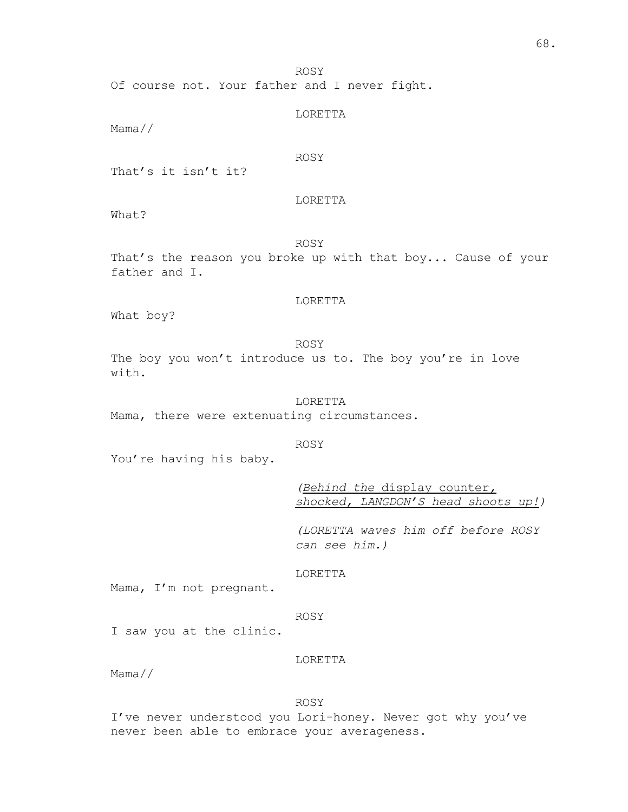ROSY

Of course not. Your father and I never fight.

### LORETTA

Mama//

### ROSY

LORETTA

That's it isn't it?

What?

#### ROSY

That's the reason you broke up with that boy... Cause of your father and I.

### LORETTA

What boy?

ROSY

The boy you won't introduce us to. The boy you're in love with.

# LORETTA

Mama, there were extenuating circumstances.

### ROSY

You're having his baby.

*(Behind the* display counter*, shocked, LANGDON'S head shoots up!)*

*(LORETTA waves him off before ROSY can see him.)*

### LORETTA

Mama, I'm not pregnant.

### ROSY

I saw you at the clinic.

### LORETTA

Mama//

#### ROSY

I've never understood you Lori-honey. Never got why you've never been able to embrace your averageness.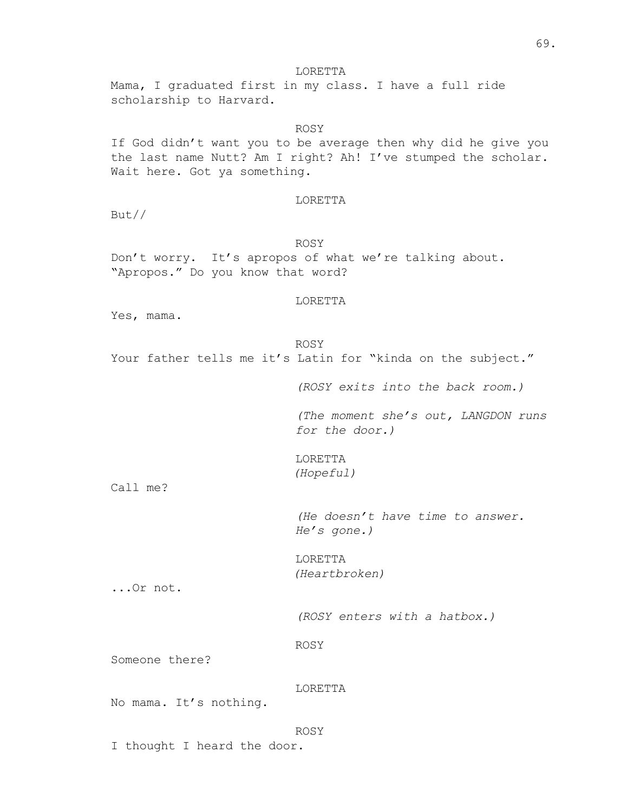### LORETTA

Mama, I graduated first in my class. I have a full ride scholarship to Harvard.

### ROSY

If God didn't want you to be average then why did he give you the last name Nutt? Am I right? Ah! I've stumped the scholar. Wait here. Got ya something.

#### LORETTA

But//

ROSY Don't worry. It's apropos of what we're talking about. "Apropos." Do you know that word?

### LORETTA

Yes, mama.

### ROSY

Your father tells me it's Latin for "kinda on the subject."

*(ROSY exits into the back room.)*

*(The moment she's out, LANGDON runs for the door.)*

LORETTA *(Hopeful)*

Call me?

*(He doesn't have time to answer. He's gone.)*

LORETTA *(Heartbroken)*

...Or not.

*(ROSY enters with a hatbox.)*

ROSY

Someone there?

### LORETTA

No mama. It's nothing.

#### ROSY

I thought I heard the door.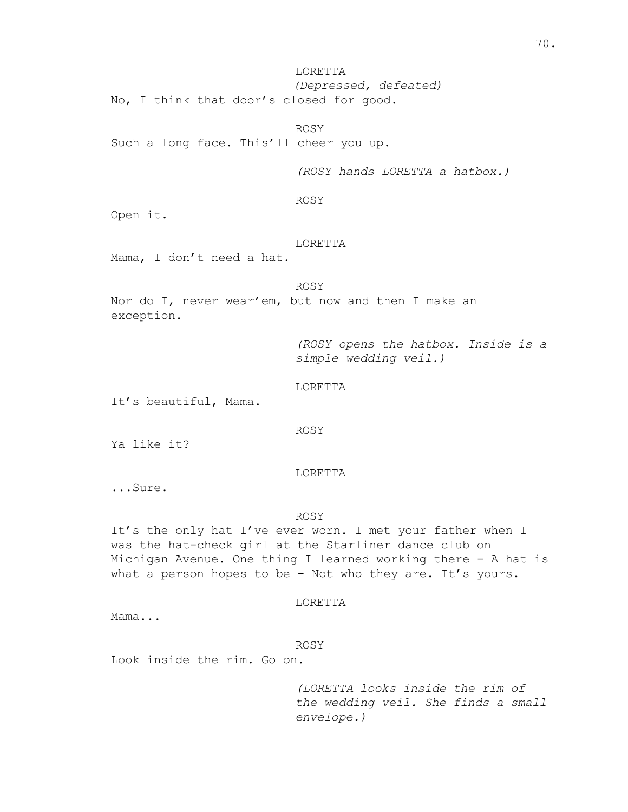LORETTA *(Depressed, defeated)* No, I think that door's closed for good.

ROSY Such a long face. This'll cheer you up.

*(ROSY hands LORETTA a hatbox.)*

Open it.

### LORETTA

Mama, I don't need a hat.

ROSY

ROSY

Nor do I, never wear'em, but now and then I make an exception.

> *(ROSY opens the hatbox. Inside is a simple wedding veil.)*

LORETTA

It's beautiful, Mama.

#### ROSY

Ya like it?

### LORETTA

...Sure.

#### ROSY

It's the only hat I've ever worn. I met your father when I was the hat-check girl at the Starliner dance club on Michigan Avenue. One thing I learned working there - A hat is what a person hopes to be - Not who they are. It's yours.

#### LORETTA

Mama...

#### ROSY

Look inside the rim. Go on.

*(LORETTA looks inside the rim of the wedding veil. She finds a small envelope.)*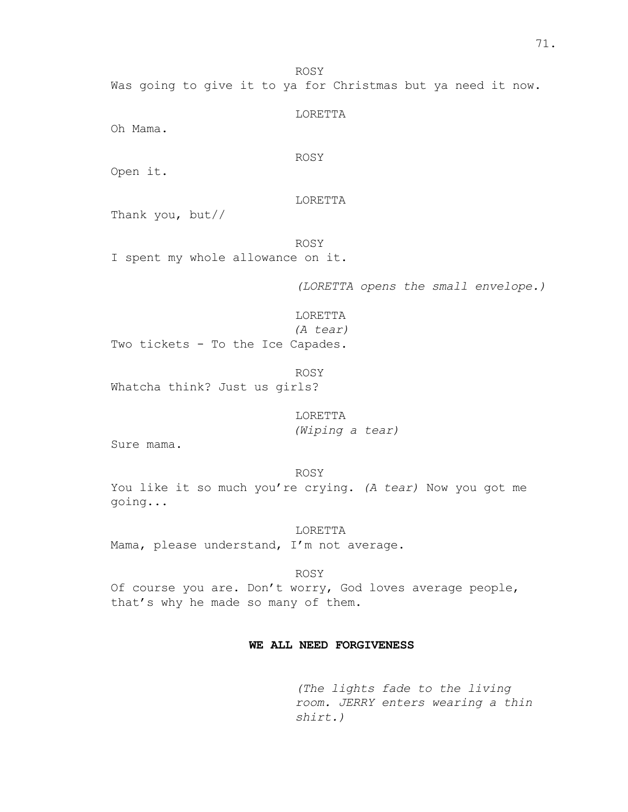ROSY

Was going to give it to ya for Christmas but ya need it now.

LORETTA

Oh Mama.

### ROSY

Open it.

### LORETTA

Thank you, but//

ROSY I spent my whole allowance on it.

*(LORETTA opens the small envelope.)*

# LORETTA

*(A tear)*

Two tickets - To the Ice Capades.

ROSY Whatcha think? Just us girls?

> LORETTA *(Wiping a tear)*

Sure mama.

ROSY

You like it so much you're crying. *(A tear)* Now you got me going...

LORETTA Mama, please understand, I'm not average.

ROSY

Of course you are. Don't worry, God loves average people, that's why he made so many of them.

# **WE ALL NEED FORGIVENESS**

*(The lights fade to the living room. JERRY enters wearing a thin shirt.)*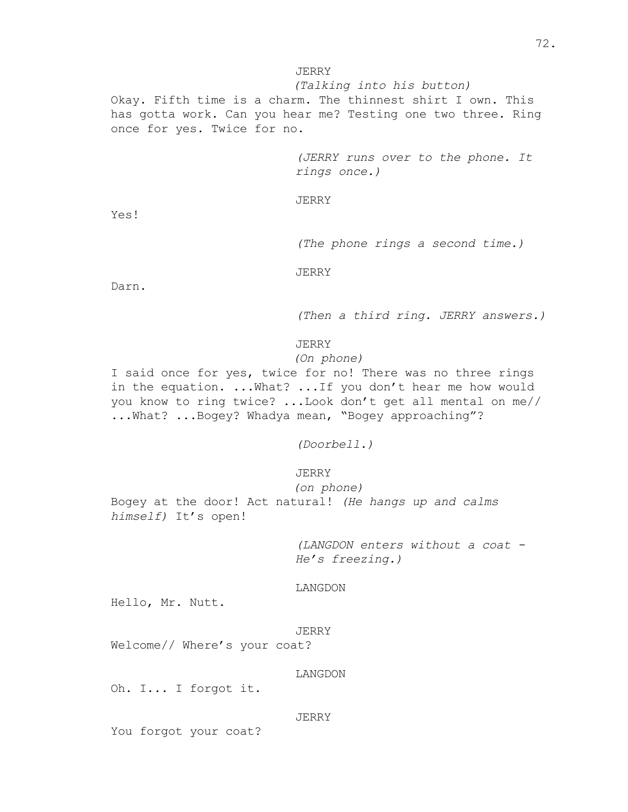*(Talking into his button)*

Okay. Fifth time is a charm. The thinnest shirt I own. This has gotta work. Can you hear me? Testing one two three. Ring once for yes. Twice for no.

> *(JERRY runs over to the phone. It rings once.)*

JERRY

Yes!

*(The phone rings a second time.)*

JERRY

Darn.

*(Then a third ring. JERRY answers.)*

## JERRY

*(On phone)*

I said once for yes, twice for no! There was no three rings in the equation. ...What? ...If you don't hear me how would you know to ring twice? ...Look don't get all mental on me// ...What? ...Bogey? Whadya mean, "Bogey approaching"?

*(Doorbell.)*

# JERRY

*(on phone)* Bogey at the door! Act natural! *(He hangs up and calms himself)* It's open!

> *(LANGDON enters without a coat - He's freezing.)*

### LANGDON

Hello, Mr. Nutt.

#### JERRY

Welcome// Where's your coat?

#### LANGDON

Oh. I... I forgot it.

#### JERRY

You forgot your coat?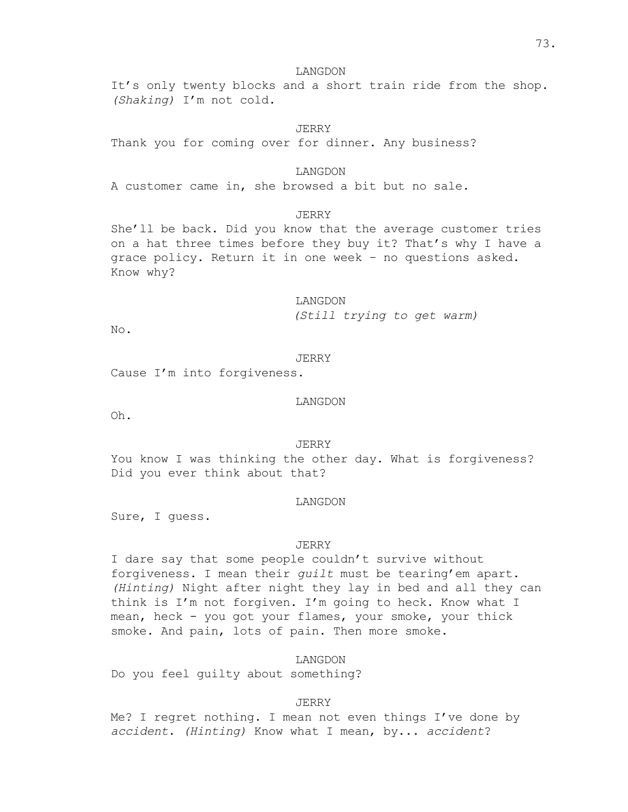## LANGDON

It's only twenty blocks and a short train ride from the shop. *(Shaking)* I'm not cold.

JERRY Thank you for coming over for dinner. Any business?

## LANGDON

A customer came in, she browsed a bit but no sale.

# JERRY

She'll be back. Did you know that the average customer tries on a hat three times before they buy it? That's why I have a grace policy. Return it in one week – no questions asked. Know why?

#### LANGDON

*(Still trying to get warm)*

No.

### JERRY

Cause I'm into forgiveness.

### LANGDON

Oh.

# JERRY

You know I was thinking the other day. What is forgiveness? Did you ever think about that?

### LANGDON

Sure, I guess.

#### JERRY

I dare say that some people couldn't survive without forgiveness. I mean their *guilt* must be tearing'em apart. *(Hinting)* Night after night they lay in bed and all they can think is I'm not forgiven. I'm going to heck. Know what I mean, heck - you got your flames, your smoke, your thick smoke. And pain, lots of pain. Then more smoke.

### LANGDON

Do you feel guilty about something?

#### JERRY

Me? I regret nothing. I mean not even things I've done by *accident*. *(Hinting)* Know what I mean, by... *accident*?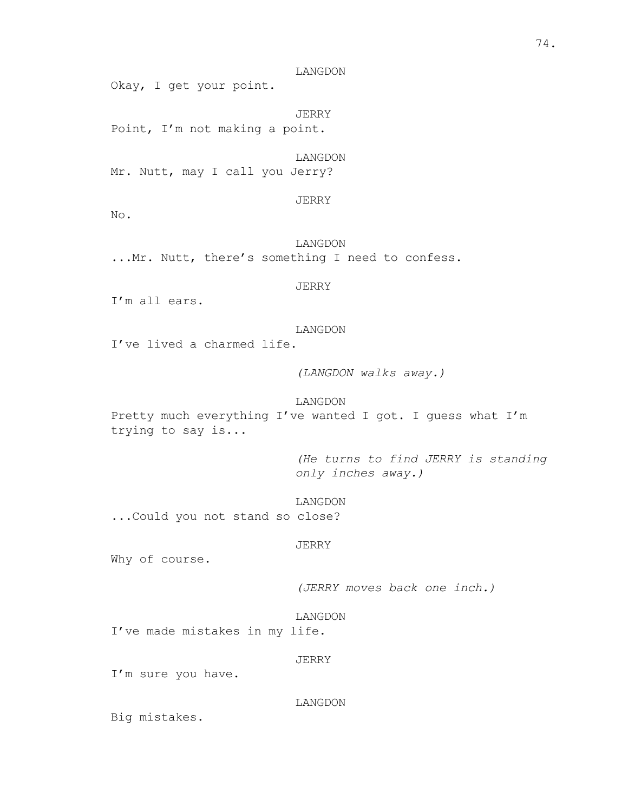### LANGDON

Okay, I get your point.

JERRY Point, I'm not making a point.

LANGDON

Mr. Nutt, may I call you Jerry?

# JERRY

No.

LANGDON ...Mr. Nutt, there's something I need to confess.

## JERRY

I'm all ears.

### LANGDON

I've lived a charmed life.

*(LANGDON walks away.)*

## LANGDON

Pretty much everything I've wanted I got. I guess what I'm trying to say is...

> *(He turns to find JERRY is standing only inches away.)*

## LANGDON

...Could you not stand so close?

### JERRY

Why of course.

*(JERRY moves back one inch.)*

## LANGDON

I've made mistakes in my life.

## JERRY

I'm sure you have.

### LANGDON

Big mistakes.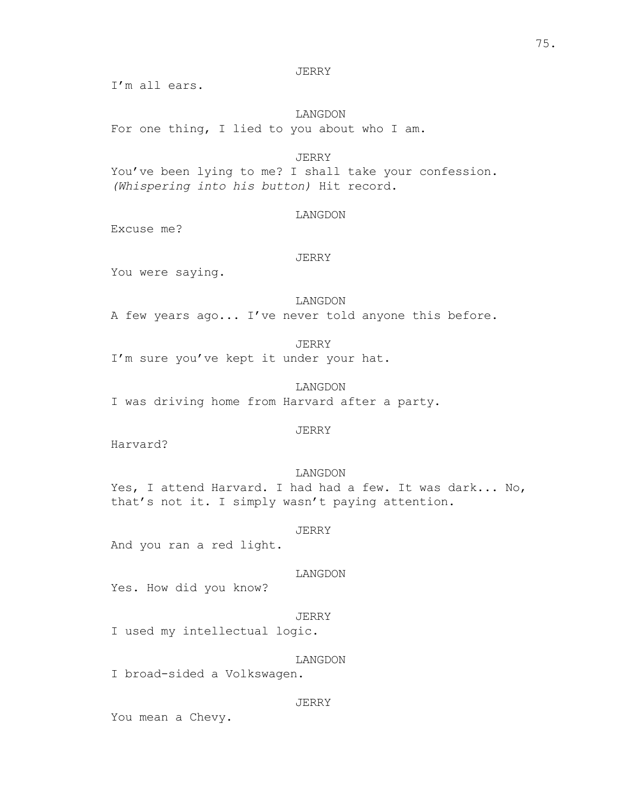I'm all ears.

### LANGDON

For one thing, I lied to you about who I am.

### JERRY

You've been lying to me? I shall take your confession. *(Whispering into his button)* Hit record.

### LANGDON

Excuse me?

#### JERRY

You were saying.

LANGDON

A few years ago... I've never told anyone this before.

JERRY

I'm sure you've kept it under your hat.

LANGDON I was driving home from Harvard after a party.

### JERRY

Harvard?

### LANGDON

Yes, I attend Harvard. I had had a few. It was dark... No, that's not it. I simply wasn't paying attention.

### JERRY

And you ran a red light.

### LANGDON

Yes. How did you know?

### JERRY

I used my intellectual logic.

# LANGDON

I broad-sided a Volkswagen.

#### JERRY

You mean a Chevy.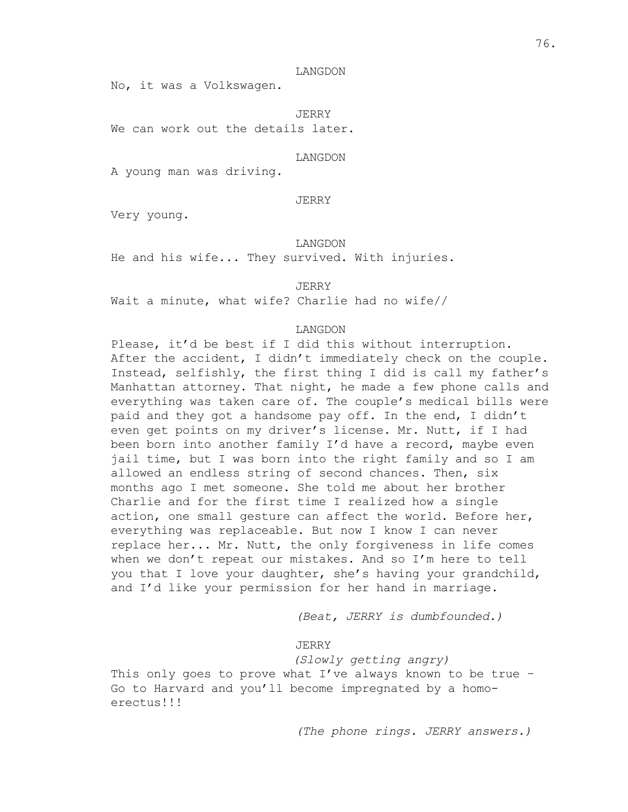### LANGDON

No, it was a Volkswagen.

JERRY

We can work out the details later.

### LANGDON

A young man was driving.

### JERRY

Very young.

### LANGDON

He and his wife... They survived. With injuries.

JERRY

Wait a minute, what wife? Charlie had no wife//

## LANGDON

Please, it'd be best if I did this without interruption. After the accident, I didn't immediately check on the couple. Instead, selfishly, the first thing I did is call my father's Manhattan attorney. That night, he made a few phone calls and everything was taken care of. The couple's medical bills were paid and they got a handsome pay off. In the end, I didn't even get points on my driver's license. Mr. Nutt, if I had been born into another family I'd have a record, maybe even jail time, but I was born into the right family and so I am allowed an endless string of second chances. Then, six months ago I met someone. She told me about her brother Charlie and for the first time I realized how a single action, one small gesture can affect the world. Before her, everything was replaceable. But now I know I can never replace her... Mr. Nutt, the only forgiveness in life comes when we don't repeat our mistakes. And so I'm here to tell you that I love your daughter, she's having your grandchild, and I'd like your permission for her hand in marriage.

*(Beat, JERRY is dumbfounded.)*

# JERRY

*(Slowly getting angry)* This only goes to prove what I've always known to be true  $-$ Go to Harvard and you'll become impregnated by a homoerectus!!!

*(The phone rings. JERRY answers.)*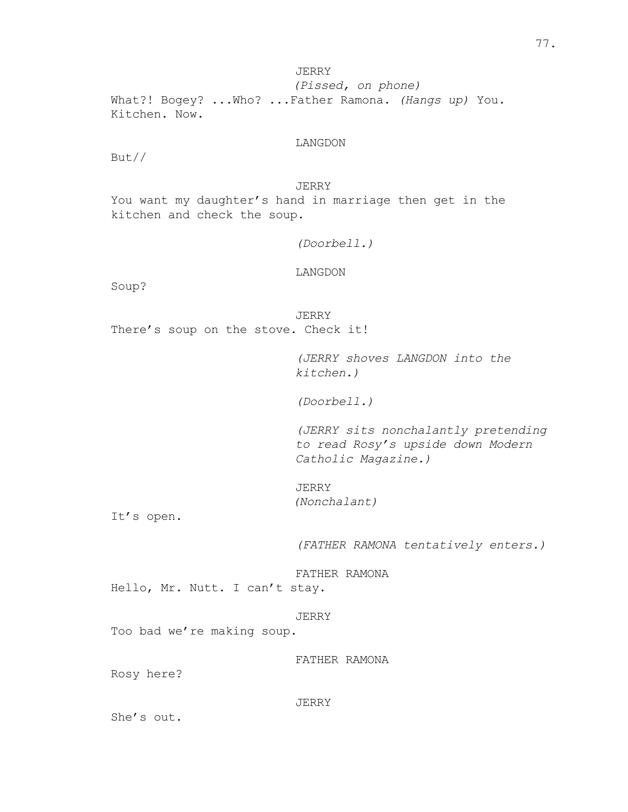*(Pissed, on phone)* What?! Bogey? ...Who? ...Father Ramona. *(Hangs up)* You. Kitchen. Now.

### LANGDON

But//

# JERRY

You want my daughter's hand in marriage then get in the kitchen and check the soup.

### *(Doorbell.)*

LANGDON

Soup?

JERRY There's soup on the stove. Check it!

> *(JERRY shoves LANGDON into the kitchen.)*

*(Doorbell.)*

*(JERRY sits nonchalantly pretending to read Rosy's upside down Modern Catholic Magazine.)*

JERRY *(Nonchalant)*

It's open.

*(FATHER RAMONA tentatively enters.)*

FATHER RAMONA

Hello, Mr. Nutt. I can't stay.

### JERRY

Too bad we're making soup.

FATHER RAMONA

Rosy here?

#### JERRY

She's out.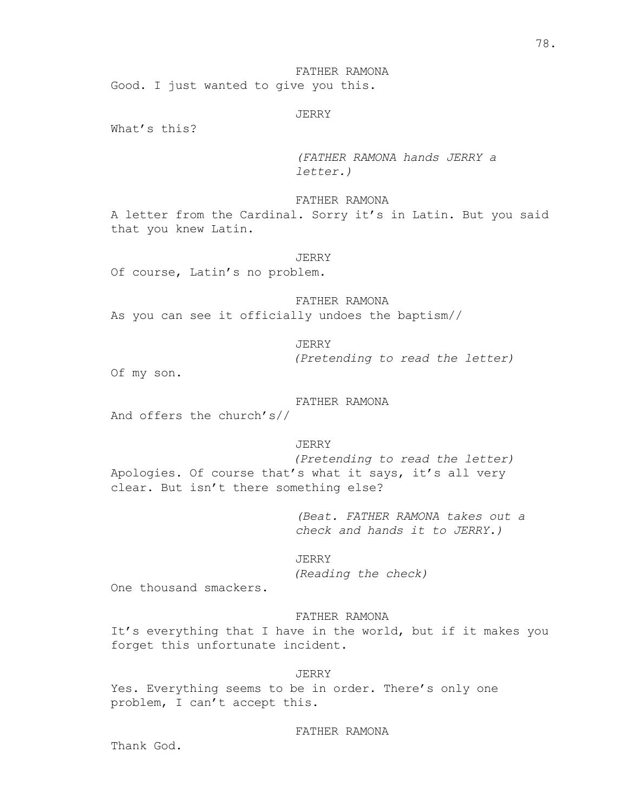78.

# FATHER RAMONA

Good. I just wanted to give you this.

### JERRY

What's this?

*(FATHER RAMONA hands JERRY a letter.)*

FATHER RAMONA

A letter from the Cardinal. Sorry it's in Latin. But you said that you knew Latin.

### JERRY

Of course, Latin's no problem.

FATHER RAMONA As you can see it officially undoes the baptism//

> JERRY *(Pretending to read the letter)*

Of my son.

# FATHER RAMONA

And offers the church's//

#### JERRY

*(Pretending to read the letter)* Apologies. Of course that's what it says, it's all very clear. But isn't there something else?

> *(Beat. FATHER RAMONA takes out a check and hands it to JERRY.)*

JERRY *(Reading the check)*

One thousand smackers.

# FATHER RAMONA

It's everything that I have in the world, but if it makes you forget this unfortunate incident.

#### JERRY

Yes. Everything seems to be in order. There's only one problem, I can't accept this.

FATHER RAMONA

Thank God.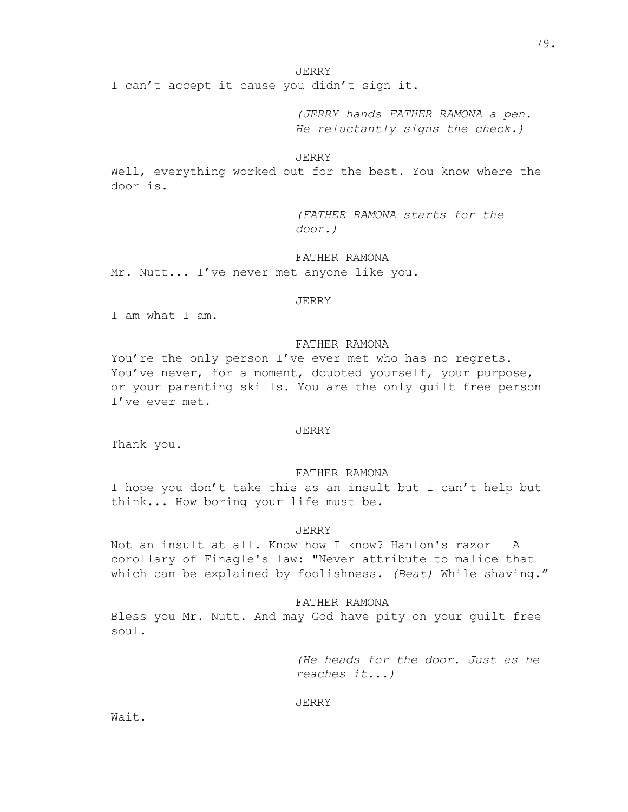I can't accept it cause you didn't sign it.

*(JERRY hands FATHER RAMONA a pen. He reluctantly signs the check.)*

JERRY

Well, everything worked out for the best. You know where the door is.

> *(FATHER RAMONA starts for the door.)*

FATHER RAMONA

Mr. Nutt... I've never met anyone like you.

JERRY

I am what I am.

### FATHER RAMONA

You're the only person I've ever met who has no regrets. You've never, for a moment, doubted yourself, your purpose, or your parenting skills. You are the only guilt free person I've ever met.

### JERRY

Thank you.

### FATHER RAMONA

I hope you don't take this as an insult but I can't help but think... How boring your life must be.

### JERRY

Not an insult at all. Know how I know? Hanlon's razor  $-$  A corollary of Finagle's law: "Never attribute to malice that which can be explained by foolishness. *(Beat)* While shaving."

## FATHER RAMONA

Bless you Mr. Nutt. And may God have pity on your guilt free soul.

> *(He heads for the door. Just as he reaches it...)*

### JERRY

Wait.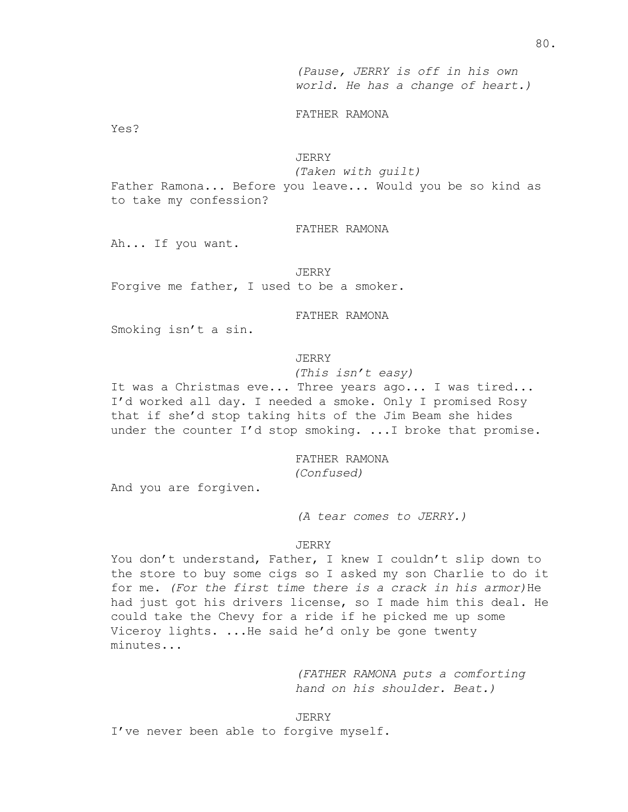*(Pause, JERRY is off in his own world. He has a change of heart.)*

### FATHER RAMONA

Yes?

### JERRY

*(Taken with guilt)*

Father Ramona... Before you leave... Would you be so kind as to take my confession?

#### FATHER RAMONA

Ah... If you want.

JERRY Forgive me father, I used to be a smoker.

### FATHER RAMONA

Smoking isn't a sin.

## JERRY

*(This isn't easy)*

It was a Christmas eve... Three years ago... I was tired... I'd worked all day. I needed a smoke. Only I promised Rosy that if she'd stop taking hits of the Jim Beam she hides under the counter I'd stop smoking. ...I broke that promise.

> FATHER RAMONA *(Confused)*

And you are forgiven.

*(A tear comes to JERRY.)*

### JERRY

You don't understand, Father, I knew I couldn't slip down to the store to buy some cigs so I asked my son Charlie to do it for me. *(For the first time there is a crack in his armor)*He had just got his drivers license, so I made him this deal. He could take the Chevy for a ride if he picked me up some Viceroy lights. ...He said he'd only be gone twenty minutes...

> *(FATHER RAMONA puts a comforting hand on his shoulder. Beat.)*

JERRY

I've never been able to forgive myself.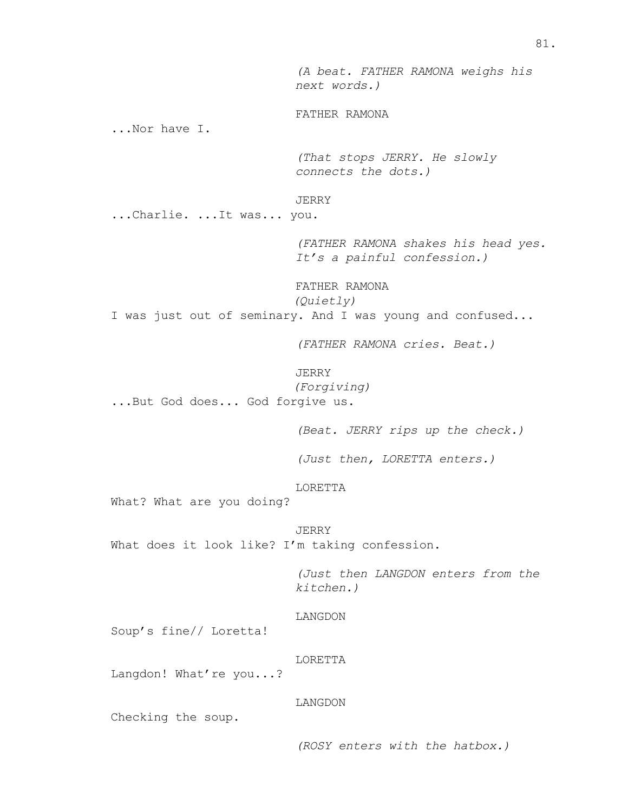*(A beat. FATHER RAMONA weighs his next words.)* FATHER RAMONA ...Nor have I. *(That stops JERRY. He slowly connects the dots.)* JERRY ...Charlie. ...It was... you. *(FATHER RAMONA shakes his head yes. It's a painful confession.)* FATHER RAMONA *(Quietly)* I was just out of seminary. And I was young and confused... *(FATHER RAMONA cries. Beat.)* JERRY *(Forgiving)* ...But God does... God forgive us. *(Beat. JERRY rips up the check.) (Just then, LORETTA enters.)* LORETTA What? What are you doing? JERRY What does it look like? I'm taking confession. *(Just then LANGDON enters from the kitchen.)* LANGDON Soup's fine// Loretta! LORETTA Langdon! What're you...? LANGDON Checking the soup.

*(ROSY enters with the hatbox.)*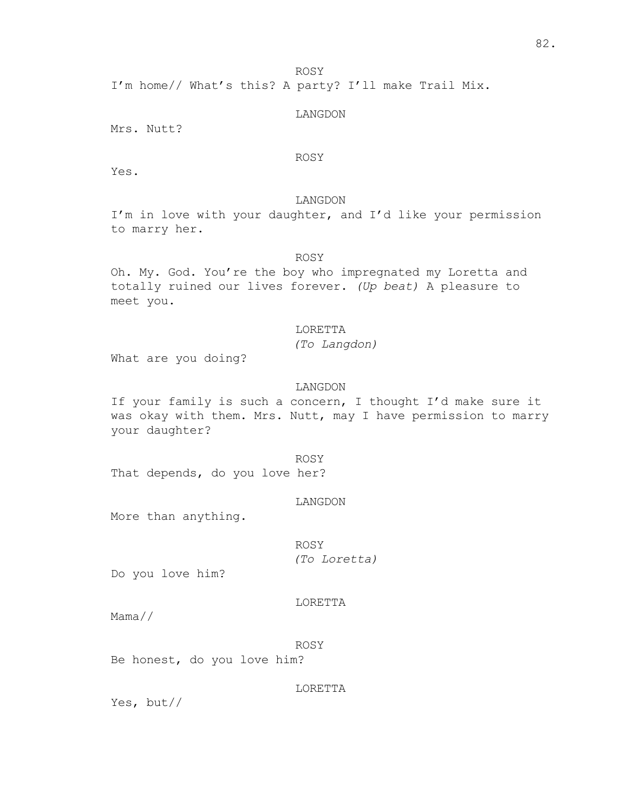ROSY

I'm home// What's this? A party? I'll make Trail Mix.

LANGDON

Mrs. Nutt?

### ROSY

Yes.

### LANGDON

I'm in love with your daughter, and I'd like your permission to marry her.

### ROSY

Oh. My. God. You're the boy who impregnated my Loretta and totally ruined our lives forever. *(Up beat)* A pleasure to meet you.

## LORETTA

*(To Langdon)*

What are you doing?

### LANGDON

If your family is such a concern, I thought I'd make sure it was okay with them. Mrs. Nutt, may I have permission to marry your daughter?

### ROSY

That depends, do you love her?

### LANGDON

More than anything.

ROSY *(To Loretta)*

Do you love him?

### LORETTA

Mama//

ROSY

Be honest, do you love him?

### LORETTA

Yes, but//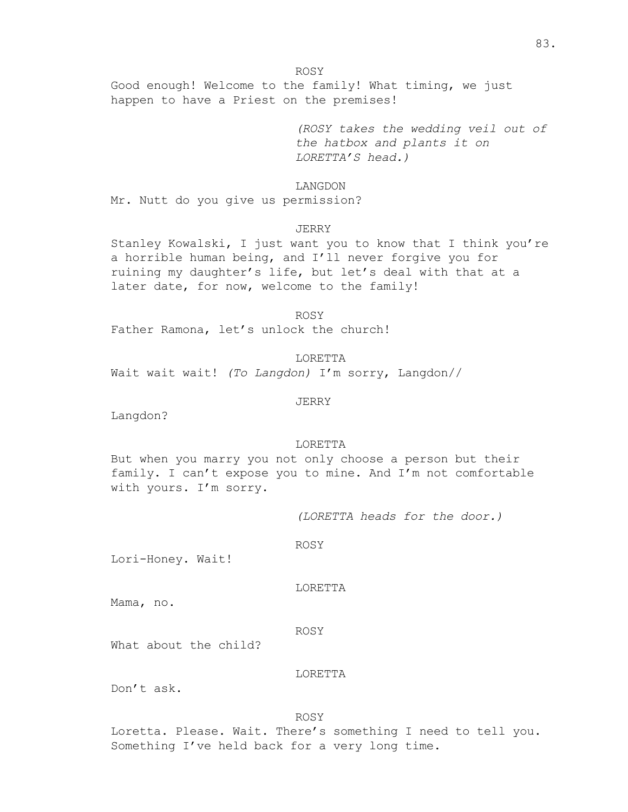ROSY Good enough! Welcome to the family! What timing, we just happen to have a Priest on the premises!

> *(ROSY takes the wedding veil out of the hatbox and plants it on LORETTA'S head.)*

LANGDON

Mr. Nutt do you give us permission?

#### JERRY

Stanley Kowalski, I just want you to know that I think you're a horrible human being, and I'll never forgive you for ruining my daughter's life, but let's deal with that at a later date, for now, welcome to the family!

ROSY Father Ramona, let's unlock the church!

LORETTA Wait wait wait! *(To Langdon)* I'm sorry, Langdon//

### JERRY

Langdon?

#### LORETTA

But when you marry you not only choose a person but their family. I can't expose you to mine. And I'm not comfortable with yours. I'm sorry.

*(LORETTA heads for the door.)*

ROSY

Lori-Honey. Wait!

### LORETTA

Mama, no.

#### ROSY

What about the child?

#### LORETTA

Don't ask.

### ROSY

Loretta. Please. Wait. There's something I need to tell you. Something I've held back for a very long time.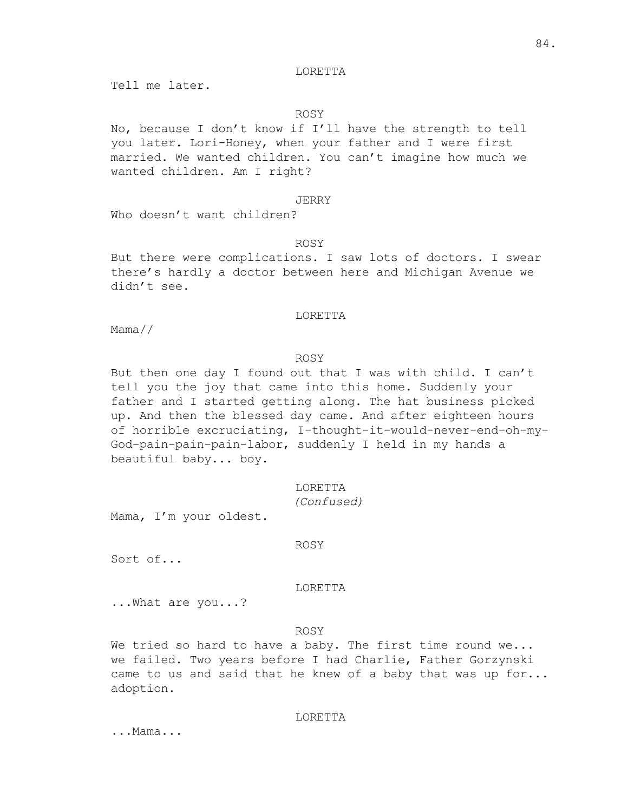#### LORETTA

Tell me later.

## ROSY

No, because I don't know if I'll have the strength to tell you later. Lori-Honey, when your father and I were first married. We wanted children. You can't imagine how much we wanted children. Am I right?

#### JERRY

Who doesn't want children?

### ROSY

But there were complications. I saw lots of doctors. I swear there's hardly a doctor between here and Michigan Avenue we didn't see.

### LORETTA

Mama//

### ROSY

But then one day I found out that I was with child. I can't tell you the joy that came into this home. Suddenly your father and I started getting along. The hat business picked up. And then the blessed day came. And after eighteen hours of horrible excruciating, I-thought-it-would-never-end-oh-my-God-pain-pain-pain-labor, suddenly I held in my hands a beautiful baby... boy.

# LORETTA

*(Confused)*

Mama, I'm your oldest.

#### ROSY

Sort of...

### LORETTA

...What are you...?

### ROSY

We tried so hard to have a baby. The first time round we... we failed. Two years before I had Charlie, Father Gorzynski came to us and said that he knew of a baby that was up for... adoption.

#### LORETTA

...Mama...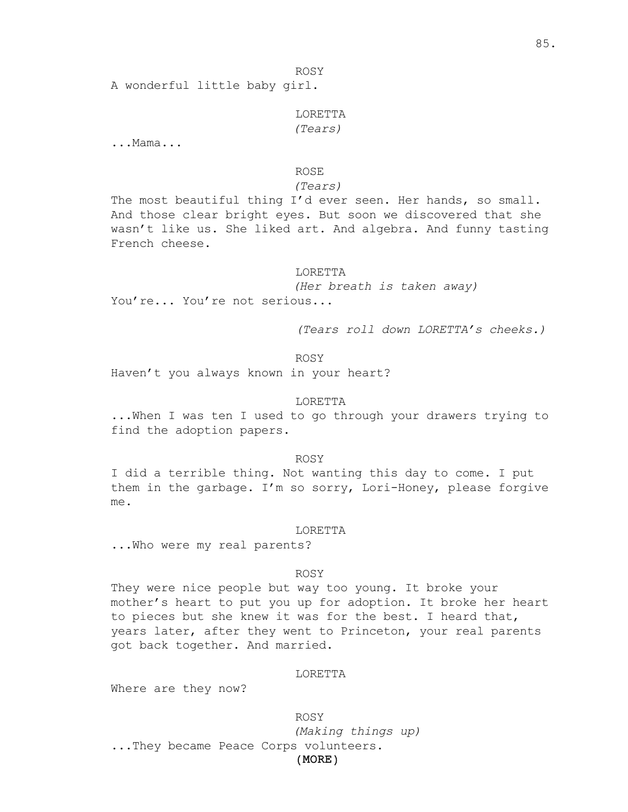A wonderful little baby girl.

# LORETTA *(Tears)*

...Mama...

# ROSE

# *(Tears)*

The most beautiful thing I'd ever seen. Her hands, so small. And those clear bright eyes. But soon we discovered that she wasn't like us. She liked art. And algebra. And funny tasting French cheese.

#### LORETTA

*(Her breath is taken away)*

You're... You're not serious...

*(Tears roll down LORETTA's cheeks.)*

ROSY

Haven't you always known in your heart?

### LORETTA

...When I was ten I used to go through your drawers trying to find the adoption papers.

ROSY

I did a terrible thing. Not wanting this day to come. I put them in the garbage. I'm so sorry, Lori-Honey, please forgive me.

### LORETTA

...Who were my real parents?

### ROSY

They were nice people but way too young. It broke your mother's heart to put you up for adoption. It broke her heart to pieces but she knew it was for the best. I heard that, years later, after they went to Princeton, your real parents got back together. And married.

#### LORETTA

Where are they now?

ROSY *(Making things up)* ...They became Peace Corps volunteers.

### (MORE)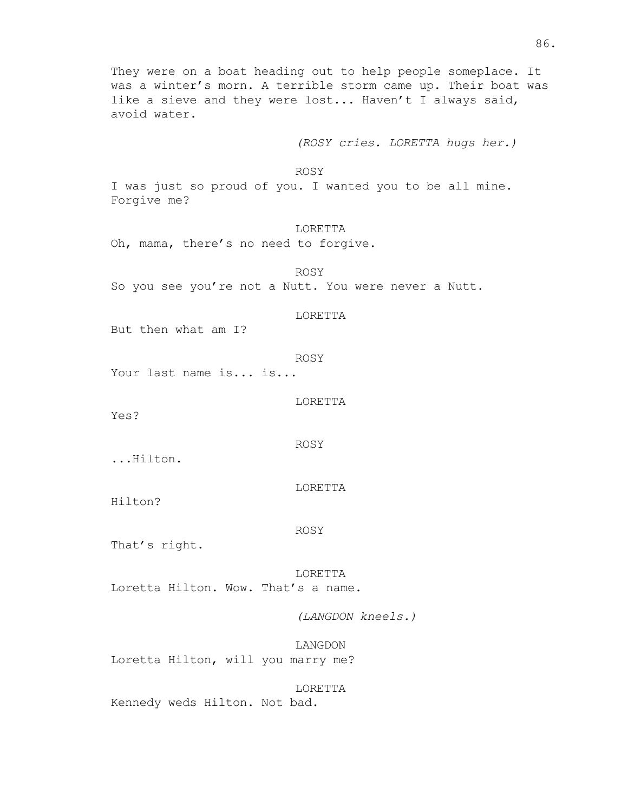They were on a boat heading out to help people someplace. It was a winter's morn. A terrible storm came up. Their boat was like a sieve and they were lost... Haven't I always said, avoid water.

*(ROSY cries. LORETTA hugs her.)*

ROSY

I was just so proud of you. I wanted you to be all mine. Forgive me?

LORETTA

Oh, mama, there's no need to forgive.

ROSY So you see you're not a Nutt. You were never a Nutt.

#### LORETTA

But then what am I?

ROSY

Your last name is... is...

LORETTA

Yes?

ROSY

...Hilton.

LORETTA

Hilton?

ROSY

That's right.

LORETTA Loretta Hilton. Wow. That's a name.

*(LANGDON kneels.)*

LANGDON Loretta Hilton, will you marry me?

LORETTA

Kennedy weds Hilton. Not bad.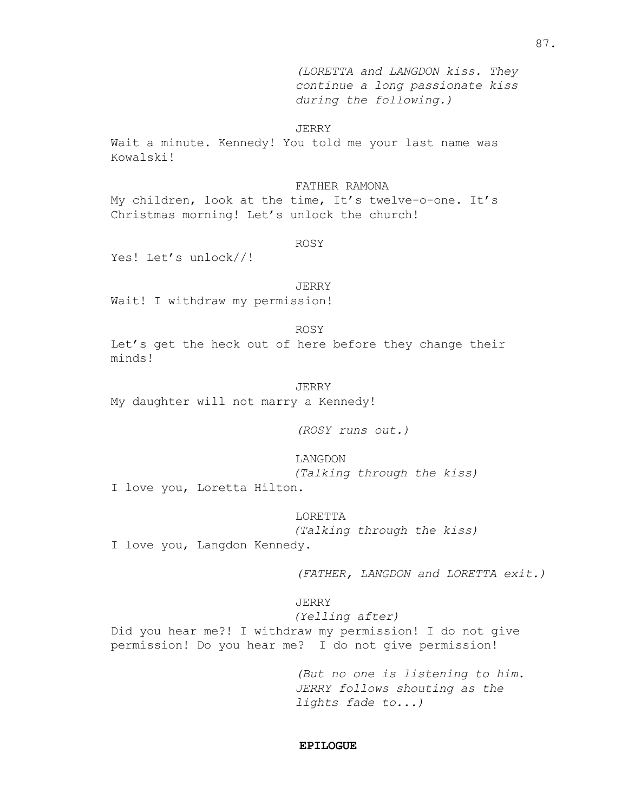*(LORETTA and LANGDON kiss. They continue a long passionate kiss during the following.)*

#### JERRY

Wait a minute. Kennedy! You told me your last name was Kowalski!

#### FATHER RAMONA

My children, look at the time, It's twelve-o-one. It's Christmas morning! Let's unlock the church!

### ROSY

Yes! Let's unlock//!

#### JERRY

Wait! I withdraw my permission!

### ROSY

Let's get the heck out of here before they change their minds!

JERRY My daughter will not marry a Kennedy!

*(ROSY runs out.)*

# LANGDON

*(Talking through the kiss)*

I love you, Loretta Hilton.

### LORETTA

*(Talking through the kiss)*

I love you, Langdon Kennedy.

*(FATHER, LANGDON and LORETTA exit.)*

JERRY

*(Yelling after)* Did you hear me?! I withdraw my permission! I do not give permission! Do you hear me? I do not give permission!

> *(But no one is listening to him. JERRY follows shouting as the lights fade to...)*

### **EPILOGUE**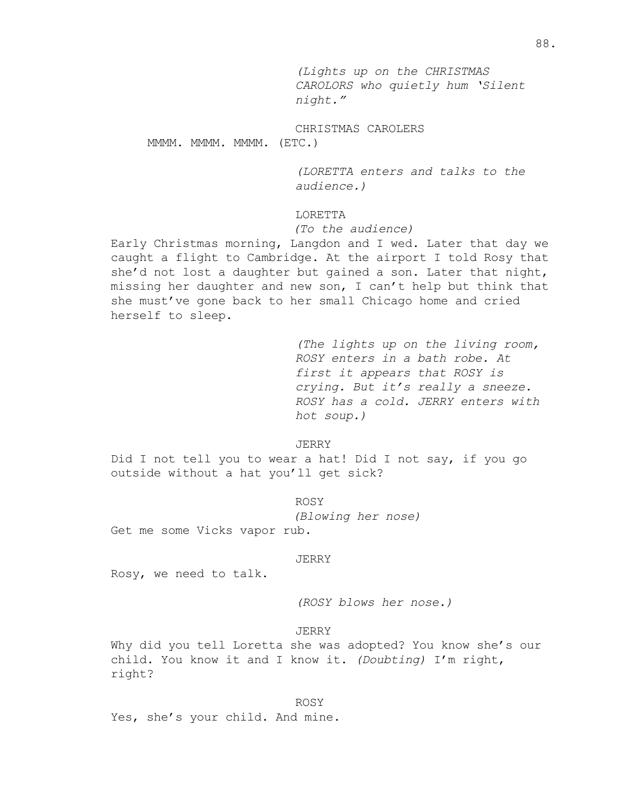*(Lights up on the CHRISTMAS CAROLORS who quietly hum 'Silent night."*

CHRISTMAS CAROLERS MMMM. MMMM. (ETC.)

> *(LORETTA enters and talks to the audience.)*

LORETTA

*(To the audience)*

Early Christmas morning, Langdon and I wed. Later that day we caught a flight to Cambridge. At the airport I told Rosy that she'd not lost a daughter but gained a son. Later that night, missing her daughter and new son, I can't help but think that she must've gone back to her small Chicago home and cried herself to sleep.

> *(The lights up on the living room, ROSY enters in a bath robe. At first it appears that ROSY is crying. But it's really a sneeze. ROSY has a cold. JERRY enters with hot soup.)*

JERRY

Did I not tell you to wear a hat! Did I not say, if you go outside without a hat you'll get sick?

> ROSY *(Blowing her nose)*

Get me some Vicks vapor rub.

JERRY

Rosy, we need to talk.

*(ROSY blows her nose.)*

JERRY

Why did you tell Loretta she was adopted? You know she's our child. You know it and I know it. *(Doubting)* I'm right, right?

ROSY Yes, she's your child. And mine.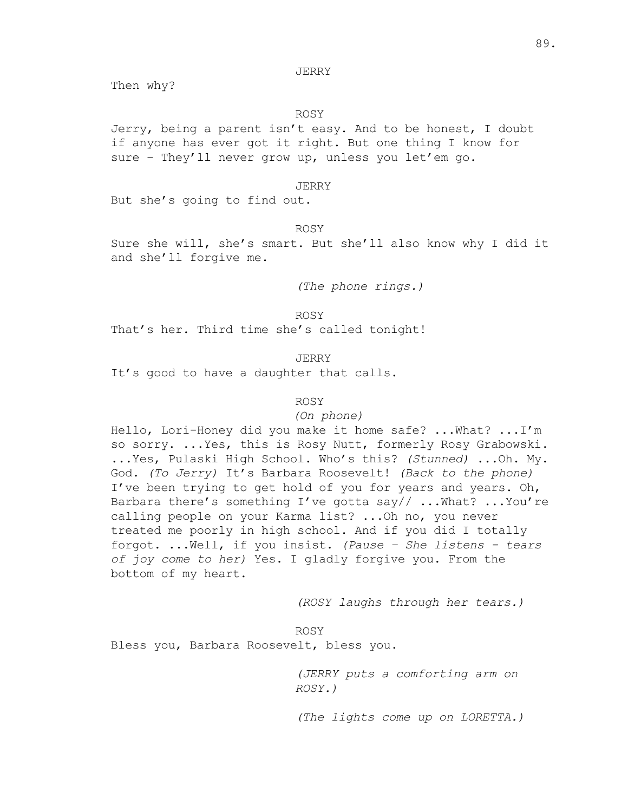Then why?

ROSY

Jerry, being a parent isn't easy. And to be honest, I doubt if anyone has ever got it right. But one thing I know for sure – They'll never grow up, unless you let'em go.

#### JERRY

But she's going to find out.

#### ROSY

Sure she will, she's smart. But she'll also know why I did it and she'll forgive me.

*(The phone rings.)*

ROSY That's her. Third time she's called tonight!

JERRY It's good to have a daughter that calls.

### ROSY

#### *(On phone)*

Hello, Lori-Honey did you make it home safe? ...What? ...I'm so sorry. ...Yes, this is Rosy Nutt, formerly Rosy Grabowski. ...Yes, Pulaski High School. Who's this? *(Stunned)* ...Oh. My. God. *(To Jerry)* It's Barbara Roosevelt! *(Back to the phone)* I've been trying to get hold of you for years and years. Oh, Barbara there's something I've gotta say// ...What? ...You're calling people on your Karma list? ...Oh no, you never treated me poorly in high school. And if you did I totally forgot. ...Well, if you insist. *(Pause – She listens - tears of joy come to her)* Yes. I gladly forgive you. From the bottom of my heart.

*(ROSY laughs through her tears.)*

ROSY

Bless you, Barbara Roosevelt, bless you.

*(JERRY puts a comforting arm on ROSY.)*

*(The lights come up on LORETTA.)*